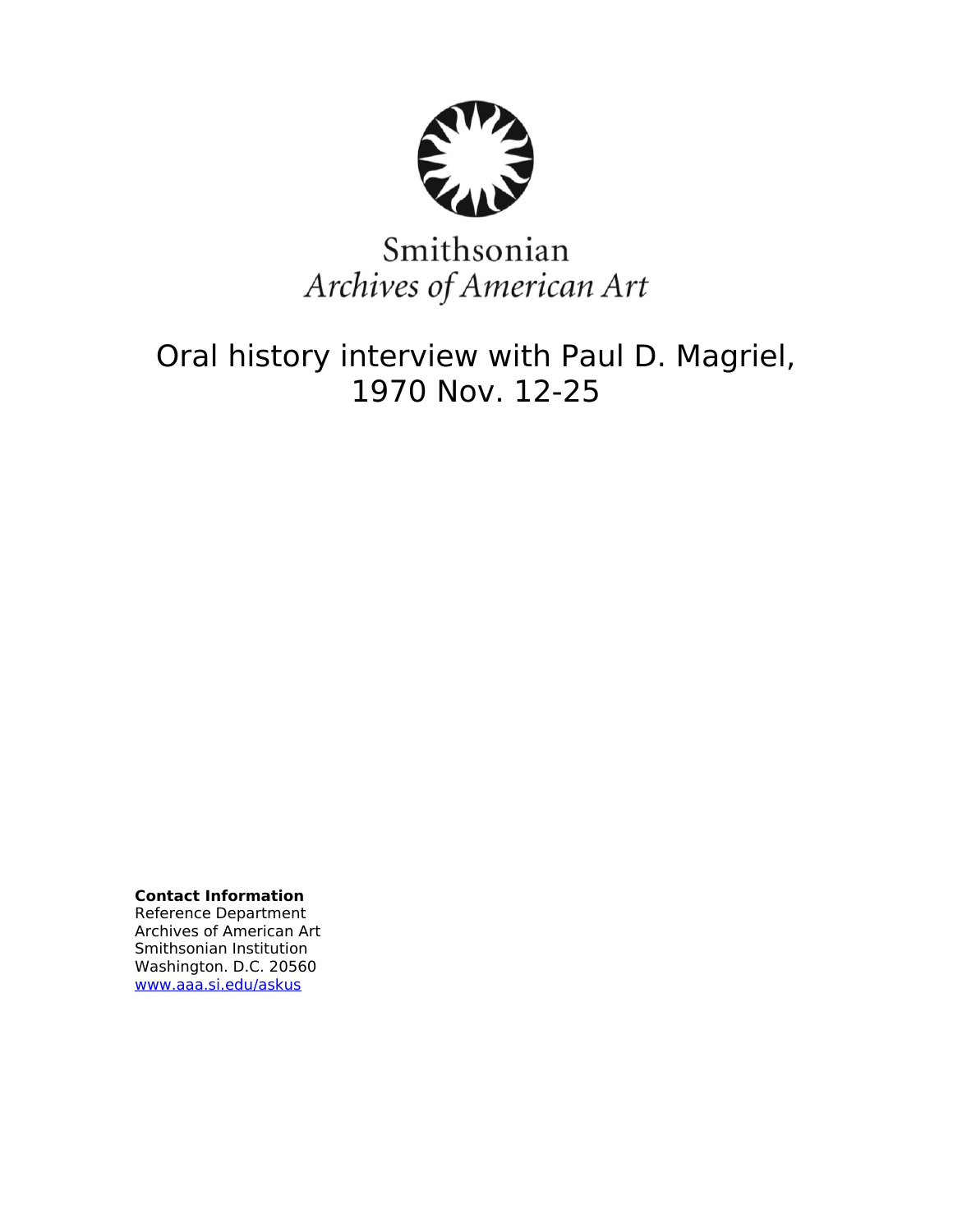

# Smithsonian Archives of American Art

# Oral history interview with Paul D. Magriel, 1970 Nov. 12-25

**Contact Information** Reference Department Archives of American Art Smithsonian Institution Washington. D.C. 20560 [www.aaa.si.edu/askus](http://www.aaa.si.edu/askus)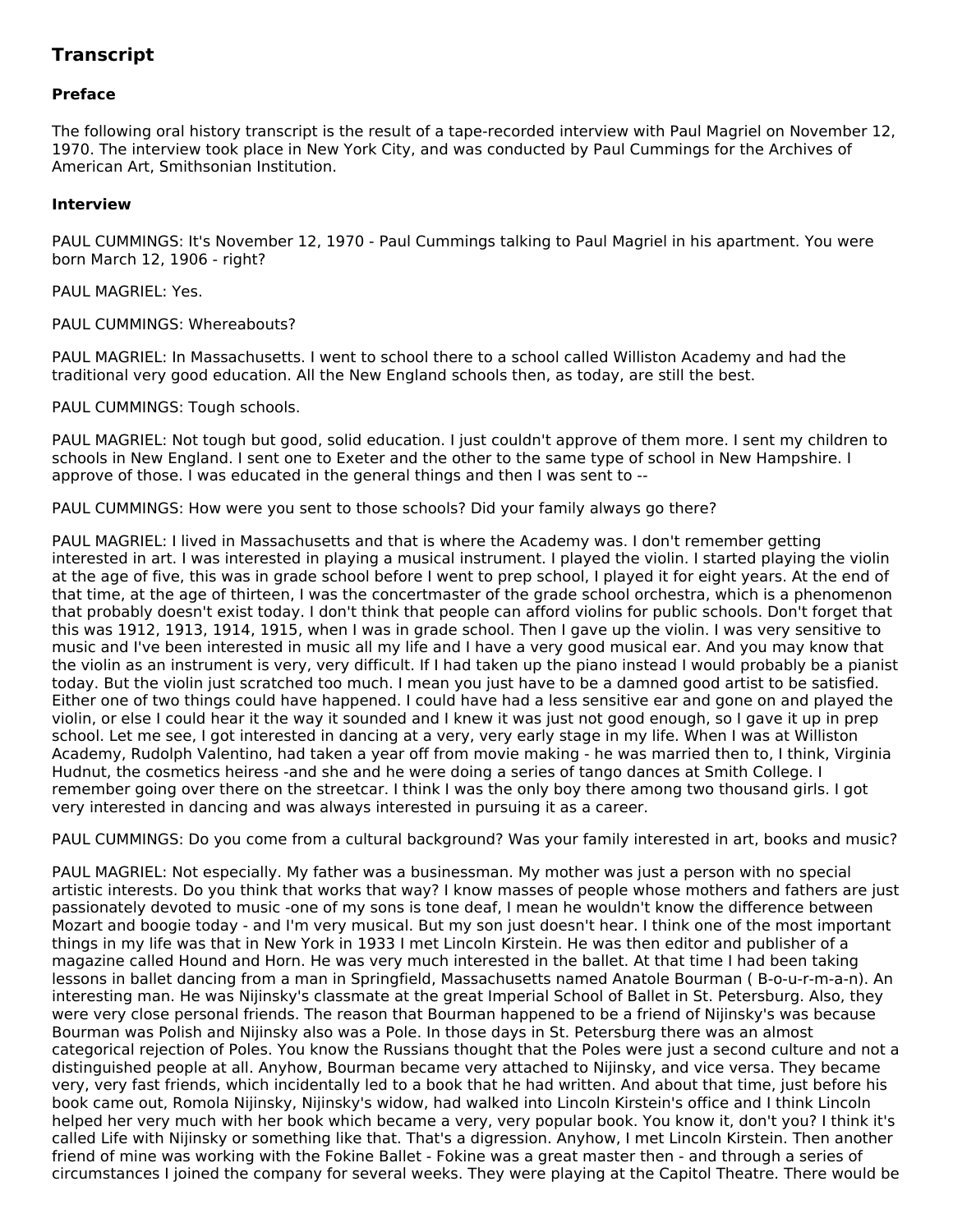# **Transcript**

# **Preface**

The following oral history transcript is the result of a tape-recorded interview with Paul Magriel on November 12, 1970. The interview took place in New York City, and was conducted by Paul Cummings for the Archives of American Art, Smithsonian Institution.

# **Interview**

PAUL CUMMINGS: It's November 12, 1970 - Paul Cummings talking to Paul Magriel in his apartment. You were born March 12, 1906 - right?

PAUL MAGRIEL: Yes.

PAUL CUMMINGS: Whereabouts?

PAUL MAGRIEL: In Massachusetts. I went to school there to a school called Williston Academy and had the traditional very good education. All the New England schools then, as today, are still the best.

PAUL CUMMINGS: Tough schools.

PAUL MAGRIEL: Not tough but good, solid education. I just couldn't approve of them more. I sent my children to schools in New England. I sent one to Exeter and the other to the same type of school in New Hampshire. I approve of those. I was educated in the general things and then I was sent to --

PAUL CUMMINGS: How were you sent to those schools? Did your family always go there?

PAUL MAGRIEL: I lived in Massachusetts and that is where the Academy was. I don't remember getting interested in art. I was interested in playing a musical instrument. I played the violin. I started playing the violin at the age of five, this was in grade school before I went to prep school, I played it for eight years. At the end of that time, at the age of thirteen, I was the concertmaster of the grade school orchestra, which is a phenomenon that probably doesn't exist today. I don't think that people can afford violins for public schools. Don't forget that this was 1912, 1913, 1914, 1915, when I was in grade school. Then I gave up the violin. I was very sensitive to music and I've been interested in music all my life and I have a very good musical ear. And you may know that the violin as an instrument is very, very difficult. If I had taken up the piano instead I would probably be a pianist today. But the violin just scratched too much. I mean you just have to be a damned good artist to be satisfied. Either one of two things could have happened. I could have had a less sensitive ear and gone on and played the violin, or else I could hear it the way it sounded and I knew it was just not good enough, so I gave it up in prep school. Let me see, I got interested in dancing at a very, very early stage in my life. When I was at Williston Academy, Rudolph Valentino, had taken a year off from movie making - he was married then to, I think, Virginia Hudnut, the cosmetics heiress -and she and he were doing a series of tango dances at Smith College. I remember going over there on the streetcar. I think I was the only boy there among two thousand girls. I got very interested in dancing and was always interested in pursuing it as a career.

PAUL CUMMINGS: Do you come from a cultural background? Was your family interested in art, books and music?

PAUL MAGRIEL: Not especially. My father was a businessman. My mother was just a person with no special artistic interests. Do you think that works that way? I know masses of people whose mothers and fathers are just passionately devoted to music -one of my sons is tone deaf, I mean he wouldn't know the difference between Mozart and boogie today - and I'm very musical. But my son just doesn't hear. I think one of the most important things in my life was that in New York in 1933 I met Lincoln Kirstein. He was then editor and publisher of a magazine called Hound and Horn. He was very much interested in the ballet. At that time I had been taking lessons in ballet dancing from a man in Springfield, Massachusetts named Anatole Bourman ( B-o-u-r-m-a-n). An interesting man. He was Nijinsky's classmate at the great Imperial School of Ballet in St. Petersburg. Also, they were very close personal friends. The reason that Bourman happened to be a friend of Nijinsky's was because Bourman was Polish and Nijinsky also was a Pole. In those days in St. Petersburg there was an almost categorical rejection of Poles. You know the Russians thought that the Poles were just a second culture and not a distinguished people at all. Anyhow, Bourman became very attached to Nijinsky, and vice versa. They became very, very fast friends, which incidentally led to a book that he had written. And about that time, just before his book came out, Romola Nijinsky, Nijinsky's widow, had walked into Lincoln Kirstein's office and I think Lincoln helped her very much with her book which became a very, very popular book. You know it, don't you? I think it's called Life with Nijinsky or something like that. That's a digression. Anyhow, I met Lincoln Kirstein. Then another friend of mine was working with the Fokine Ballet - Fokine was a great master then - and through a series of circumstances I joined the company for several weeks. They were playing at the Capitol Theatre. There would be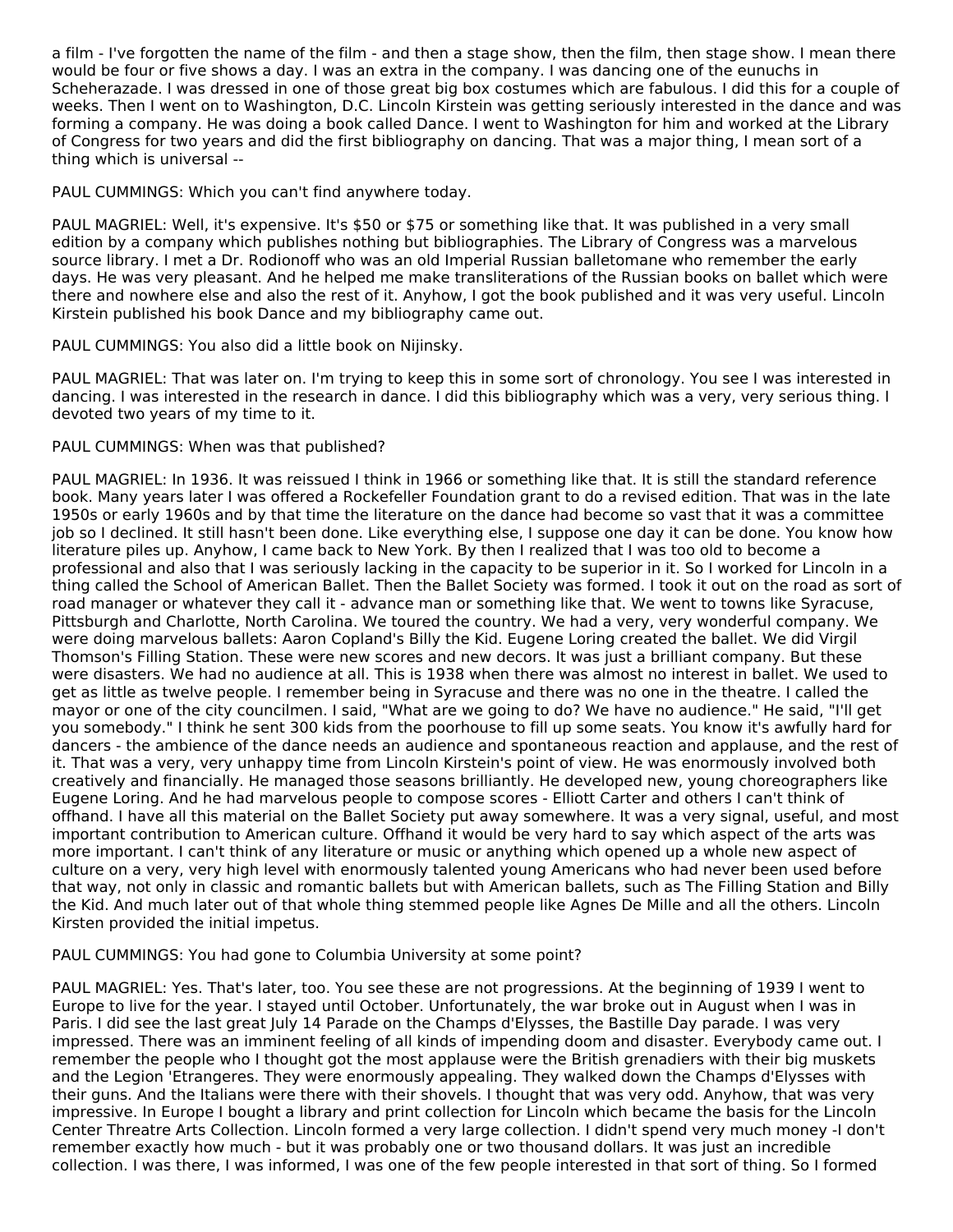a film - I've forgotten the name of the film - and then a stage show, then the film, then stage show. I mean there would be four or five shows a day. I was an extra in the company. I was dancing one of the eunuchs in Scheherazade. I was dressed in one of those great big box costumes which are fabulous. I did this for a couple of weeks. Then I went on to Washington, D.C. Lincoln Kirstein was getting seriously interested in the dance and was forming a company. He was doing a book called Dance. I went to Washington for him and worked at the Library of Congress for two years and did the first bibliography on dancing. That was a major thing, I mean sort of a thing which is universal --

PAUL CUMMINGS: Which you can't find anywhere today.

PAUL MAGRIEL: Well, it's expensive. It's \$50 or \$75 or something like that. It was published in a very small edition by a company which publishes nothing but bibliographies. The Library of Congress was a marvelous source library. I met a Dr. Rodionoff who was an old Imperial Russian balletomane who remember the early days. He was very pleasant. And he helped me make transliterations of the Russian books on ballet which were there and nowhere else and also the rest of it. Anyhow, I got the book published and it was very useful. Lincoln Kirstein published his book Dance and my bibliography came out.

# PAUL CUMMINGS: You also did a little book on Nijinsky.

PAUL MAGRIEL: That was later on. I'm trying to keep this in some sort of chronology. You see I was interested in dancing. I was interested in the research in dance. I did this bibliography which was a very, very serious thing. I devoted two years of my time to it.

# PAUL CUMMINGS: When was that published?

PAUL MAGRIEL: In 1936. It was reissued I think in 1966 or something like that. It is still the standard reference book. Many years later I was offered a Rockefeller Foundation grant to do a revised edition. That was in the late 1950s or early 1960s and by that time the literature on the dance had become so vast that it was a committee job so I declined. It still hasn't been done. Like everything else, I suppose one day it can be done. You know how literature piles up. Anyhow, I came back to New York. By then I realized that I was too old to become a professional and also that I was seriously lacking in the capacity to be superior in it. So I worked for Lincoln in a thing called the School of American Ballet. Then the Ballet Society was formed. I took it out on the road as sort of road manager or whatever they call it - advance man or something like that. We went to towns like Syracuse, Pittsburgh and Charlotte, North Carolina. We toured the country. We had a very, very wonderful company. We were doing marvelous ballets: Aaron Copland's Billy the Kid. Eugene Loring created the ballet. We did Virgil Thomson's Filling Station. These were new scores and new decors. It was just a brilliant company. But these were disasters. We had no audience at all. This is 1938 when there was almost no interest in ballet. We used to get as little as twelve people. I remember being in Syracuse and there was no one in the theatre. I called the mayor or one of the city councilmen. I said, "What are we going to do? We have no audience." He said, "I'll get you somebody." I think he sent 300 kids from the poorhouse to fill up some seats. You know it's awfully hard for dancers - the ambience of the dance needs an audience and spontaneous reaction and applause, and the rest of it. That was a very, very unhappy time from Lincoln Kirstein's point of view. He was enormously involved both creatively and financially. He managed those seasons brilliantly. He developed new, young choreographers like Eugene Loring. And he had marvelous people to compose scores - Elliott Carter and others I can't think of offhand. I have all this material on the Ballet Society put away somewhere. It was a very signal, useful, and most important contribution to American culture. Offhand it would be very hard to say which aspect of the arts was more important. I can't think of any literature or music or anything which opened up a whole new aspect of culture on a very, very high level with enormously talented young Americans who had never been used before that way, not only in classic and romantic ballets but with American ballets, such as The Filling Station and Billy the Kid. And much later out of that whole thing stemmed people like Agnes De Mille and all the others. Lincoln Kirsten provided the initial impetus.

#### PAUL CUMMINGS: You had gone to Columbia University at some point?

PAUL MAGRIEL: Yes. That's later, too. You see these are not progressions. At the beginning of 1939 I went to Europe to live for the year. I stayed until October. Unfortunately, the war broke out in August when I was in Paris. I did see the last great July 14 Parade on the Champs d'Elysses, the Bastille Day parade. I was very impressed. There was an imminent feeling of all kinds of impending doom and disaster. Everybody came out. I remember the people who I thought got the most applause were the British grenadiers with their big muskets and the Legion 'Etrangeres. They were enormously appealing. They walked down the Champs d'Elysses with their guns. And the Italians were there with their shovels. I thought that was very odd. Anyhow, that was very impressive. In Europe I bought a library and print collection for Lincoln which became the basis for the Lincoln Center Threatre Arts Collection. Lincoln formed a very large collection. I didn't spend very much money -I don't remember exactly how much - but it was probably one or two thousand dollars. It was just an incredible collection. I was there, I was informed, I was one of the few people interested in that sort of thing. So I formed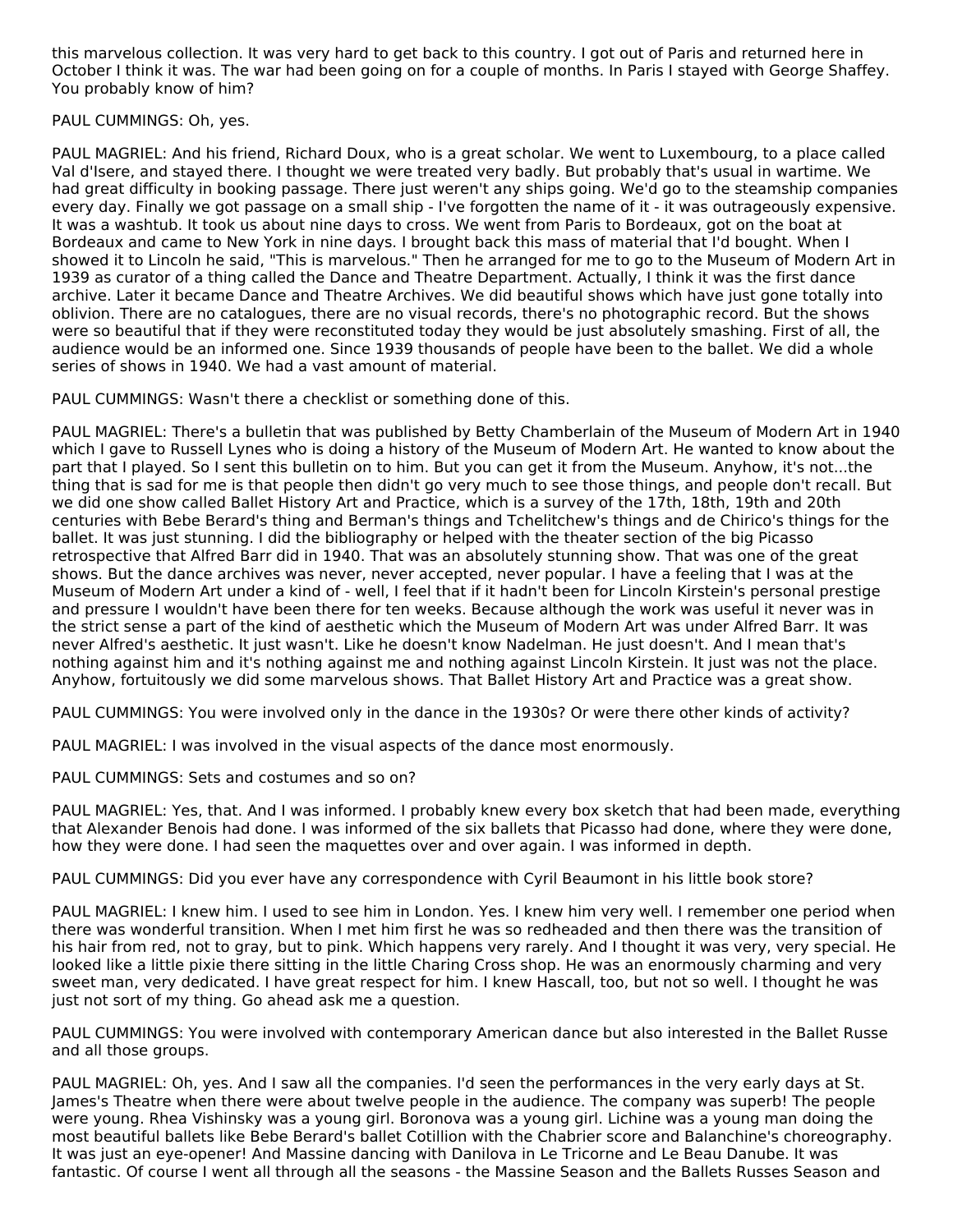this marvelous collection. It was very hard to get back to this country. I got out of Paris and returned here in October I think it was. The war had been going on for a couple of months. In Paris I stayed with George Shaffey. You probably know of him?

PAUL CUMMINGS: Oh, yes.

PAUL MAGRIEL: And his friend, Richard Doux, who is a great scholar. We went to Luxembourg, to a place called Val d'Isere, and stayed there. I thought we were treated very badly. But probably that's usual in wartime. We had great difficulty in booking passage. There just weren't any ships going. We'd go to the steamship companies every day. Finally we got passage on a small ship - I've forgotten the name of it - it was outrageously expensive. It was a washtub. It took us about nine days to cross. We went from Paris to Bordeaux, got on the boat at Bordeaux and came to New York in nine days. I brought back this mass of material that I'd bought. When I showed it to Lincoln he said, "This is marvelous." Then he arranged for me to go to the Museum of Modern Art in 1939 as curator of a thing called the Dance and Theatre Department. Actually, I think it was the first dance archive. Later it became Dance and Theatre Archives. We did beautiful shows which have just gone totally into oblivion. There are no catalogues, there are no visual records, there's no photographic record. But the shows were so beautiful that if they were reconstituted today they would be just absolutely smashing. First of all, the audience would be an informed one. Since 1939 thousands of people have been to the ballet. We did a whole series of shows in 1940. We had a vast amount of material.

PAUL CUMMINGS: Wasn't there a checklist or something done of this.

PAUL MAGRIEL: There's a bulletin that was published by Betty Chamberlain of the Museum of Modern Art in 1940 which I gave to Russell Lynes who is doing a history of the Museum of Modern Art. He wanted to know about the part that I played. So I sent this bulletin on to him. But you can get it from the Museum. Anyhow, it's not...the thing that is sad for me is that people then didn't go very much to see those things, and people don't recall. But we did one show called Ballet History Art and Practice, which is a survey of the 17th, 18th, 19th and 20th centuries with Bebe Berard's thing and Berman's things and Tchelitchew's things and de Chirico's things for the ballet. It was just stunning. I did the bibliography or helped with the theater section of the big Picasso retrospective that Alfred Barr did in 1940. That was an absolutely stunning show. That was one of the great shows. But the dance archives was never, never accepted, never popular. I have a feeling that I was at the Museum of Modern Art under a kind of - well, I feel that if it hadn't been for Lincoln Kirstein's personal prestige and pressure I wouldn't have been there for ten weeks. Because although the work was useful it never was in the strict sense a part of the kind of aesthetic which the Museum of Modern Art was under Alfred Barr. It was never Alfred's aesthetic. It just wasn't. Like he doesn't know Nadelman. He just doesn't. And I mean that's nothing against him and it's nothing against me and nothing against Lincoln Kirstein. It just was not the place. Anyhow, fortuitously we did some marvelous shows. That Ballet History Art and Practice was a great show.

PAUL CUMMINGS: You were involved only in the dance in the 1930s? Or were there other kinds of activity?

PAUL MAGRIEL: I was involved in the visual aspects of the dance most enormously.

PAUL CUMMINGS: Sets and costumes and so on?

PAUL MAGRIEL: Yes, that. And I was informed. I probably knew every box sketch that had been made, everything that Alexander Benois had done. I was informed of the six ballets that Picasso had done, where they were done, how they were done. I had seen the maquettes over and over again. I was informed in depth.

PAUL CUMMINGS: Did you ever have any correspondence with Cyril Beaumont in his little book store?

PAUL MAGRIEL: I knew him. I used to see him in London. Yes. I knew him very well. I remember one period when there was wonderful transition. When I met him first he was so redheaded and then there was the transition of his hair from red, not to gray, but to pink. Which happens very rarely. And I thought it was very, very special. He looked like a little pixie there sitting in the little Charing Cross shop. He was an enormously charming and very sweet man, very dedicated. I have great respect for him. I knew Hascall, too, but not so well. I thought he was just not sort of my thing. Go ahead ask me a question.

PAUL CUMMINGS: You were involved with contemporary American dance but also interested in the Ballet Russe and all those groups.

PAUL MAGRIEL: Oh, yes. And I saw all the companies. I'd seen the performances in the very early days at St. James's Theatre when there were about twelve people in the audience. The company was superb! The people were young. Rhea Vishinsky was a young girl. Boronova was a young girl. Lichine was a young man doing the most beautiful ballets like Bebe Berard's ballet Cotillion with the Chabrier score and Balanchine's choreography. It was just an eye-opener! And Massine dancing with Danilova in Le Tricorne and Le Beau Danube. It was fantastic. Of course I went all through all the seasons - the Massine Season and the Ballets Russes Season and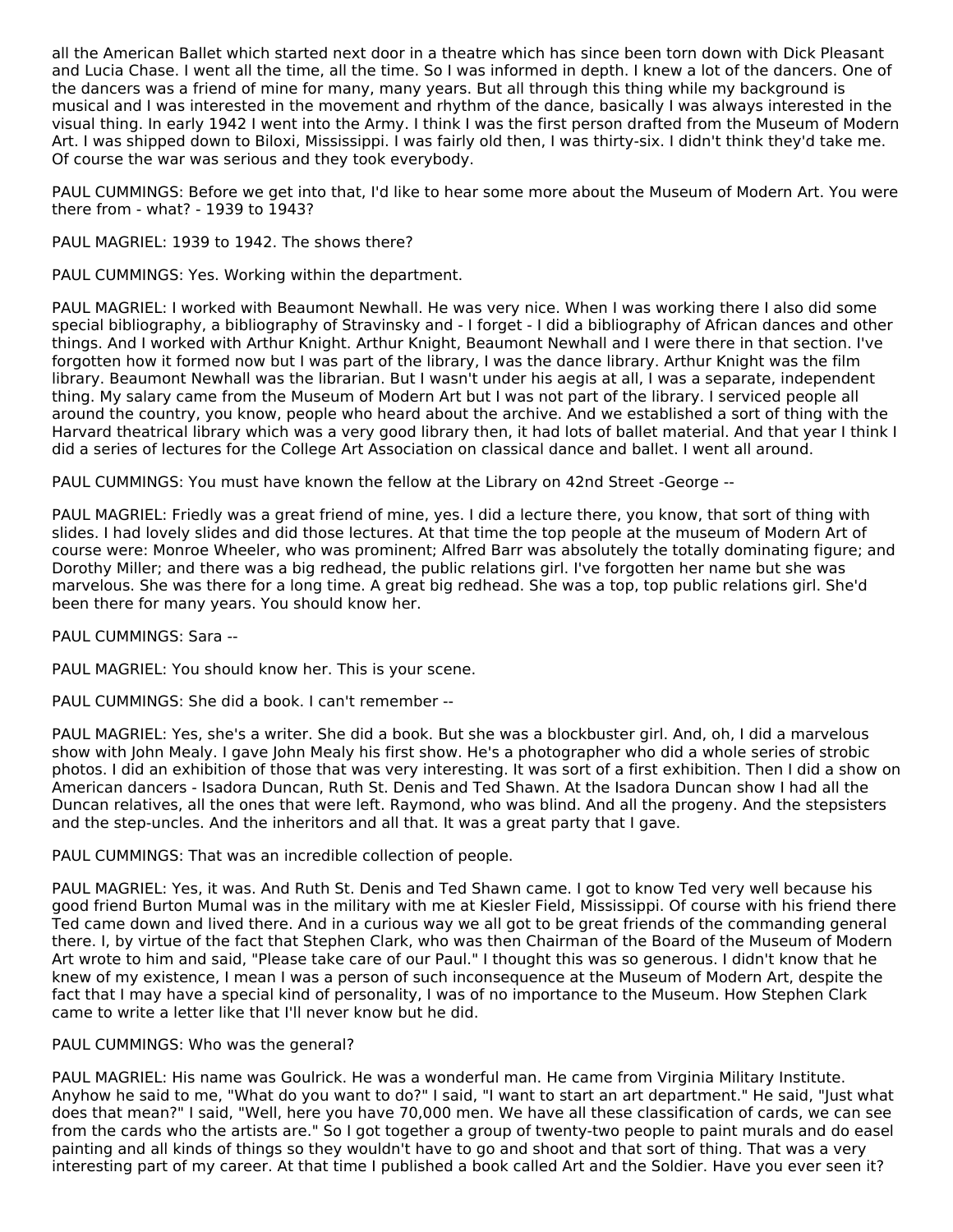all the American Ballet which started next door in a theatre which has since been torn down with Dick Pleasant and Lucia Chase. I went all the time, all the time. So I was informed in depth. I knew a lot of the dancers. One of the dancers was a friend of mine for many, many years. But all through this thing while my background is musical and I was interested in the movement and rhythm of the dance, basically I was always interested in the visual thing. In early 1942 I went into the Army. I think I was the first person drafted from the Museum of Modern Art. I was shipped down to Biloxi, Mississippi. I was fairly old then, I was thirty-six. I didn't think they'd take me. Of course the war was serious and they took everybody.

PAUL CUMMINGS: Before we get into that, I'd like to hear some more about the Museum of Modern Art. You were there from - what? - 1939 to 1943?

PAUL MAGRIEL: 1939 to 1942. The shows there?

PAUL CUMMINGS: Yes. Working within the department.

PAUL MAGRIEL: I worked with Beaumont Newhall. He was very nice. When I was working there I also did some special bibliography, a bibliography of Stravinsky and - I forget - I did a bibliography of African dances and other things. And I worked with Arthur Knight. Arthur Knight, Beaumont Newhall and I were there in that section. I've forgotten how it formed now but I was part of the library, I was the dance library. Arthur Knight was the film library. Beaumont Newhall was the librarian. But I wasn't under his aegis at all, I was a separate, independent thing. My salary came from the Museum of Modern Art but I was not part of the library. I serviced people all around the country, you know, people who heard about the archive. And we established a sort of thing with the Harvard theatrical library which was a very good library then, it had lots of ballet material. And that year I think I did a series of lectures for the College Art Association on classical dance and ballet. I went all around.

PAUL CUMMINGS: You must have known the fellow at the Library on 42nd Street -George --

PAUL MAGRIEL: Friedly was a great friend of mine, yes. I did a lecture there, you know, that sort of thing with slides. I had lovely slides and did those lectures. At that time the top people at the museum of Modern Art of course were: Monroe Wheeler, who was prominent; Alfred Barr was absolutely the totally dominating figure; and Dorothy Miller; and there was a big redhead, the public relations girl. I've forgotten her name but she was marvelous. She was there for a long time. A great big redhead. She was a top, top public relations girl. She'd been there for many years. You should know her.

PAUL CUMMINGS: Sara --

PAUL MAGRIEL: You should know her. This is your scene.

PAUL CUMMINGS: She did a book. I can't remember --

PAUL MAGRIEL: Yes, she's a writer. She did a book. But she was a blockbuster girl. And, oh, I did a marvelous show with John Mealy. I gave John Mealy his first show. He's a photographer who did a whole series of strobic photos. I did an exhibition of those that was very interesting. It was sort of a first exhibition. Then I did a show on American dancers - Isadora Duncan, Ruth St. Denis and Ted Shawn. At the Isadora Duncan show I had all the Duncan relatives, all the ones that were left. Raymond, who was blind. And all the progeny. And the stepsisters and the step-uncles. And the inheritors and all that. It was a great party that I gave.

PAUL CUMMINGS: That was an incredible collection of people.

PAUL MAGRIEL: Yes, it was. And Ruth St. Denis and Ted Shawn came. I got to know Ted very well because his good friend Burton Mumal was in the military with me at Kiesler Field, Mississippi. Of course with his friend there Ted came down and lived there. And in a curious way we all got to be great friends of the commanding general there. I, by virtue of the fact that Stephen Clark, who was then Chairman of the Board of the Museum of Modern Art wrote to him and said, "Please take care of our Paul." I thought this was so generous. I didn't know that he knew of my existence, I mean I was a person of such inconsequence at the Museum of Modern Art, despite the fact that I may have a special kind of personality, I was of no importance to the Museum. How Stephen Clark came to write a letter like that I'll never know but he did.

#### PAUL CUMMINGS: Who was the general?

PAUL MAGRIEL: His name was Goulrick. He was a wonderful man. He came from Virginia Military Institute. Anyhow he said to me, "What do you want to do?" I said, "I want to start an art department." He said, "Just what does that mean?" I said, "Well, here you have 70,000 men. We have all these classification of cards, we can see from the cards who the artists are." So I got together a group of twenty-two people to paint murals and do easel painting and all kinds of things so they wouldn't have to go and shoot and that sort of thing. That was a very interesting part of my career. At that time I published a book called Art and the Soldier. Have you ever seen it?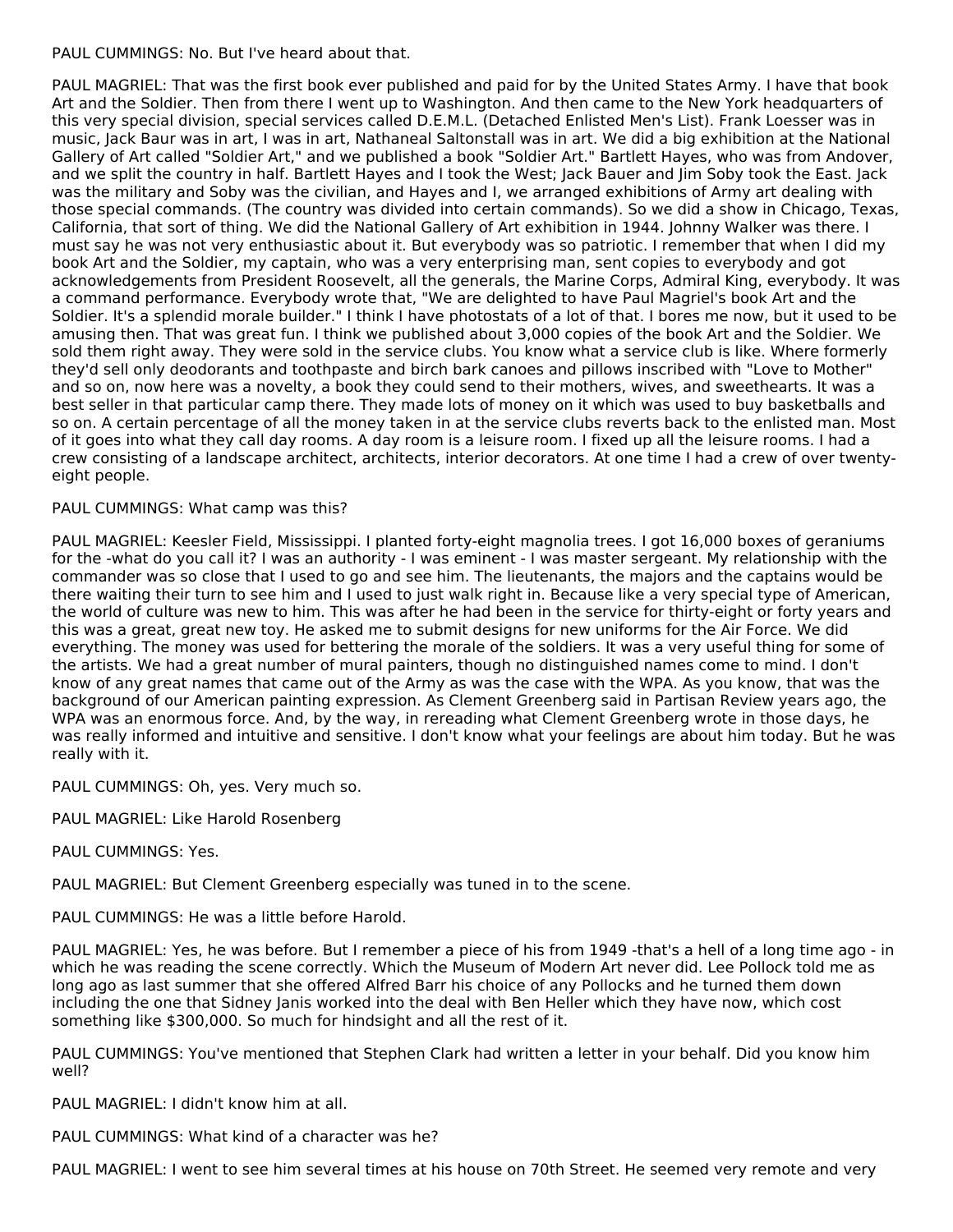PAUL CUMMINGS: No. But I've heard about that.

PAUL MAGRIEL: That was the first book ever published and paid for by the United States Army. I have that book Art and the Soldier. Then from there I went up to Washington. And then came to the New York headquarters of this very special division, special services called D.E.M.L. (Detached Enlisted Men's List). Frank Loesser was in music, Jack Baur was in art, I was in art, Nathaneal Saltonstall was in art. We did a big exhibition at the National Gallery of Art called "Soldier Art," and we published a book "Soldier Art." Bartlett Hayes, who was from Andover, and we split the country in half. Bartlett Hayes and I took the West; Jack Bauer and Jim Soby took the East. Jack was the military and Soby was the civilian, and Hayes and I, we arranged exhibitions of Army art dealing with those special commands. (The country was divided into certain commands). So we did a show in Chicago, Texas, California, that sort of thing. We did the National Gallery of Art exhibition in 1944. Johnny Walker was there. I must say he was not very enthusiastic about it. But everybody was so patriotic. I remember that when I did my book Art and the Soldier, my captain, who was a very enterprising man, sent copies to everybody and got acknowledgements from President Roosevelt, all the generals, the Marine Corps, Admiral King, everybody. It was a command performance. Everybody wrote that, "We are delighted to have Paul Magriel's book Art and the Soldier. It's a splendid morale builder." I think I have photostats of a lot of that. I bores me now, but it used to be amusing then. That was great fun. I think we published about 3,000 copies of the book Art and the Soldier. We sold them right away. They were sold in the service clubs. You know what a service club is like. Where formerly they'd sell only deodorants and toothpaste and birch bark canoes and pillows inscribed with "Love to Mother" and so on, now here was a novelty, a book they could send to their mothers, wives, and sweethearts. It was a best seller in that particular camp there. They made lots of money on it which was used to buy basketballs and so on. A certain percentage of all the money taken in at the service clubs reverts back to the enlisted man. Most of it goes into what they call day rooms. A day room is a leisure room. I fixed up all the leisure rooms. I had a crew consisting of a landscape architect, architects, interior decorators. At one time I had a crew of over twentyeight people.

# PAUL CUMMINGS: What camp was this?

PAUL MAGRIEL: Keesler Field, Mississippi. I planted forty-eight magnolia trees. I got 16,000 boxes of geraniums for the -what do you call it? I was an authority - I was eminent - I was master sergeant. My relationship with the commander was so close that I used to go and see him. The lieutenants, the majors and the captains would be there waiting their turn to see him and I used to just walk right in. Because like a very special type of American, the world of culture was new to him. This was after he had been in the service for thirty-eight or forty years and this was a great, great new toy. He asked me to submit designs for new uniforms for the Air Force. We did everything. The money was used for bettering the morale of the soldiers. It was a very useful thing for some of the artists. We had a great number of mural painters, though no distinguished names come to mind. I don't know of any great names that came out of the Army as was the case with the WPA. As you know, that was the background of our American painting expression. As Clement Greenberg said in Partisan Review years ago, the WPA was an enormous force. And, by the way, in rereading what Clement Greenberg wrote in those days, he was really informed and intuitive and sensitive. I don't know what your feelings are about him today. But he was really with it.

PAUL CUMMINGS: Oh, yes. Very much so.

PAUL MAGRIEL: Like Harold Rosenberg

PAUL CUMMINGS: Yes.

PAUL MAGRIEL: But Clement Greenberg especially was tuned in to the scene.

PAUL CUMMINGS: He was a little before Harold.

PAUL MAGRIEL: Yes, he was before. But I remember a piece of his from 1949 -that's a hell of a long time ago - in which he was reading the scene correctly. Which the Museum of Modern Art never did. Lee Pollock told me as long ago as last summer that she offered Alfred Barr his choice of any Pollocks and he turned them down including the one that Sidney Janis worked into the deal with Ben Heller which they have now, which cost something like \$300,000. So much for hindsight and all the rest of it.

PAUL CUMMINGS: You've mentioned that Stephen Clark had written a letter in your behalf. Did you know him well?

PAUL MAGRIEL: I didn't know him at all.

PAUL CUMMINGS: What kind of a character was he?

PAUL MAGRIEL: I went to see him several times at his house on 70th Street. He seemed very remote and very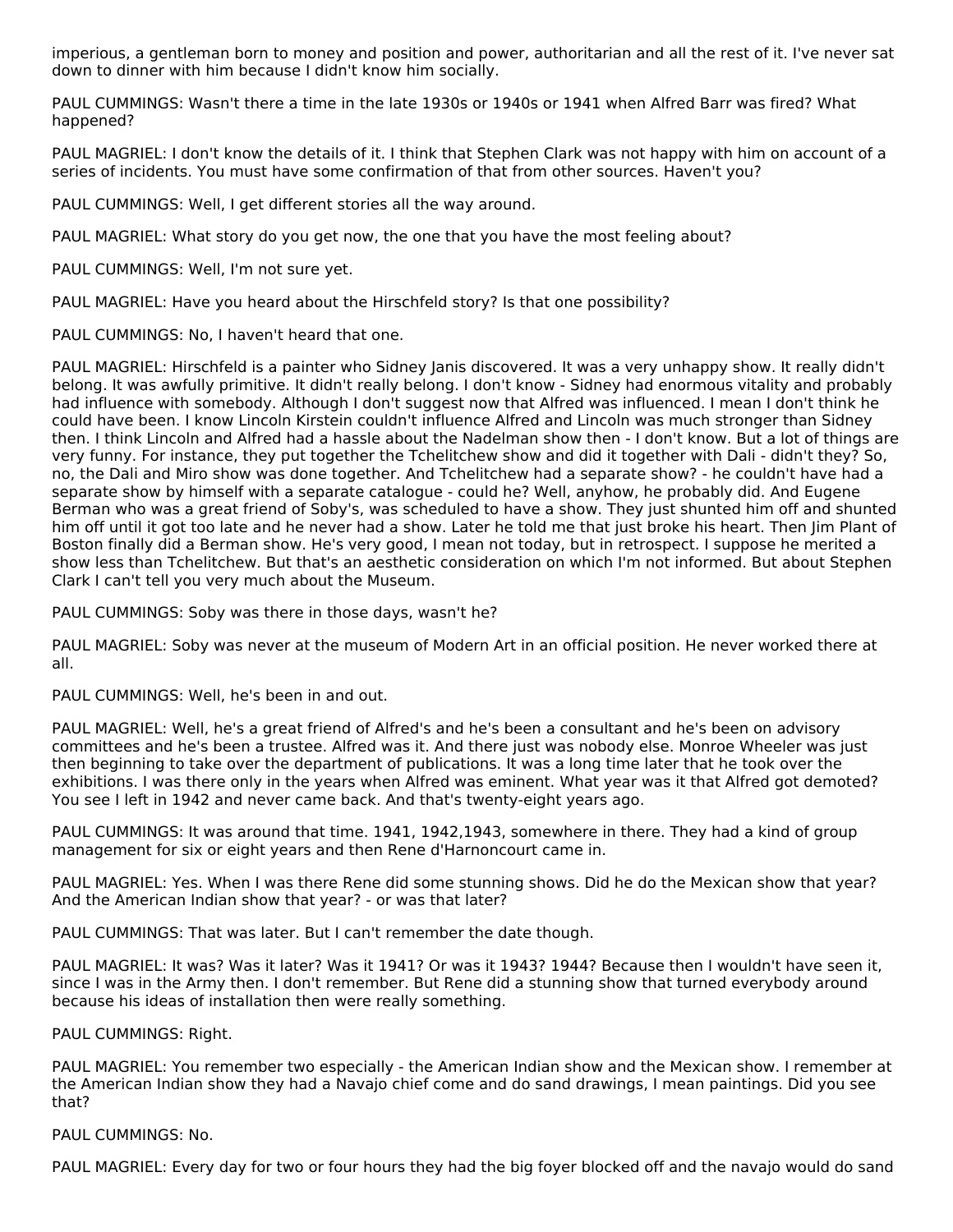imperious, a gentleman born to money and position and power, authoritarian and all the rest of it. I've never sat down to dinner with him because I didn't know him socially.

PAUL CUMMINGS: Wasn't there a time in the late 1930s or 1940s or 1941 when Alfred Barr was fired? What happened?

PAUL MAGRIEL: I don't know the details of it. I think that Stephen Clark was not happy with him on account of a series of incidents. You must have some confirmation of that from other sources. Haven't you?

PAUL CUMMINGS: Well, I get different stories all the way around.

PAUL MAGRIEL: What story do you get now, the one that you have the most feeling about?

PAUL CUMMINGS: Well, I'm not sure yet.

PAUL MAGRIEL: Have you heard about the Hirschfeld story? Is that one possibility?

PAUL CUMMINGS: No, I haven't heard that one.

PAUL MAGRIEL: Hirschfeld is a painter who Sidney Janis discovered. It was a very unhappy show. It really didn't belong. It was awfully primitive. It didn't really belong. I don't know - Sidney had enormous vitality and probably had influence with somebody. Although I don't suggest now that Alfred was influenced. I mean I don't think he could have been. I know Lincoln Kirstein couldn't influence Alfred and Lincoln was much stronger than Sidney then. I think Lincoln and Alfred had a hassle about the Nadelman show then - I don't know. But a lot of things are very funny. For instance, they put together the Tchelitchew show and did it together with Dali - didn't they? So, no, the Dali and Miro show was done together. And Tchelitchew had a separate show? - he couldn't have had a separate show by himself with a separate catalogue - could he? Well, anyhow, he probably did. And Eugene Berman who was a great friend of Soby's, was scheduled to have a show. They just shunted him off and shunted him off until it got too late and he never had a show. Later he told me that just broke his heart. Then Jim Plant of Boston finally did a Berman show. He's very good, I mean not today, but in retrospect. I suppose he merited a show less than Tchelitchew. But that's an aesthetic consideration on which I'm not informed. But about Stephen Clark I can't tell you very much about the Museum.

PAUL CUMMINGS: Soby was there in those days, wasn't he?

PAUL MAGRIEL: Soby was never at the museum of Modern Art in an official position. He never worked there at all.

PAUL CUMMINGS: Well, he's been in and out.

PAUL MAGRIEL: Well, he's a great friend of Alfred's and he's been a consultant and he's been on advisory committees and he's been a trustee. Alfred was it. And there just was nobody else. Monroe Wheeler was just then beginning to take over the department of publications. It was a long time later that he took over the exhibitions. I was there only in the years when Alfred was eminent. What year was it that Alfred got demoted? You see I left in 1942 and never came back. And that's twenty-eight years ago.

PAUL CUMMINGS: It was around that time. 1941, 1942,1943, somewhere in there. They had a kind of group management for six or eight years and then Rene d'Harnoncourt came in.

PAUL MAGRIEL: Yes. When I was there Rene did some stunning shows. Did he do the Mexican show that year? And the American Indian show that year? - or was that later?

PAUL CUMMINGS: That was later. But I can't remember the date though.

PAUL MAGRIEL: It was? Was it later? Was it 1941? Or was it 1943? 1944? Because then I wouldn't have seen it, since I was in the Army then. I don't remember. But Rene did a stunning show that turned everybody around because his ideas of installation then were really something.

#### PAUL CUMMINGS: Right.

PAUL MAGRIEL: You remember two especially - the American Indian show and the Mexican show. I remember at the American Indian show they had a Navajo chief come and do sand drawings, I mean paintings. Did you see that?

PAUL CUMMINGS: No.

PAUL MAGRIEL: Every day for two or four hours they had the big foyer blocked off and the navajo would do sand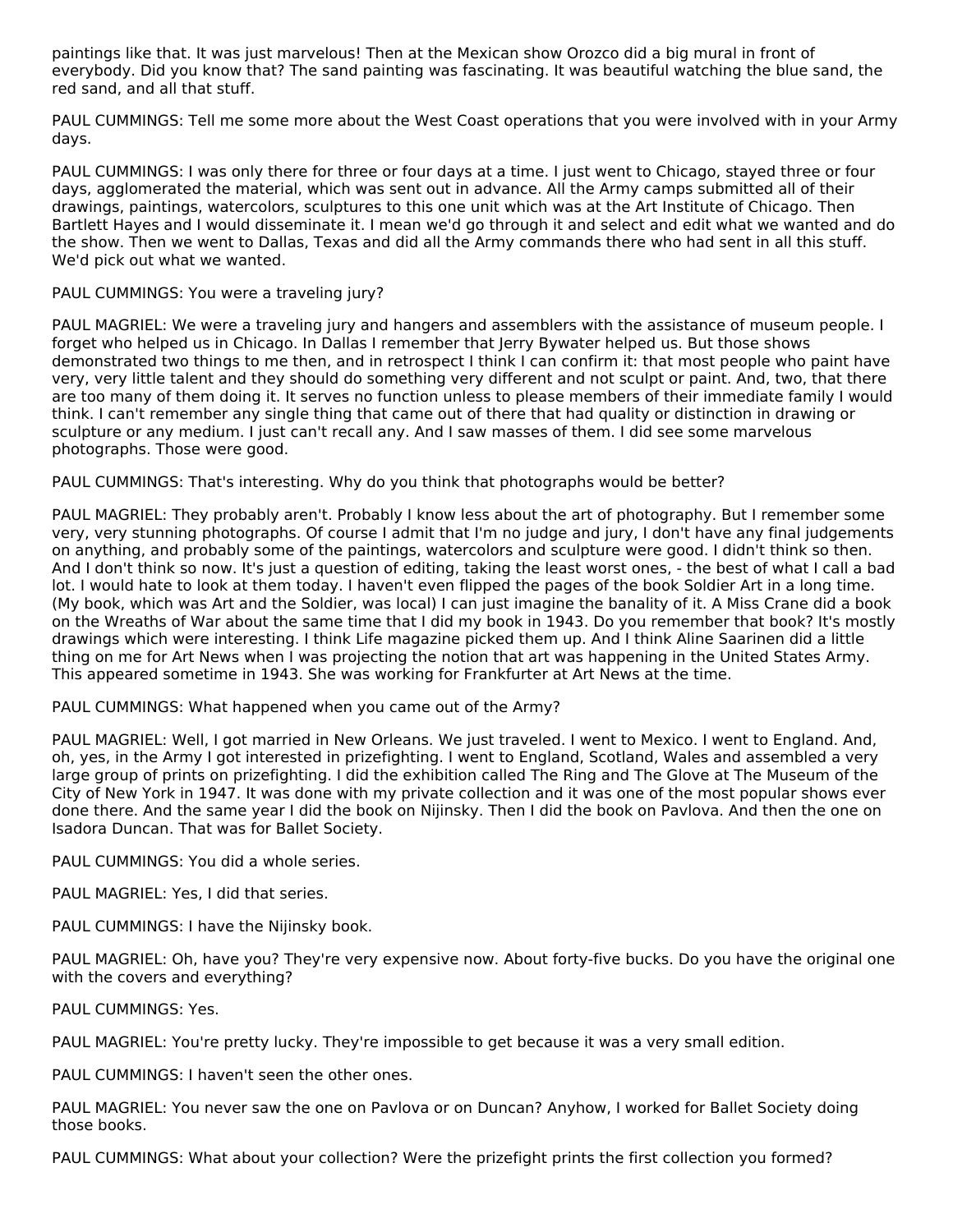paintings like that. It was just marvelous! Then at the Mexican show Orozco did a big mural in front of everybody. Did you know that? The sand painting was fascinating. It was beautiful watching the blue sand, the red sand, and all that stuff.

PAUL CUMMINGS: Tell me some more about the West Coast operations that you were involved with in your Army days.

PAUL CUMMINGS: I was only there for three or four days at a time. I just went to Chicago, stayed three or four days, agglomerated the material, which was sent out in advance. All the Army camps submitted all of their drawings, paintings, watercolors, sculptures to this one unit which was at the Art Institute of Chicago. Then Bartlett Hayes and I would disseminate it. I mean we'd go through it and select and edit what we wanted and do the show. Then we went to Dallas, Texas and did all the Army commands there who had sent in all this stuff. We'd pick out what we wanted.

# PAUL CUMMINGS: You were a traveling jury?

PAUL MAGRIEL: We were a traveling jury and hangers and assemblers with the assistance of museum people. I forget who helped us in Chicago. In Dallas I remember that Jerry Bywater helped us. But those shows demonstrated two things to me then, and in retrospect I think I can confirm it: that most people who paint have very, very little talent and they should do something very different and not sculpt or paint. And, two, that there are too many of them doing it. It serves no function unless to please members of their immediate family I would think. I can't remember any single thing that came out of there that had quality or distinction in drawing or sculpture or any medium. I just can't recall any. And I saw masses of them. I did see some marvelous photographs. Those were good.

PAUL CUMMINGS: That's interesting. Why do you think that photographs would be better?

PAUL MAGRIEL: They probably aren't. Probably I know less about the art of photography. But I remember some very, very stunning photographs. Of course I admit that I'm no judge and jury, I don't have any final judgements on anything, and probably some of the paintings, watercolors and sculpture were good. I didn't think so then. And I don't think so now. It's just a question of editing, taking the least worst ones, - the best of what I call a bad lot. I would hate to look at them today. I haven't even flipped the pages of the book Soldier Art in a long time. (My book, which was Art and the Soldier, was local) I can just imagine the banality of it. A Miss Crane did a book on the Wreaths of War about the same time that I did my book in 1943. Do you remember that book? It's mostly drawings which were interesting. I think Life magazine picked them up. And I think Aline Saarinen did a little thing on me for Art News when I was projecting the notion that art was happening in the United States Army. This appeared sometime in 1943. She was working for Frankfurter at Art News at the time.

PAUL CUMMINGS: What happened when you came out of the Army?

PAUL MAGRIEL: Well, I got married in New Orleans. We just traveled. I went to Mexico. I went to England. And, oh, yes, in the Army I got interested in prizefighting. I went to England, Scotland, Wales and assembled a very large group of prints on prizefighting. I did the exhibition called The Ring and The Glove at The Museum of the City of New York in 1947. It was done with my private collection and it was one of the most popular shows ever done there. And the same year I did the book on Nijinsky. Then I did the book on Pavlova. And then the one on Isadora Duncan. That was for Ballet Society.

PAUL CUMMINGS: You did a whole series.

PAUL MAGRIEL: Yes, I did that series.

PAUL CUMMINGS: I have the Nijinsky book.

PAUL MAGRIEL: Oh, have you? They're very expensive now. About forty-five bucks. Do you have the original one with the covers and everything?

PAUL CUMMINGS: Yes.

PAUL MAGRIEL: You're pretty lucky. They're impossible to get because it was a very small edition.

PAUL CUMMINGS: I haven't seen the other ones.

PAUL MAGRIEL: You never saw the one on Pavlova or on Duncan? Anyhow, I worked for Ballet Society doing those books.

PAUL CUMMINGS: What about your collection? Were the prizefight prints the first collection you formed?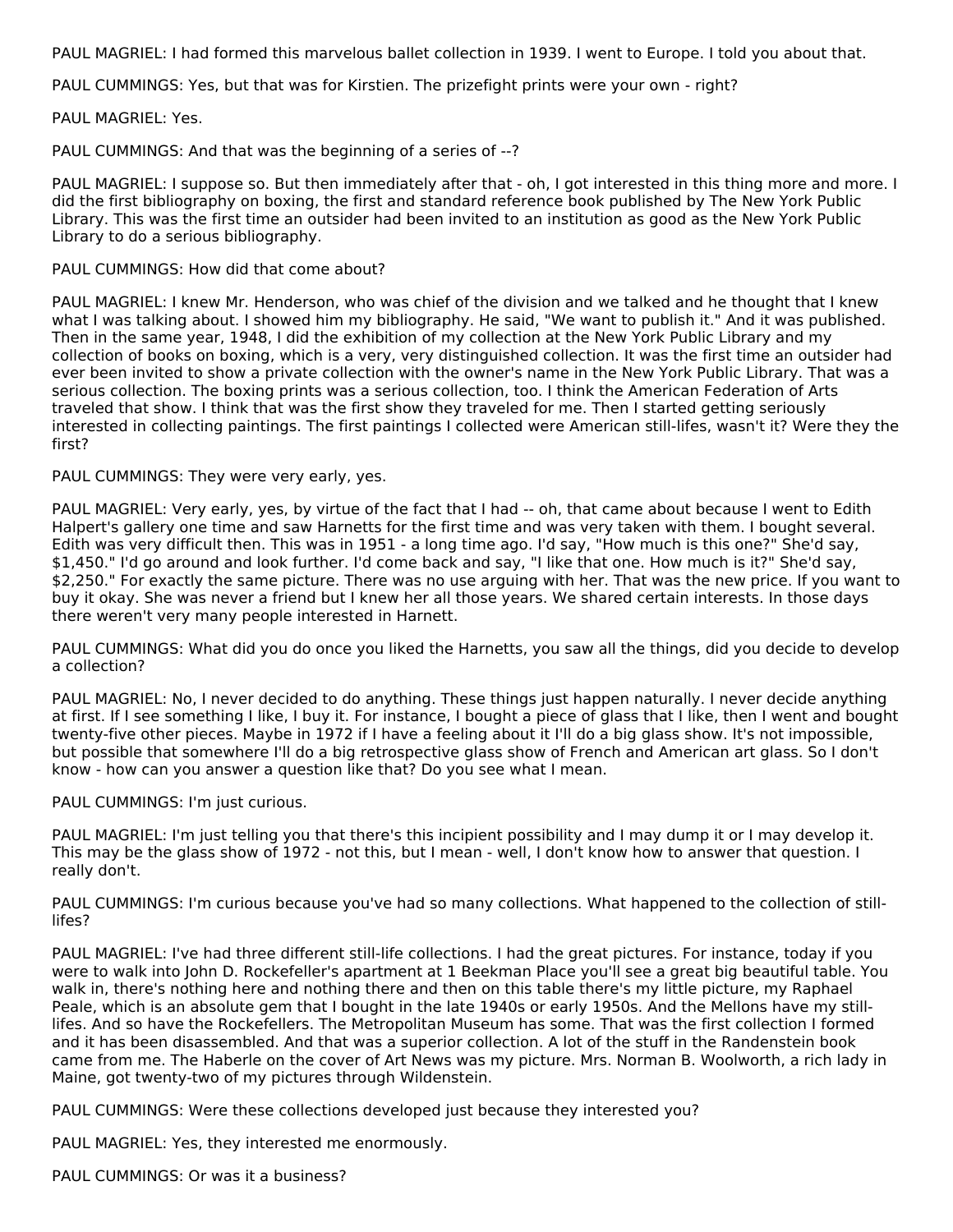PAUL MAGRIEL: I had formed this marvelous ballet collection in 1939. I went to Europe. I told you about that.

PAUL CUMMINGS: Yes, but that was for Kirstien. The prizefight prints were your own - right?

PAUL MAGRIEL: Yes.

PAUL CUMMINGS: And that was the beginning of a series of --?

PAUL MAGRIEL: I suppose so. But then immediately after that - oh, I got interested in this thing more and more. I did the first bibliography on boxing, the first and standard reference book published by The New York Public Library. This was the first time an outsider had been invited to an institution as good as the New York Public Library to do a serious bibliography.

### PAUL CUMMINGS: How did that come about?

PAUL MAGRIEL: I knew Mr. Henderson, who was chief of the division and we talked and he thought that I knew what I was talking about. I showed him my bibliography. He said, "We want to publish it." And it was published. Then in the same year, 1948, I did the exhibition of my collection at the New York Public Library and my collection of books on boxing, which is a very, very distinguished collection. It was the first time an outsider had ever been invited to show a private collection with the owner's name in the New York Public Library. That was a serious collection. The boxing prints was a serious collection, too. I think the American Federation of Arts traveled that show. I think that was the first show they traveled for me. Then I started getting seriously interested in collecting paintings. The first paintings I collected were American still-lifes, wasn't it? Were they the first?

#### PAUL CUMMINGS: They were very early, yes.

PAUL MAGRIEL: Very early, yes, by virtue of the fact that I had -- oh, that came about because I went to Edith Halpert's gallery one time and saw Harnetts for the first time and was very taken with them. I bought several. Edith was very difficult then. This was in 1951 - a long time ago. I'd say, "How much is this one?" She'd say, \$1,450." I'd go around and look further. I'd come back and say, "I like that one. How much is it?" She'd say, \$2,250." For exactly the same picture. There was no use arguing with her. That was the new price. If you want to buy it okay. She was never a friend but I knew her all those years. We shared certain interests. In those days there weren't very many people interested in Harnett.

PAUL CUMMINGS: What did you do once you liked the Harnetts, you saw all the things, did you decide to develop a collection?

PAUL MAGRIEL: No, I never decided to do anything. These things just happen naturally. I never decide anything at first. If I see something I like, I buy it. For instance, I bought a piece of glass that I like, then I went and bought twenty-five other pieces. Maybe in 1972 if I have a feeling about it I'll do a big glass show. It's not impossible, but possible that somewhere I'll do a big retrospective glass show of French and American art glass. So I don't know - how can you answer a question like that? Do you see what I mean.

PAUL CUMMINGS: I'm just curious.

PAUL MAGRIEL: I'm just telling you that there's this incipient possibility and I may dump it or I may develop it. This may be the glass show of 1972 - not this, but I mean - well, I don't know how to answer that question. I really don't.

PAUL CUMMINGS: I'm curious because you've had so many collections. What happened to the collection of stilllifes?

PAUL MAGRIEL: I've had three different still-life collections. I had the great pictures. For instance, today if you were to walk into John D. Rockefeller's apartment at 1 Beekman Place you'll see a great big beautiful table. You walk in, there's nothing here and nothing there and then on this table there's my little picture, my Raphael Peale, which is an absolute gem that I bought in the late 1940s or early 1950s. And the Mellons have my stilllifes. And so have the Rockefellers. The Metropolitan Museum has some. That was the first collection I formed and it has been disassembled. And that was a superior collection. A lot of the stuff in the Randenstein book came from me. The Haberle on the cover of Art News was my picture. Mrs. Norman B. Woolworth, a rich lady in Maine, got twenty-two of my pictures through Wildenstein.

PAUL CUMMINGS: Were these collections developed just because they interested you?

PAUL MAGRIEL: Yes, they interested me enormously.

PAUL CUMMINGS: Or was it a business?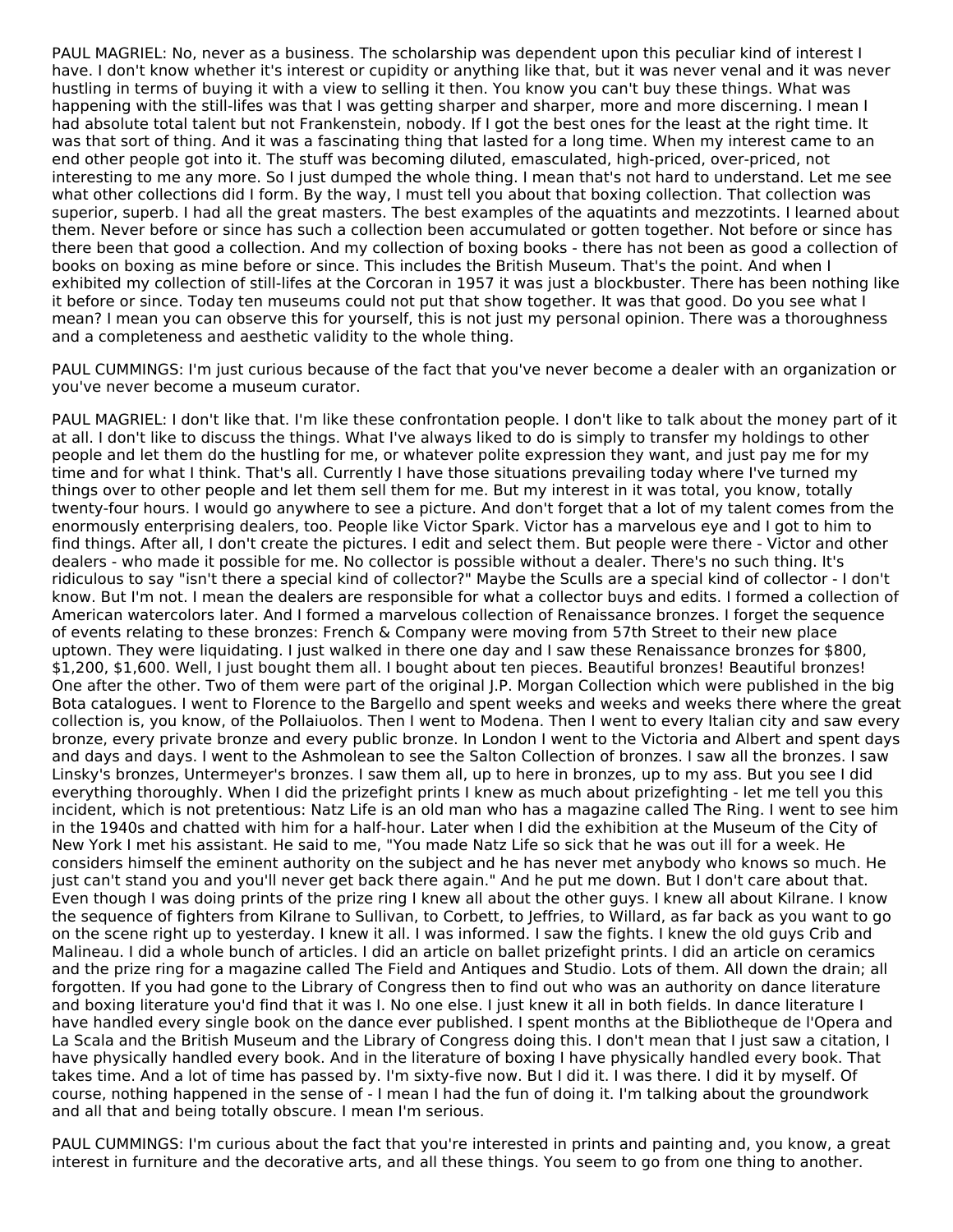PAUL MAGRIEL: No, never as a business. The scholarship was dependent upon this peculiar kind of interest I have. I don't know whether it's interest or cupidity or anything like that, but it was never venal and it was never hustling in terms of buying it with a view to selling it then. You know you can't buy these things. What was happening with the still-lifes was that I was getting sharper and sharper, more and more discerning. I mean I had absolute total talent but not Frankenstein, nobody. If I got the best ones for the least at the right time. It was that sort of thing. And it was a fascinating thing that lasted for a long time. When my interest came to an end other people got into it. The stuff was becoming diluted, emasculated, high-priced, over-priced, not interesting to me any more. So I just dumped the whole thing. I mean that's not hard to understand. Let me see what other collections did I form. By the way, I must tell you about that boxing collection. That collection was superior, superb. I had all the great masters. The best examples of the aquatints and mezzotints. I learned about them. Never before or since has such a collection been accumulated or gotten together. Not before or since has there been that good a collection. And my collection of boxing books - there has not been as good a collection of books on boxing as mine before or since. This includes the British Museum. That's the point. And when I exhibited my collection of still-lifes at the Corcoran in 1957 it was just a blockbuster. There has been nothing like it before or since. Today ten museums could not put that show together. It was that good. Do you see what I mean? I mean you can observe this for yourself, this is not just my personal opinion. There was a thoroughness and a completeness and aesthetic validity to the whole thing.

PAUL CUMMINGS: I'm just curious because of the fact that you've never become a dealer with an organization or you've never become a museum curator.

PAUL MAGRIEL: I don't like that. I'm like these confrontation people. I don't like to talk about the money part of it at all. I don't like to discuss the things. What I've always liked to do is simply to transfer my holdings to other people and let them do the hustling for me, or whatever polite expression they want, and just pay me for my time and for what I think. That's all. Currently I have those situations prevailing today where I've turned my things over to other people and let them sell them for me. But my interest in it was total, you know, totally twenty-four hours. I would go anywhere to see a picture. And don't forget that a lot of my talent comes from the enormously enterprising dealers, too. People like Victor Spark. Victor has a marvelous eye and I got to him to find things. After all, I don't create the pictures. I edit and select them. But people were there - Victor and other dealers - who made it possible for me. No collector is possible without a dealer. There's no such thing. It's ridiculous to say "isn't there a special kind of collector?" Maybe the Sculls are a special kind of collector - I don't know. But I'm not. I mean the dealers are responsible for what a collector buys and edits. I formed a collection of American watercolors later. And I formed a marvelous collection of Renaissance bronzes. I forget the sequence of events relating to these bronzes: French & Company were moving from 57th Street to their new place uptown. They were liquidating. I just walked in there one day and I saw these Renaissance bronzes for \$800, \$1,200, \$1,600. Well, I just bought them all. I bought about ten pieces. Beautiful bronzes! Beautiful bronzes! One after the other. Two of them were part of the original J.P. Morgan Collection which were published in the big Bota catalogues. I went to Florence to the Bargello and spent weeks and weeks and weeks there where the great collection is, you know, of the Pollaiuolos. Then I went to Modena. Then I went to every Italian city and saw every bronze, every private bronze and every public bronze. In London I went to the Victoria and Albert and spent days and days and days. I went to the Ashmolean to see the Salton Collection of bronzes. I saw all the bronzes. I saw Linsky's bronzes, Untermeyer's bronzes. I saw them all, up to here in bronzes, up to my ass. But you see I did everything thoroughly. When I did the prizefight prints I knew as much about prizefighting - let me tell you this incident, which is not pretentious: Natz Life is an old man who has a magazine called The Ring. I went to see him in the 1940s and chatted with him for a half-hour. Later when I did the exhibition at the Museum of the City of New York I met his assistant. He said to me, "You made Natz Life so sick that he was out ill for a week. He considers himself the eminent authority on the subject and he has never met anybody who knows so much. He just can't stand you and you'll never get back there again." And he put me down. But I don't care about that. Even though I was doing prints of the prize ring I knew all about the other guys. I knew all about Kilrane. I know the sequence of fighters from Kilrane to Sullivan, to Corbett, to Jeffries, to Willard, as far back as you want to go on the scene right up to yesterday. I knew it all. I was informed. I saw the fights. I knew the old guys Crib and Malineau. I did a whole bunch of articles. I did an article on ballet prizefight prints. I did an article on ceramics and the prize ring for a magazine called The Field and Antiques and Studio. Lots of them. All down the drain; all forgotten. If you had gone to the Library of Congress then to find out who was an authority on dance literature and boxing literature you'd find that it was I. No one else. I just knew it all in both fields. In dance literature I have handled every single book on the dance ever published. I spent months at the Bibliotheque de l'Opera and La Scala and the British Museum and the Library of Congress doing this. I don't mean that I just saw a citation, I have physically handled every book. And in the literature of boxing I have physically handled every book. That takes time. And a lot of time has passed by. I'm sixty-five now. But I did it. I was there. I did it by myself. Of course, nothing happened in the sense of - I mean I had the fun of doing it. I'm talking about the groundwork and all that and being totally obscure. I mean I'm serious.

PAUL CUMMINGS: I'm curious about the fact that you're interested in prints and painting and, you know, a great interest in furniture and the decorative arts, and all these things. You seem to go from one thing to another.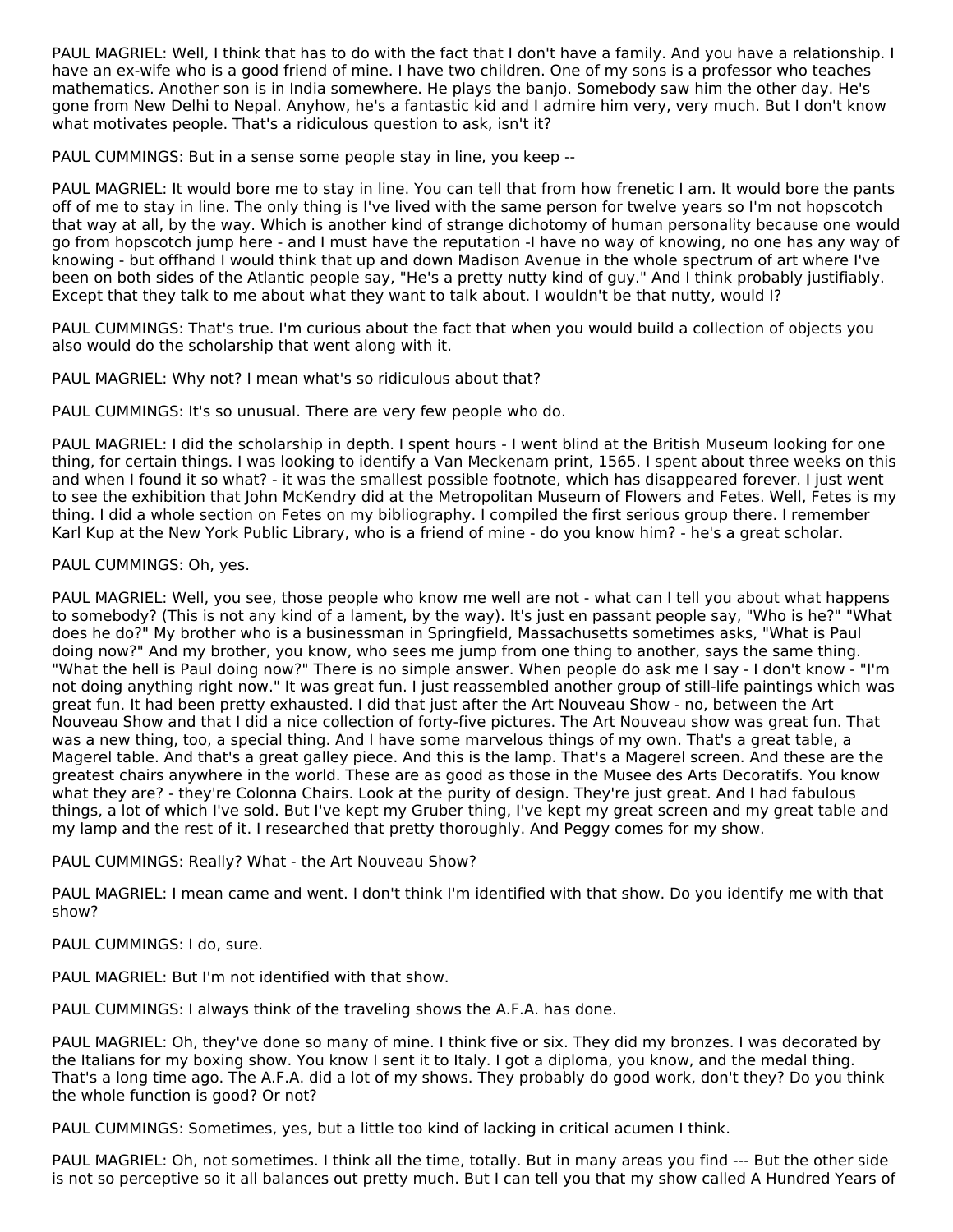PAUL MAGRIEL: Well, I think that has to do with the fact that I don't have a family. And you have a relationship. I have an ex-wife who is a good friend of mine. I have two children. One of my sons is a professor who teaches mathematics. Another son is in India somewhere. He plays the banjo. Somebody saw him the other day. He's gone from New Delhi to Nepal. Anyhow, he's a fantastic kid and I admire him very, very much. But I don't know what motivates people. That's a ridiculous question to ask, isn't it?

PAUL CUMMINGS: But in a sense some people stay in line, you keep --

PAUL MAGRIEL: It would bore me to stay in line. You can tell that from how frenetic I am. It would bore the pants off of me to stay in line. The only thing is I've lived with the same person for twelve years so I'm not hopscotch that way at all, by the way. Which is another kind of strange dichotomy of human personality because one would go from hopscotch jump here - and I must have the reputation -I have no way of knowing, no one has any way of knowing - but offhand I would think that up and down Madison Avenue in the whole spectrum of art where I've been on both sides of the Atlantic people say, "He's a pretty nutty kind of guy." And I think probably justifiably. Except that they talk to me about what they want to talk about. I wouldn't be that nutty, would I?

PAUL CUMMINGS: That's true. I'm curious about the fact that when you would build a collection of objects you also would do the scholarship that went along with it.

PAUL MAGRIEL: Why not? I mean what's so ridiculous about that?

PAUL CUMMINGS: It's so unusual. There are very few people who do.

PAUL MAGRIEL: I did the scholarship in depth. I spent hours - I went blind at the British Museum looking for one thing, for certain things. I was looking to identify a Van Meckenam print, 1565. I spent about three weeks on this and when I found it so what? - it was the smallest possible footnote, which has disappeared forever. I just went to see the exhibition that John McKendry did at the Metropolitan Museum of Flowers and Fetes. Well, Fetes is my thing. I did a whole section on Fetes on my bibliography. I compiled the first serious group there. I remember Karl Kup at the New York Public Library, who is a friend of mine - do you know him? - he's a great scholar.

# PAUL CUMMINGS: Oh, yes.

PAUL MAGRIEL: Well, you see, those people who know me well are not - what can I tell you about what happens to somebody? (This is not any kind of a lament, by the way). It's just en passant people say, "Who is he?" "What does he do?" My brother who is a businessman in Springfield, Massachusetts sometimes asks, "What is Paul doing now?" And my brother, you know, who sees me jump from one thing to another, says the same thing. "What the hell is Paul doing now?" There is no simple answer. When people do ask me I say - I don't know - "I'm not doing anything right now." It was great fun. I just reassembled another group of still-life paintings which was great fun. It had been pretty exhausted. I did that just after the Art Nouveau Show - no, between the Art Nouveau Show and that I did a nice collection of forty-five pictures. The Art Nouveau show was great fun. That was a new thing, too, a special thing. And I have some marvelous things of my own. That's a great table, a Magerel table. And that's a great galley piece. And this is the lamp. That's a Magerel screen. And these are the greatest chairs anywhere in the world. These are as good as those in the Musee des Arts Decoratifs. You know what they are? - they're Colonna Chairs. Look at the purity of design. They're just great. And I had fabulous things, a lot of which I've sold. But I've kept my Gruber thing, I've kept my great screen and my great table and my lamp and the rest of it. I researched that pretty thoroughly. And Peggy comes for my show.

#### PAUL CUMMINGS: Really? What - the Art Nouveau Show?

PAUL MAGRIEL: I mean came and went. I don't think I'm identified with that show. Do you identify me with that show?

#### PAUL CUMMINGS: I do, sure.

PAUL MAGRIEL: But I'm not identified with that show.

PAUL CUMMINGS: I always think of the traveling shows the A.F.A. has done.

PAUL MAGRIEL: Oh, they've done so many of mine. I think five or six. They did my bronzes. I was decorated by the Italians for my boxing show. You know I sent it to Italy. I got a diploma, you know, and the medal thing. That's a long time ago. The A.F.A. did a lot of my shows. They probably do good work, don't they? Do you think the whole function is good? Or not?

PAUL CUMMINGS: Sometimes, yes, but a little too kind of lacking in critical acumen I think.

PAUL MAGRIEL: Oh, not sometimes. I think all the time, totally. But in many areas you find --- But the other side is not so perceptive so it all balances out pretty much. But I can tell you that my show called A Hundred Years of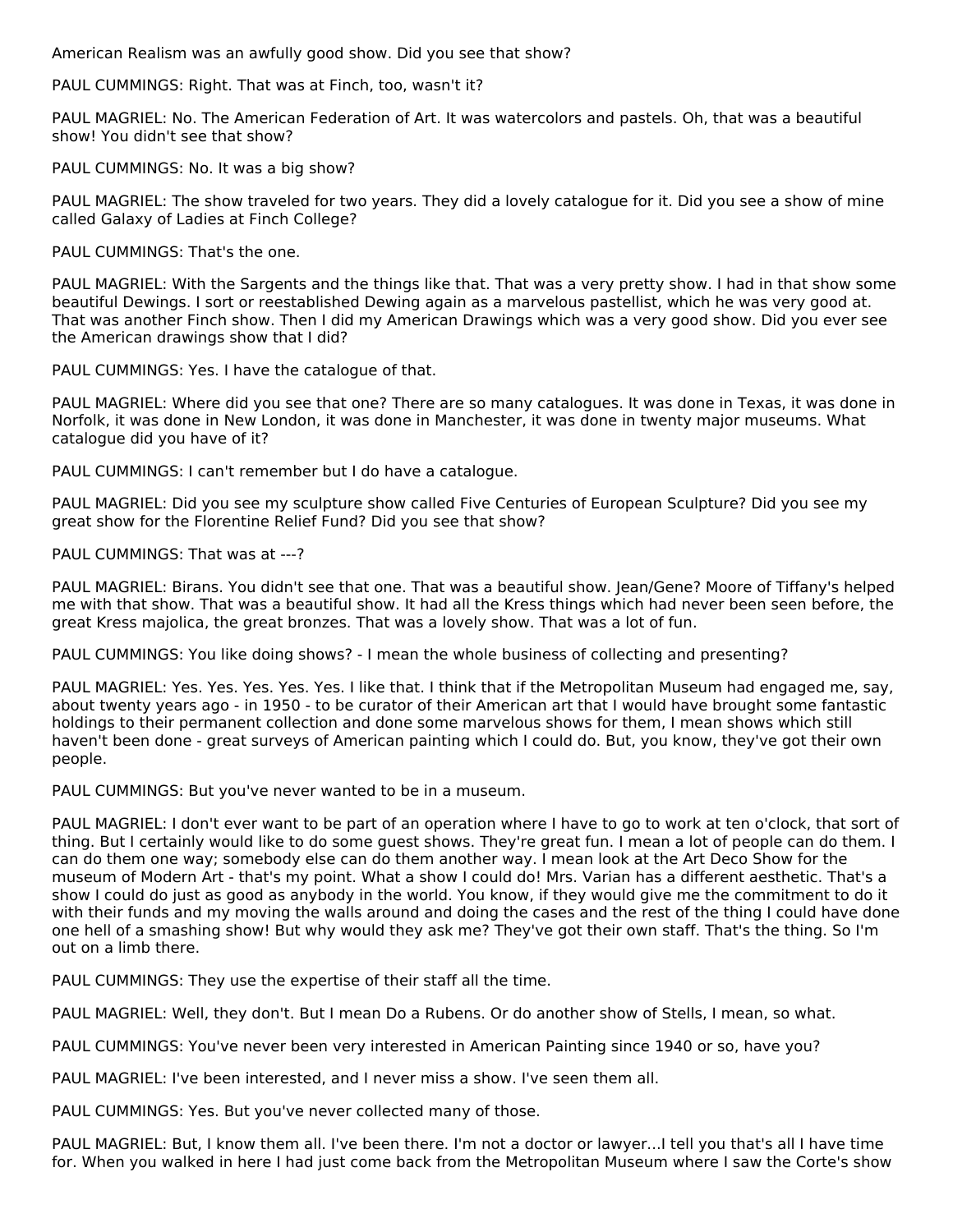American Realism was an awfully good show. Did you see that show?

PAUL CUMMINGS: Right. That was at Finch, too, wasn't it?

PAUL MAGRIEL: No. The American Federation of Art. It was watercolors and pastels. Oh, that was a beautiful show! You didn't see that show?

PAUL CUMMINGS: No. It was a big show?

PAUL MAGRIEL: The show traveled for two years. They did a lovely catalogue for it. Did you see a show of mine called Galaxy of Ladies at Finch College?

PAUL CUMMINGS: That's the one.

PAUL MAGRIEL: With the Sargents and the things like that. That was a very pretty show. I had in that show some beautiful Dewings. I sort or reestablished Dewing again as a marvelous pastellist, which he was very good at. That was another Finch show. Then I did my American Drawings which was a very good show. Did you ever see the American drawings show that I did?

PAUL CUMMINGS: Yes. I have the catalogue of that.

PAUL MAGRIEL: Where did you see that one? There are so many catalogues. It was done in Texas, it was done in Norfolk, it was done in New London, it was done in Manchester, it was done in twenty major museums. What catalogue did you have of it?

PAUL CUMMINGS: I can't remember but I do have a catalogue.

PAUL MAGRIEL: Did you see my sculpture show called Five Centuries of European Sculpture? Did you see my great show for the Florentine Relief Fund? Did you see that show?

PAUL CUMMINGS: That was at ---?

PAUL MAGRIEL: Birans. You didn't see that one. That was a beautiful show. Jean/Gene? Moore of Tiffany's helped me with that show. That was a beautiful show. It had all the Kress things which had never been seen before, the great Kress majolica, the great bronzes. That was a lovely show. That was a lot of fun.

PAUL CUMMINGS: You like doing shows? - I mean the whole business of collecting and presenting?

PAUL MAGRIEL: Yes. Yes. Yes. Yes. Yes. I like that. I think that if the Metropolitan Museum had engaged me, say, about twenty years ago - in 1950 - to be curator of their American art that I would have brought some fantastic holdings to their permanent collection and done some marvelous shows for them, I mean shows which still haven't been done - great surveys of American painting which I could do. But, you know, they've got their own people.

PAUL CUMMINGS: But you've never wanted to be in a museum.

PAUL MAGRIEL: I don't ever want to be part of an operation where I have to go to work at ten o'clock, that sort of thing. But I certainly would like to do some guest shows. They're great fun. I mean a lot of people can do them. I can do them one way; somebody else can do them another way. I mean look at the Art Deco Show for the museum of Modern Art - that's my point. What a show I could do! Mrs. Varian has a different aesthetic. That's a show I could do just as good as anybody in the world. You know, if they would give me the commitment to do it with their funds and my moving the walls around and doing the cases and the rest of the thing I could have done one hell of a smashing show! But why would they ask me? They've got their own staff. That's the thing. So I'm out on a limb there.

PAUL CUMMINGS: They use the expertise of their staff all the time.

PAUL MAGRIEL: Well, they don't. But I mean Do a Rubens. Or do another show of Stells, I mean, so what.

PAUL CUMMINGS: You've never been very interested in American Painting since 1940 or so, have you?

PAUL MAGRIEL: I've been interested, and I never miss a show. I've seen them all.

PAUL CUMMINGS: Yes. But you've never collected many of those.

PAUL MAGRIEL: But, I know them all. I've been there. I'm not a doctor or lawyer...I tell you that's all I have time for. When you walked in here I had just come back from the Metropolitan Museum where I saw the Corte's show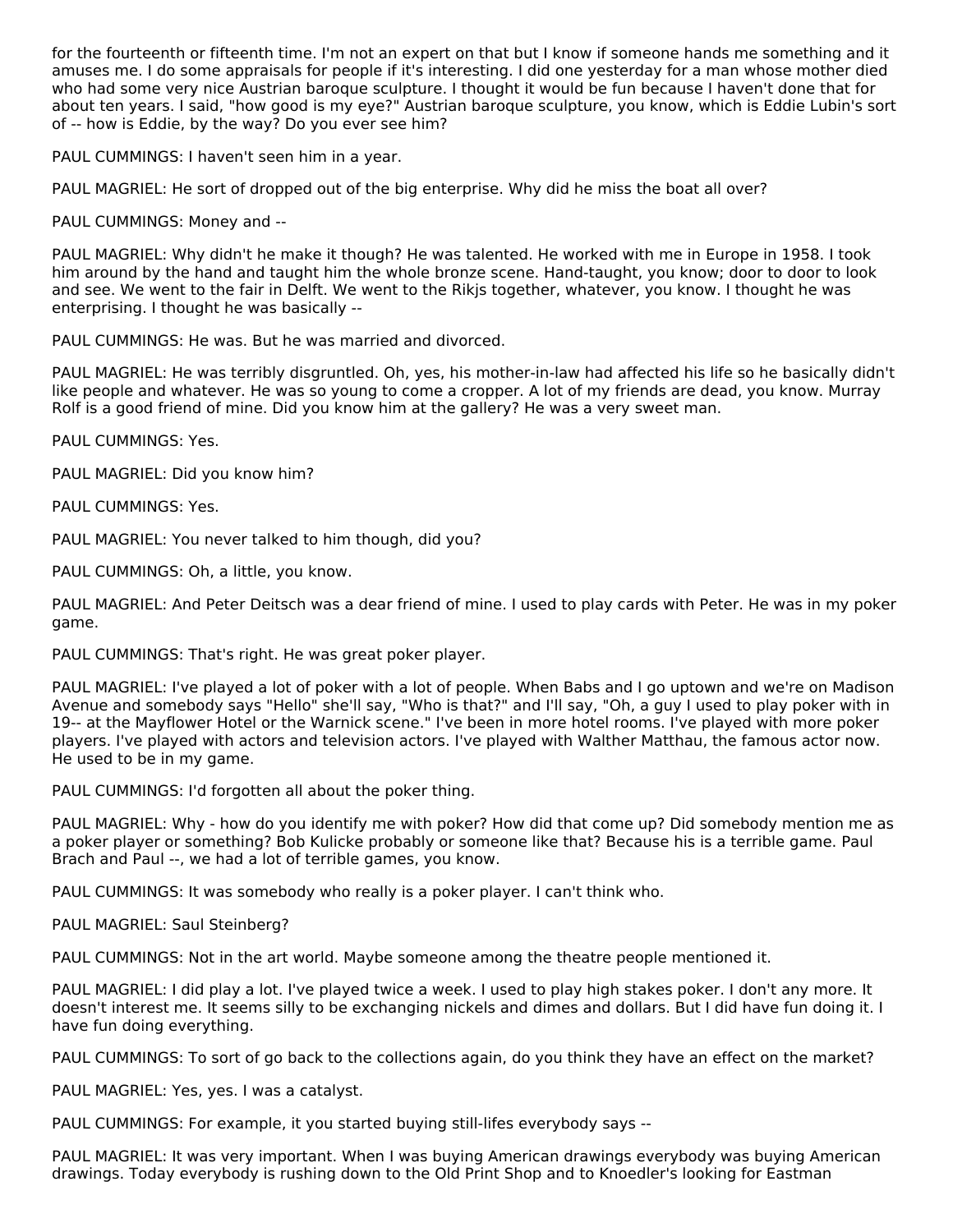for the fourteenth or fifteenth time. I'm not an expert on that but I know if someone hands me something and it amuses me. I do some appraisals for people if it's interesting. I did one yesterday for a man whose mother died who had some very nice Austrian baroque sculpture. I thought it would be fun because I haven't done that for about ten years. I said, "how good is my eye?" Austrian baroque sculpture, you know, which is Eddie Lubin's sort of -- how is Eddie, by the way? Do you ever see him?

PAUL CUMMINGS: I haven't seen him in a year.

PAUL MAGRIEL: He sort of dropped out of the big enterprise. Why did he miss the boat all over?

PAUL CUMMINGS: Money and --

PAUL MAGRIEL: Why didn't he make it though? He was talented. He worked with me in Europe in 1958. I took him around by the hand and taught him the whole bronze scene. Hand-taught, you know; door to door to look and see. We went to the fair in Delft. We went to the Rikjs together, whatever, you know. I thought he was enterprising. I thought he was basically --

PAUL CUMMINGS: He was. But he was married and divorced.

PAUL MAGRIEL: He was terribly disgruntled. Oh, yes, his mother-in-law had affected his life so he basically didn't like people and whatever. He was so young to come a cropper. A lot of my friends are dead, you know. Murray Rolf is a good friend of mine. Did you know him at the gallery? He was a very sweet man.

PAUL CUMMINGS: Yes.

PAUL MAGRIEL: Did you know him?

PAUL CUMMINGS: Yes.

PAUL MAGRIEL: You never talked to him though, did you?

PAUL CUMMINGS: Oh, a little, you know.

PAUL MAGRIEL: And Peter Deitsch was a dear friend of mine. I used to play cards with Peter. He was in my poker game.

PAUL CUMMINGS: That's right. He was great poker player.

PAUL MAGRIEL: I've played a lot of poker with a lot of people. When Babs and I go uptown and we're on Madison Avenue and somebody says "Hello" she'll say, "Who is that?" and I'll say, "Oh, a guy I used to play poker with in 19-- at the Mayflower Hotel or the Warnick scene." I've been in more hotel rooms. I've played with more poker players. I've played with actors and television actors. I've played with Walther Matthau, the famous actor now. He used to be in my game.

PAUL CUMMINGS: I'd forgotten all about the poker thing.

PAUL MAGRIEL: Why - how do you identify me with poker? How did that come up? Did somebody mention me as a poker player or something? Bob Kulicke probably or someone like that? Because his is a terrible game. Paul Brach and Paul --, we had a lot of terrible games, you know.

PAUL CUMMINGS: It was somebody who really is a poker player. I can't think who.

PAUL MAGRIEL: Saul Steinberg?

PAUL CUMMINGS: Not in the art world. Maybe someone among the theatre people mentioned it.

PAUL MAGRIEL: I did play a lot. I've played twice a week. I used to play high stakes poker. I don't any more. It doesn't interest me. It seems silly to be exchanging nickels and dimes and dollars. But I did have fun doing it. I have fun doing everything.

PAUL CUMMINGS: To sort of go back to the collections again, do you think they have an effect on the market?

PAUL MAGRIEL: Yes, yes. I was a catalyst.

PAUL CUMMINGS: For example, it you started buying still-lifes everybody says --

PAUL MAGRIEL: It was very important. When I was buying American drawings everybody was buying American drawings. Today everybody is rushing down to the Old Print Shop and to Knoedler's looking for Eastman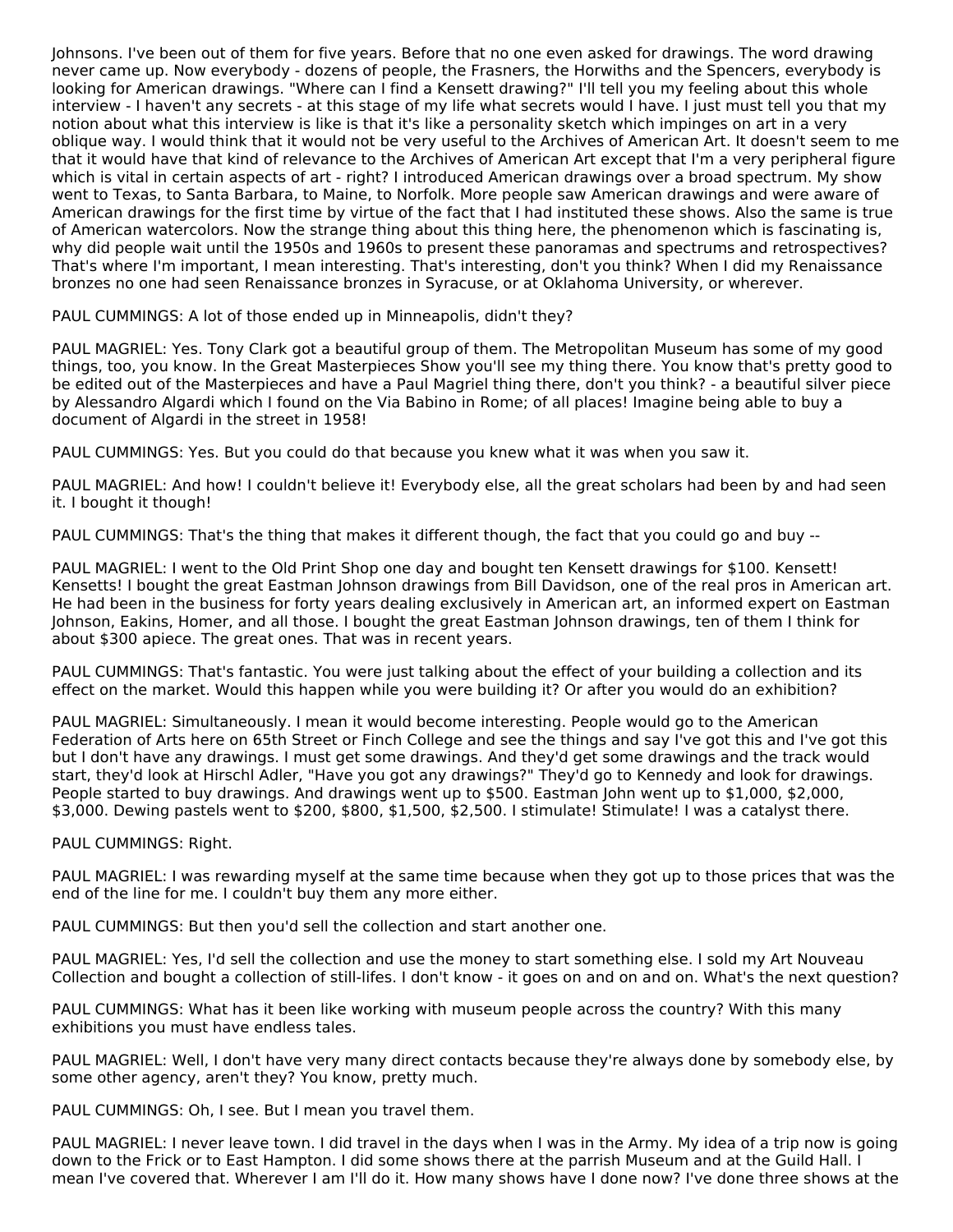Johnsons. I've been out of them for five years. Before that no one even asked for drawings. The word drawing never came up. Now everybody - dozens of people, the Frasners, the Horwiths and the Spencers, everybody is looking for American drawings. "Where can I find a Kensett drawing?" I'll tell you my feeling about this whole interview - I haven't any secrets - at this stage of my life what secrets would I have. I just must tell you that my notion about what this interview is like is that it's like a personality sketch which impinges on art in a very oblique way. I would think that it would not be very useful to the Archives of American Art. It doesn't seem to me that it would have that kind of relevance to the Archives of American Art except that I'm a very peripheral figure which is vital in certain aspects of art - right? I introduced American drawings over a broad spectrum. My show went to Texas, to Santa Barbara, to Maine, to Norfolk. More people saw American drawings and were aware of American drawings for the first time by virtue of the fact that I had instituted these shows. Also the same is true of American watercolors. Now the strange thing about this thing here, the phenomenon which is fascinating is, why did people wait until the 1950s and 1960s to present these panoramas and spectrums and retrospectives? That's where I'm important, I mean interesting. That's interesting, don't you think? When I did my Renaissance bronzes no one had seen Renaissance bronzes in Syracuse, or at Oklahoma University, or wherever.

PAUL CUMMINGS: A lot of those ended up in Minneapolis, didn't they?

PAUL MAGRIEL: Yes. Tony Clark got a beautiful group of them. The Metropolitan Museum has some of my good things, too, you know. In the Great Masterpieces Show you'll see my thing there. You know that's pretty good to be edited out of the Masterpieces and have a Paul Magriel thing there, don't you think? - a beautiful silver piece by Alessandro Algardi which I found on the Via Babino in Rome; of all places! Imagine being able to buy a document of Algardi in the street in 1958!

PAUL CUMMINGS: Yes. But you could do that because you knew what it was when you saw it.

PAUL MAGRIEL: And how! I couldn't believe it! Everybody else, all the great scholars had been by and had seen it. I bought it though!

PAUL CUMMINGS: That's the thing that makes it different though, the fact that you could go and buy --

PAUL MAGRIEL: I went to the Old Print Shop one day and bought ten Kensett drawings for \$100. Kensett! Kensetts! I bought the great Eastman Johnson drawings from Bill Davidson, one of the real pros in American art. He had been in the business for forty years dealing exclusively in American art, an informed expert on Eastman Johnson, Eakins, Homer, and all those. I bought the great Eastman Johnson drawings, ten of them I think for about \$300 apiece. The great ones. That was in recent years.

PAUL CUMMINGS: That's fantastic. You were just talking about the effect of your building a collection and its effect on the market. Would this happen while you were building it? Or after you would do an exhibition?

PAUL MAGRIEL: Simultaneously. I mean it would become interesting. People would go to the American Federation of Arts here on 65th Street or Finch College and see the things and say I've got this and I've got this but I don't have any drawings. I must get some drawings. And they'd get some drawings and the track would start, they'd look at Hirschl Adler, "Have you got any drawings?" They'd go to Kennedy and look for drawings. People started to buy drawings. And drawings went up to \$500. Eastman John went up to \$1,000, \$2,000, \$3,000. Dewing pastels went to \$200, \$800, \$1,500, \$2,500. I stimulate! Stimulate! I was a catalyst there.

PAUL CUMMINGS: Right.

PAUL MAGRIEL: I was rewarding myself at the same time because when they got up to those prices that was the end of the line for me. I couldn't buy them any more either.

PAUL CUMMINGS: But then you'd sell the collection and start another one.

PAUL MAGRIEL: Yes, I'd sell the collection and use the money to start something else. I sold my Art Nouveau Collection and bought a collection of still-lifes. I don't know - it goes on and on and on. What's the next question?

PAUL CUMMINGS: What has it been like working with museum people across the country? With this many exhibitions you must have endless tales.

PAUL MAGRIEL: Well, I don't have very many direct contacts because they're always done by somebody else, by some other agency, aren't they? You know, pretty much.

PAUL CUMMINGS: Oh, I see. But I mean you travel them.

PAUL MAGRIEL: I never leave town. I did travel in the days when I was in the Army. My idea of a trip now is going down to the Frick or to East Hampton. I did some shows there at the parrish Museum and at the Guild Hall. I mean I've covered that. Wherever I am I'll do it. How many shows have I done now? I've done three shows at the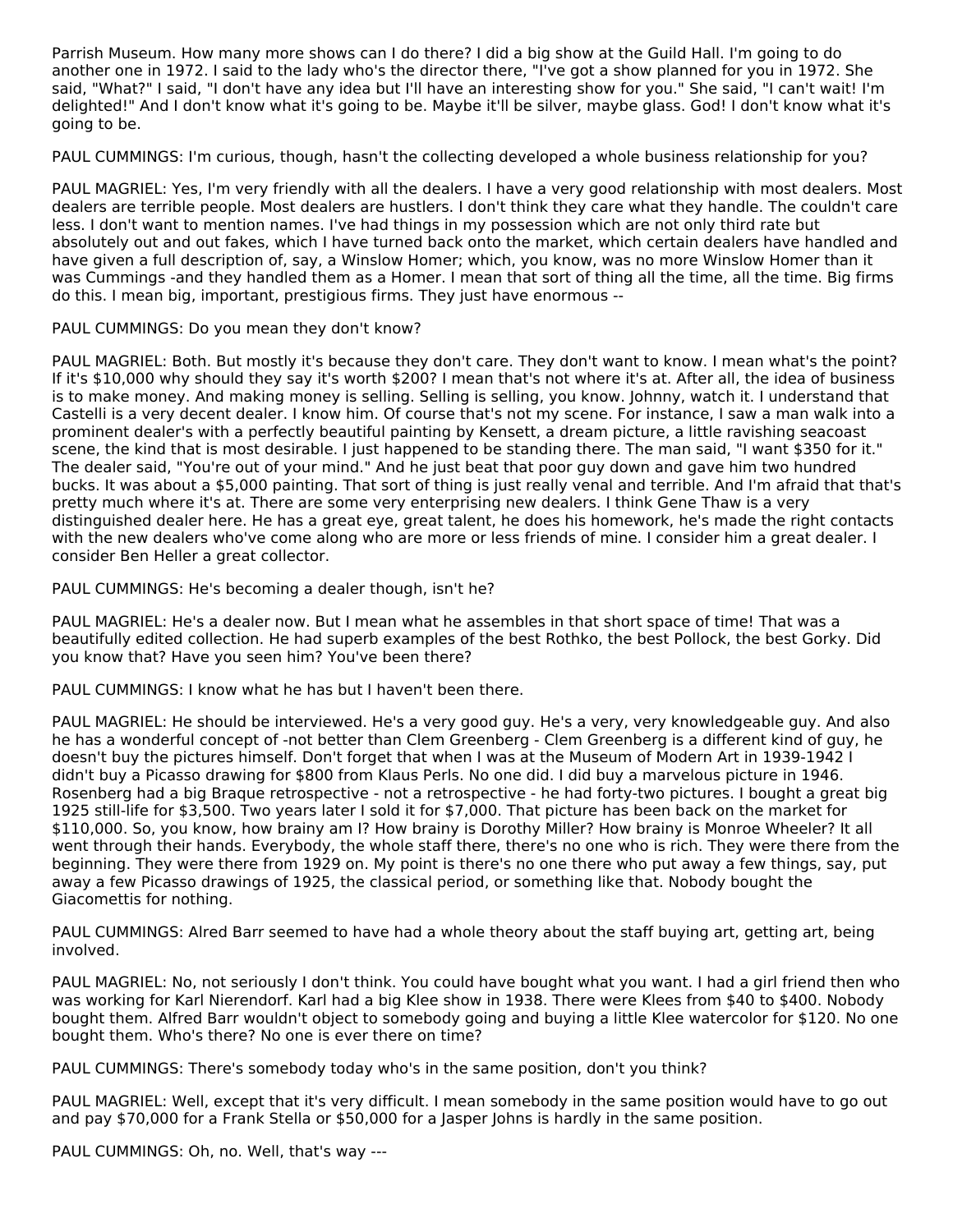Parrish Museum. How many more shows can I do there? I did a big show at the Guild Hall. I'm going to do another one in 1972. I said to the lady who's the director there, "I've got a show planned for you in 1972. She said, "What?" I said, "I don't have any idea but I'll have an interesting show for you." She said, "I can't wait! I'm delighted!" And I don't know what it's going to be. Maybe it'll be silver, maybe glass. God! I don't know what it's going to be.

PAUL CUMMINGS: I'm curious, though, hasn't the collecting developed a whole business relationship for you?

PAUL MAGRIEL: Yes, I'm very friendly with all the dealers. I have a very good relationship with most dealers. Most dealers are terrible people. Most dealers are hustlers. I don't think they care what they handle. The couldn't care less. I don't want to mention names. I've had things in my possession which are not only third rate but absolutely out and out fakes, which I have turned back onto the market, which certain dealers have handled and have given a full description of, say, a Winslow Homer; which, you know, was no more Winslow Homer than it was Cummings -and they handled them as a Homer. I mean that sort of thing all the time, all the time. Big firms do this. I mean big, important, prestigious firms. They just have enormous --

# PAUL CUMMINGS: Do you mean they don't know?

PAUL MAGRIEL: Both. But mostly it's because they don't care. They don't want to know. I mean what's the point? If it's \$10,000 why should they say it's worth \$200? I mean that's not where it's at. After all, the idea of business is to make money. And making money is selling. Selling is selling, you know. Johnny, watch it. I understand that Castelli is a very decent dealer. I know him. Of course that's not my scene. For instance, I saw a man walk into a prominent dealer's with a perfectly beautiful painting by Kensett, a dream picture, a little ravishing seacoast scene, the kind that is most desirable. I just happened to be standing there. The man said, "I want \$350 for it." The dealer said, "You're out of your mind." And he just beat that poor guy down and gave him two hundred bucks. It was about a \$5,000 painting. That sort of thing is just really venal and terrible. And I'm afraid that that's pretty much where it's at. There are some very enterprising new dealers. I think Gene Thaw is a very distinguished dealer here. He has a great eye, great talent, he does his homework, he's made the right contacts with the new dealers who've come along who are more or less friends of mine. I consider him a great dealer. I consider Ben Heller a great collector.

PAUL CUMMINGS: He's becoming a dealer though, isn't he?

PAUL MAGRIEL: He's a dealer now. But I mean what he assembles in that short space of time! That was a beautifully edited collection. He had superb examples of the best Rothko, the best Pollock, the best Gorky. Did you know that? Have you seen him? You've been there?

PAUL CUMMINGS: I know what he has but I haven't been there.

PAUL MAGRIEL: He should be interviewed. He's a very good guy. He's a very, very knowledgeable guy. And also he has a wonderful concept of -not better than Clem Greenberg - Clem Greenberg is a different kind of guy, he doesn't buy the pictures himself. Don't forget that when I was at the Museum of Modern Art in 1939-1942 I didn't buy a Picasso drawing for \$800 from Klaus Perls. No one did. I did buy a marvelous picture in 1946. Rosenberg had a big Braque retrospective - not a retrospective - he had forty-two pictures. I bought a great big 1925 still-life for \$3,500. Two years later I sold it for \$7,000. That picture has been back on the market for \$110,000. So, you know, how brainy am I? How brainy is Dorothy Miller? How brainy is Monroe Wheeler? It all went through their hands. Everybody, the whole staff there, there's no one who is rich. They were there from the beginning. They were there from 1929 on. My point is there's no one there who put away a few things, say, put away a few Picasso drawings of 1925, the classical period, or something like that. Nobody bought the Giacomettis for nothing.

PAUL CUMMINGS: Alred Barr seemed to have had a whole theory about the staff buying art, getting art, being involved.

PAUL MAGRIEL: No, not seriously I don't think. You could have bought what you want. I had a girl friend then who was working for Karl Nierendorf. Karl had a big Klee show in 1938. There were Klees from \$40 to \$400. Nobody bought them. Alfred Barr wouldn't object to somebody going and buying a little Klee watercolor for \$120. No one bought them. Who's there? No one is ever there on time?

PAUL CUMMINGS: There's somebody today who's in the same position, don't you think?

PAUL MAGRIEL: Well, except that it's very difficult. I mean somebody in the same position would have to go out and pay \$70,000 for a Frank Stella or \$50,000 for a Jasper Johns is hardly in the same position.

PAUL CUMMINGS: Oh, no. Well, that's way ---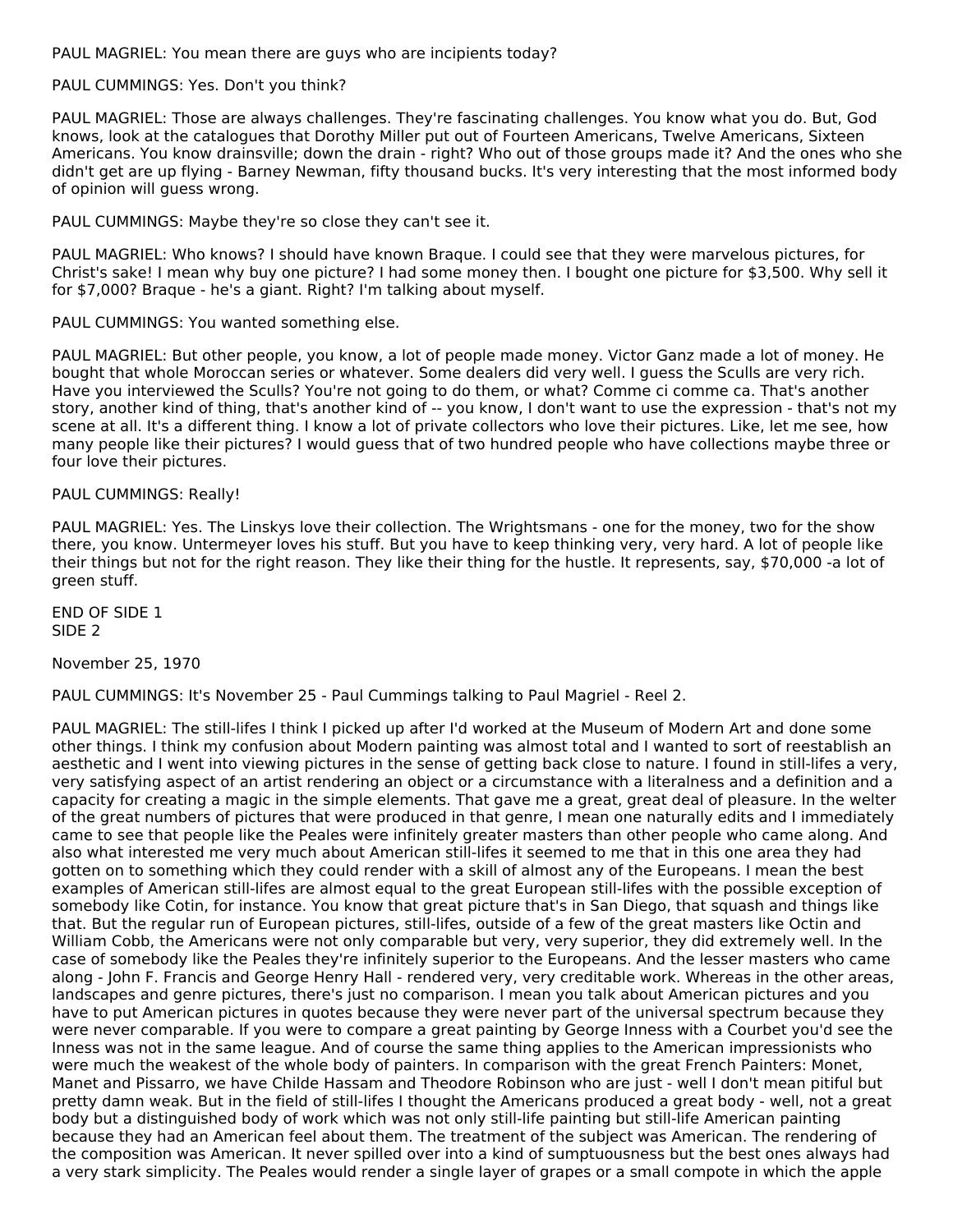PAUL MAGRIEL: You mean there are guys who are incipients today?

# PAUL CUMMINGS: Yes. Don't you think?

PAUL MAGRIEL: Those are always challenges. They're fascinating challenges. You know what you do. But, God knows, look at the catalogues that Dorothy Miller put out of Fourteen Americans, Twelve Americans, Sixteen Americans. You know drainsville; down the drain - right? Who out of those groups made it? And the ones who she didn't get are up flying - Barney Newman, fifty thousand bucks. It's very interesting that the most informed body of opinion will guess wrong.

PAUL CUMMINGS: Maybe they're so close they can't see it.

PAUL MAGRIEL: Who knows? I should have known Braque. I could see that they were marvelous pictures, for Christ's sake! I mean why buy one picture? I had some money then. I bought one picture for \$3,500. Why sell it for \$7,000? Braque - he's a giant. Right? I'm talking about myself.

PAUL CUMMINGS: You wanted something else.

PAUL MAGRIEL: But other people, you know, a lot of people made money. Victor Ganz made a lot of money. He bought that whole Moroccan series or whatever. Some dealers did very well. I guess the Sculls are very rich. Have you interviewed the Sculls? You're not going to do them, or what? Comme ci comme ca. That's another story, another kind of thing, that's another kind of -- you know, I don't want to use the expression - that's not my scene at all. It's a different thing. I know a lot of private collectors who love their pictures. Like, let me see, how many people like their pictures? I would guess that of two hundred people who have collections maybe three or four love their pictures.

#### PAUL CUMMINGS: Really!

PAUL MAGRIEL: Yes. The Linskys love their collection. The Wrightsmans - one for the money, two for the show there, you know. Untermeyer loves his stuff. But you have to keep thinking very, very hard. A lot of people like their things but not for the right reason. They like their thing for the hustle. It represents, say, \$70,000 -a lot of green stuff.

END OF SIDE 1 SIDE 2

November 25, 1970

PAUL CUMMINGS: It's November 25 - Paul Cummings talking to Paul Magriel - Reel 2.

PAUL MAGRIEL: The still-lifes I think I picked up after I'd worked at the Museum of Modern Art and done some other things. I think my confusion about Modern painting was almost total and I wanted to sort of reestablish an aesthetic and I went into viewing pictures in the sense of getting back close to nature. I found in still-lifes a very, very satisfying aspect of an artist rendering an object or a circumstance with a literalness and a definition and a capacity for creating a magic in the simple elements. That gave me a great, great deal of pleasure. In the welter of the great numbers of pictures that were produced in that genre, I mean one naturally edits and I immediately came to see that people like the Peales were infinitely greater masters than other people who came along. And also what interested me very much about American still-lifes it seemed to me that in this one area they had gotten on to something which they could render with a skill of almost any of the Europeans. I mean the best examples of American still-lifes are almost equal to the great European still-lifes with the possible exception of somebody like Cotin, for instance. You know that great picture that's in San Diego, that squash and things like that. But the regular run of European pictures, still-lifes, outside of a few of the great masters like Octin and William Cobb, the Americans were not only comparable but very, very superior, they did extremely well. In the case of somebody like the Peales they're infinitely superior to the Europeans. And the lesser masters who came along - John F. Francis and George Henry Hall - rendered very, very creditable work. Whereas in the other areas, landscapes and genre pictures, there's just no comparison. I mean you talk about American pictures and you have to put American pictures in quotes because they were never part of the universal spectrum because they were never comparable. If you were to compare a great painting by George Inness with a Courbet you'd see the Inness was not in the same league. And of course the same thing applies to the American impressionists who were much the weakest of the whole body of painters. In comparison with the great French Painters: Monet, Manet and Pissarro, we have Childe Hassam and Theodore Robinson who are just - well I don't mean pitiful but pretty damn weak. But in the field of still-lifes I thought the Americans produced a great body - well, not a great body but a distinguished body of work which was not only still-life painting but still-life American painting because they had an American feel about them. The treatment of the subject was American. The rendering of the composition was American. It never spilled over into a kind of sumptuousness but the best ones always had a very stark simplicity. The Peales would render a single layer of grapes or a small compote in which the apple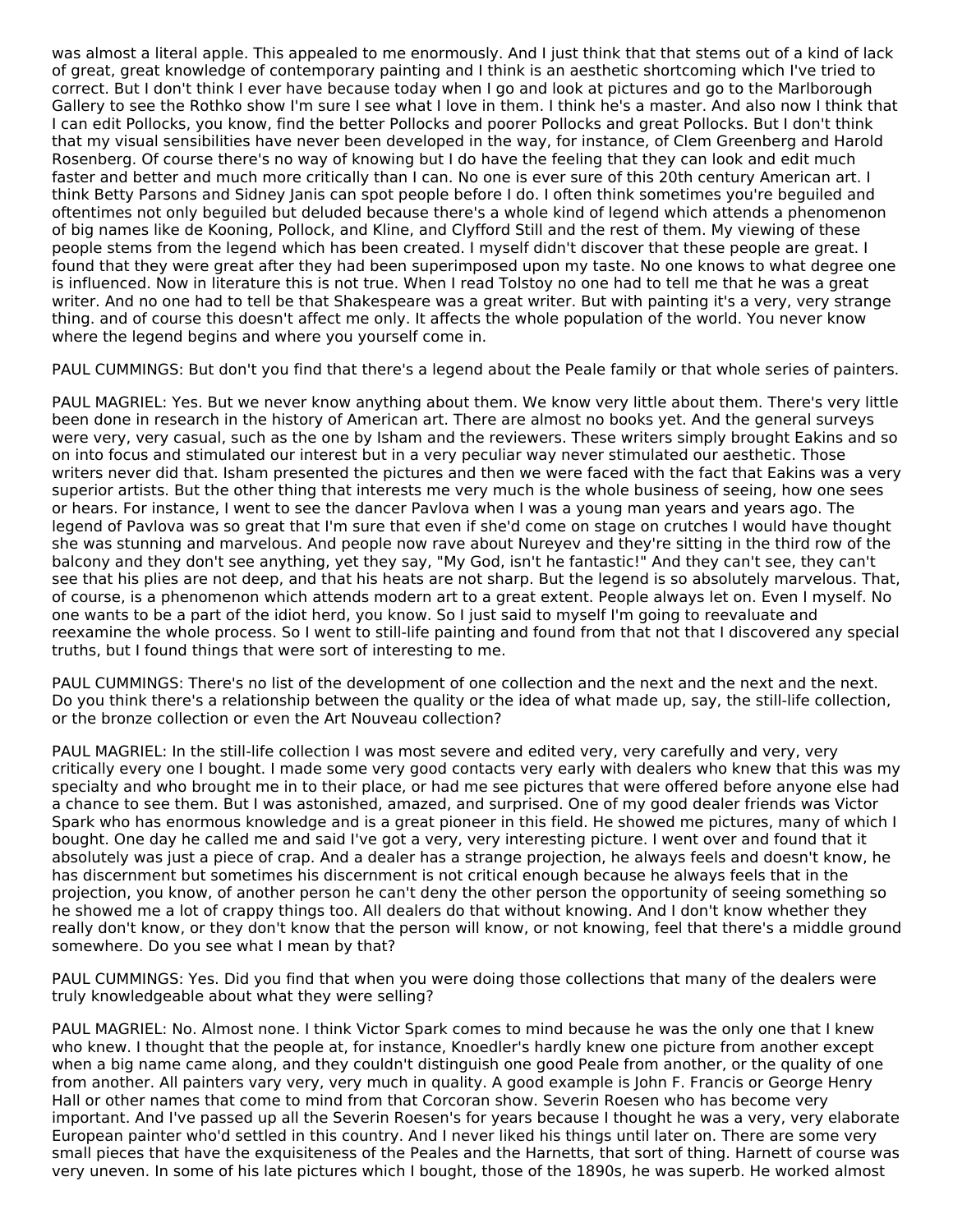was almost a literal apple. This appealed to me enormously. And I just think that that stems out of a kind of lack of great, great knowledge of contemporary painting and I think is an aesthetic shortcoming which I've tried to correct. But I don't think I ever have because today when I go and look at pictures and go to the Marlborough Gallery to see the Rothko show I'm sure I see what I love in them. I think he's a master. And also now I think that I can edit Pollocks, you know, find the better Pollocks and poorer Pollocks and great Pollocks. But I don't think that my visual sensibilities have never been developed in the way, for instance, of Clem Greenberg and Harold Rosenberg. Of course there's no way of knowing but I do have the feeling that they can look and edit much faster and better and much more critically than I can. No one is ever sure of this 20th century American art. I think Betty Parsons and Sidney Janis can spot people before I do. I often think sometimes you're beguiled and oftentimes not only beguiled but deluded because there's a whole kind of legend which attends a phenomenon of big names like de Kooning, Pollock, and Kline, and Clyfford Still and the rest of them. My viewing of these people stems from the legend which has been created. I myself didn't discover that these people are great. I found that they were great after they had been superimposed upon my taste. No one knows to what degree one is influenced. Now in literature this is not true. When I read Tolstoy no one had to tell me that he was a great writer. And no one had to tell be that Shakespeare was a great writer. But with painting it's a very, very strange thing. and of course this doesn't affect me only. It affects the whole population of the world. You never know where the legend begins and where you yourself come in.

PAUL CUMMINGS: But don't you find that there's a legend about the Peale family or that whole series of painters.

PAUL MAGRIEL: Yes. But we never know anything about them. We know very little about them. There's very little been done in research in the history of American art. There are almost no books yet. And the general surveys were very, very casual, such as the one by Isham and the reviewers. These writers simply brought Eakins and so on into focus and stimulated our interest but in a very peculiar way never stimulated our aesthetic. Those writers never did that. Isham presented the pictures and then we were faced with the fact that Eakins was a very superior artists. But the other thing that interests me very much is the whole business of seeing, how one sees or hears. For instance, I went to see the dancer Pavlova when I was a young man years and years ago. The legend of Pavlova was so great that I'm sure that even if she'd come on stage on crutches I would have thought she was stunning and marvelous. And people now rave about Nureyev and they're sitting in the third row of the balcony and they don't see anything, yet they say, "My God, isn't he fantastic!" And they can't see, they can't see that his plies are not deep, and that his heats are not sharp. But the legend is so absolutely marvelous. That, of course, is a phenomenon which attends modern art to a great extent. People always let on. Even I myself. No one wants to be a part of the idiot herd, you know. So I just said to myself I'm going to reevaluate and reexamine the whole process. So I went to still-life painting and found from that not that I discovered any special truths, but I found things that were sort of interesting to me.

PAUL CUMMINGS: There's no list of the development of one collection and the next and the next and the next. Do you think there's a relationship between the quality or the idea of what made up, say, the still-life collection, or the bronze collection or even the Art Nouveau collection?

PAUL MAGRIEL: In the still-life collection I was most severe and edited very, very carefully and very, very critically every one I bought. I made some very good contacts very early with dealers who knew that this was my specialty and who brought me in to their place, or had me see pictures that were offered before anyone else had a chance to see them. But I was astonished, amazed, and surprised. One of my good dealer friends was Victor Spark who has enormous knowledge and is a great pioneer in this field. He showed me pictures, many of which I bought. One day he called me and said I've got a very, very interesting picture. I went over and found that it absolutely was just a piece of crap. And a dealer has a strange projection, he always feels and doesn't know, he has discernment but sometimes his discernment is not critical enough because he always feels that in the projection, you know, of another person he can't deny the other person the opportunity of seeing something so he showed me a lot of crappy things too. All dealers do that without knowing. And I don't know whether they really don't know, or they don't know that the person will know, or not knowing, feel that there's a middle ground somewhere. Do you see what I mean by that?

PAUL CUMMINGS: Yes. Did you find that when you were doing those collections that many of the dealers were truly knowledgeable about what they were selling?

PAUL MAGRIEL: No. Almost none. I think Victor Spark comes to mind because he was the only one that I knew who knew. I thought that the people at, for instance, Knoedler's hardly knew one picture from another except when a big name came along, and they couldn't distinguish one good Peale from another, or the quality of one from another. All painters vary very, very much in quality. A good example is John F. Francis or George Henry Hall or other names that come to mind from that Corcoran show. Severin Roesen who has become very important. And I've passed up all the Severin Roesen's for years because I thought he was a very, very elaborate European painter who'd settled in this country. And I never liked his things until later on. There are some very small pieces that have the exquisiteness of the Peales and the Harnetts, that sort of thing. Harnett of course was very uneven. In some of his late pictures which I bought, those of the 1890s, he was superb. He worked almost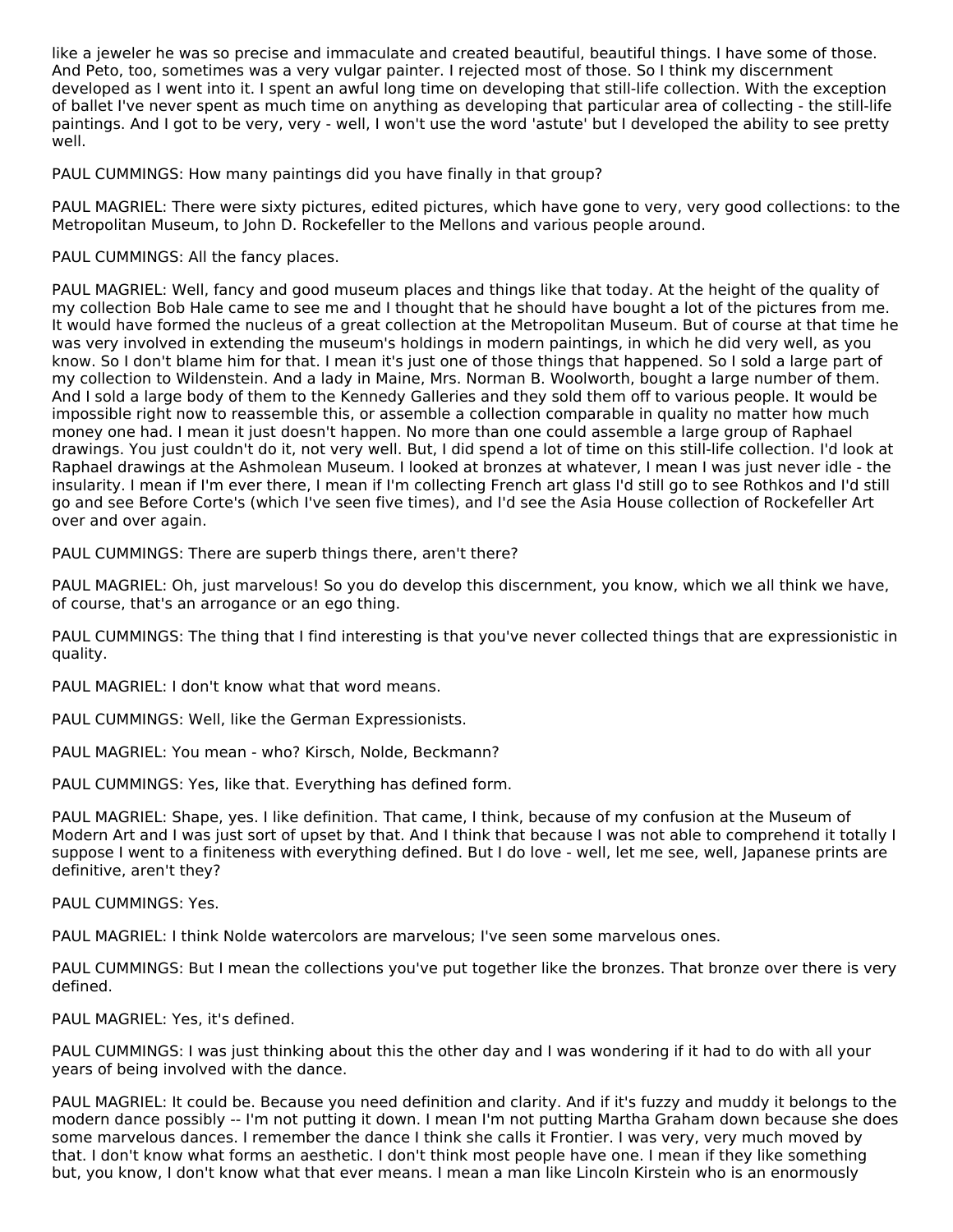like a jeweler he was so precise and immaculate and created beautiful, beautiful things. I have some of those. And Peto, too, sometimes was a very vulgar painter. I rejected most of those. So I think my discernment developed as I went into it. I spent an awful long time on developing that still-life collection. With the exception of ballet I've never spent as much time on anything as developing that particular area of collecting - the still-life paintings. And I got to be very, very - well, I won't use the word 'astute' but I developed the ability to see pretty well.

PAUL CUMMINGS: How many paintings did you have finally in that group?

PAUL MAGRIEL: There were sixty pictures, edited pictures, which have gone to very, very good collections: to the Metropolitan Museum, to John D. Rockefeller to the Mellons and various people around.

PAUL CUMMINGS: All the fancy places.

PAUL MAGRIEL: Well, fancy and good museum places and things like that today. At the height of the quality of my collection Bob Hale came to see me and I thought that he should have bought a lot of the pictures from me. It would have formed the nucleus of a great collection at the Metropolitan Museum. But of course at that time he was very involved in extending the museum's holdings in modern paintings, in which he did very well, as you know. So I don't blame him for that. I mean it's just one of those things that happened. So I sold a large part of my collection to Wildenstein. And a lady in Maine, Mrs. Norman B. Woolworth, bought a large number of them. And I sold a large body of them to the Kennedy Galleries and they sold them off to various people. It would be impossible right now to reassemble this, or assemble a collection comparable in quality no matter how much money one had. I mean it just doesn't happen. No more than one could assemble a large group of Raphael drawings. You just couldn't do it, not very well. But, I did spend a lot of time on this still-life collection. I'd look at Raphael drawings at the Ashmolean Museum. I looked at bronzes at whatever, I mean I was just never idle - the insularity. I mean if I'm ever there, I mean if I'm collecting French art glass I'd still go to see Rothkos and I'd still go and see Before Corte's (which I've seen five times), and I'd see the Asia House collection of Rockefeller Art over and over again.

PAUL CUMMINGS: There are superb things there, aren't there?

PAUL MAGRIEL: Oh, just marvelous! So you do develop this discernment, you know, which we all think we have, of course, that's an arrogance or an ego thing.

PAUL CUMMINGS: The thing that I find interesting is that you've never collected things that are expressionistic in quality.

PAUL MAGRIEL: I don't know what that word means.

PAUL CUMMINGS: Well, like the German Expressionists.

PAUL MAGRIEL: You mean - who? Kirsch, Nolde, Beckmann?

PAUL CUMMINGS: Yes, like that. Everything has defined form.

PAUL MAGRIEL: Shape, yes. I like definition. That came, I think, because of my confusion at the Museum of Modern Art and I was just sort of upset by that. And I think that because I was not able to comprehend it totally I suppose I went to a finiteness with everything defined. But I do love - well, let me see, well, Japanese prints are definitive, aren't they?

PAUL CUMMINGS: Yes.

PAUL MAGRIEL: I think Nolde watercolors are marvelous; I've seen some marvelous ones.

PAUL CUMMINGS: But I mean the collections you've put together like the bronzes. That bronze over there is very defined.

PAUL MAGRIEL: Yes, it's defined.

PAUL CUMMINGS: I was just thinking about this the other day and I was wondering if it had to do with all your years of being involved with the dance.

PAUL MAGRIEL: It could be. Because you need definition and clarity. And if it's fuzzy and muddy it belongs to the modern dance possibly -- I'm not putting it down. I mean I'm not putting Martha Graham down because she does some marvelous dances. I remember the dance I think she calls it Frontier. I was very, very much moved by that. I don't know what forms an aesthetic. I don't think most people have one. I mean if they like something but, you know, I don't know what that ever means. I mean a man like Lincoln Kirstein who is an enormously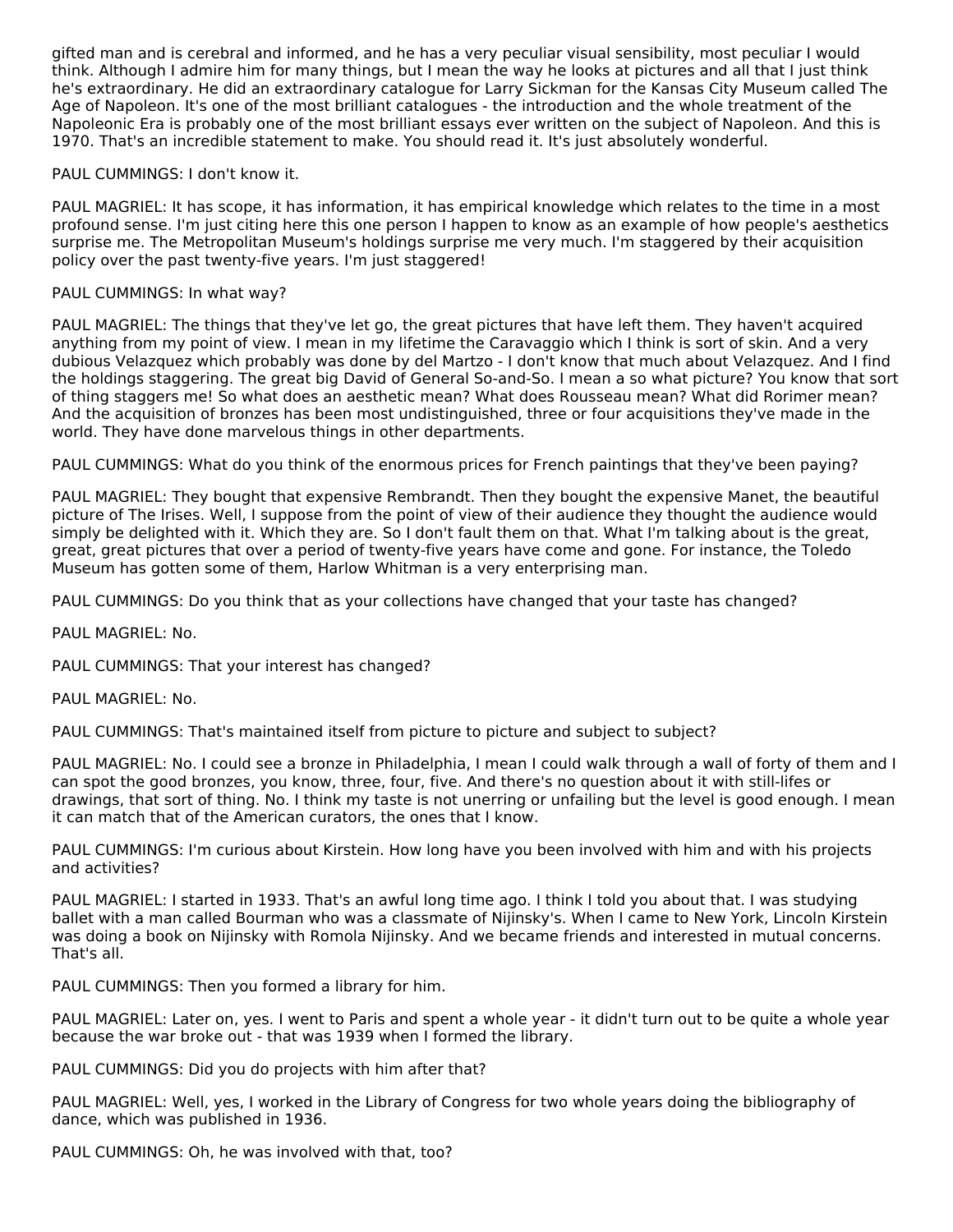gifted man and is cerebral and informed, and he has a very peculiar visual sensibility, most peculiar I would think. Although I admire him for many things, but I mean the way he looks at pictures and all that I just think he's extraordinary. He did an extraordinary catalogue for Larry Sickman for the Kansas City Museum called The Age of Napoleon. It's one of the most brilliant catalogues - the introduction and the whole treatment of the Napoleonic Era is probably one of the most brilliant essays ever written on the subject of Napoleon. And this is 1970. That's an incredible statement to make. You should read it. It's just absolutely wonderful.

# PAUL CUMMINGS: I don't know it.

PAUL MAGRIEL: It has scope, it has information, it has empirical knowledge which relates to the time in a most profound sense. I'm just citing here this one person I happen to know as an example of how people's aesthetics surprise me. The Metropolitan Museum's holdings surprise me very much. I'm staggered by their acquisition policy over the past twenty-five years. I'm just staggered!

# PAUL CUMMINGS: In what way?

PAUL MAGRIEL: The things that they've let go, the great pictures that have left them. They haven't acquired anything from my point of view. I mean in my lifetime the Caravaggio which I think is sort of skin. And a very dubious Velazquez which probably was done by del Martzo - I don't know that much about Velazquez. And I find the holdings staggering. The great big David of General So-and-So. I mean a so what picture? You know that sort of thing staggers me! So what does an aesthetic mean? What does Rousseau mean? What did Rorimer mean? And the acquisition of bronzes has been most undistinguished, three or four acquisitions they've made in the world. They have done marvelous things in other departments.

PAUL CUMMINGS: What do you think of the enormous prices for French paintings that they've been paying?

PAUL MAGRIEL: They bought that expensive Rembrandt. Then they bought the expensive Manet, the beautiful picture of The Irises. Well, I suppose from the point of view of their audience they thought the audience would simply be delighted with it. Which they are. So I don't fault them on that. What I'm talking about is the great, great, great pictures that over a period of twenty-five years have come and gone. For instance, the Toledo Museum has gotten some of them, Harlow Whitman is a very enterprising man.

PAUL CUMMINGS: Do you think that as your collections have changed that your taste has changed?

PAUL MAGRIEL: No.

PAUL CUMMINGS: That your interest has changed?

PAUL MAGRIEL: No.

PAUL CUMMINGS: That's maintained itself from picture to picture and subject to subject?

PAUL MAGRIEL: No. I could see a bronze in Philadelphia, I mean I could walk through a wall of forty of them and I can spot the good bronzes, you know, three, four, five. And there's no question about it with still-lifes or drawings, that sort of thing. No. I think my taste is not unerring or unfailing but the level is good enough. I mean it can match that of the American curators, the ones that I know.

PAUL CUMMINGS: I'm curious about Kirstein. How long have you been involved with him and with his projects and activities?

PAUL MAGRIEL: I started in 1933. That's an awful long time ago. I think I told you about that. I was studying ballet with a man called Bourman who was a classmate of Nijinsky's. When I came to New York, Lincoln Kirstein was doing a book on Nijinsky with Romola Nijinsky. And we became friends and interested in mutual concerns. That's all.

PAUL CUMMINGS: Then you formed a library for him.

PAUL MAGRIEL: Later on, yes. I went to Paris and spent a whole year - it didn't turn out to be quite a whole year because the war broke out - that was 1939 when I formed the library.

PAUL CUMMINGS: Did you do projects with him after that?

PAUL MAGRIEL: Well, yes, I worked in the Library of Congress for two whole years doing the bibliography of dance, which was published in 1936.

PAUL CUMMINGS: Oh, he was involved with that, too?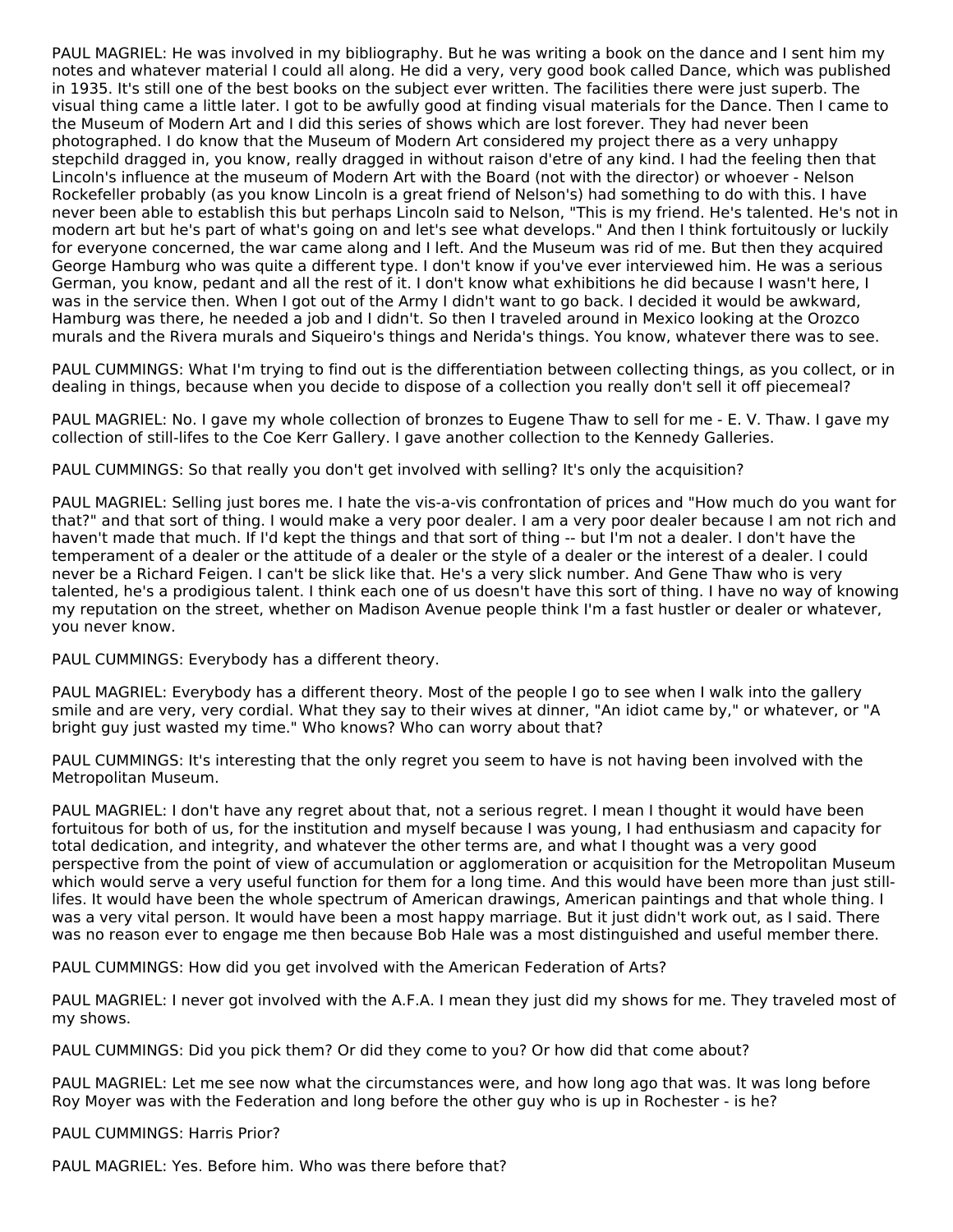PAUL MAGRIEL: He was involved in my bibliography. But he was writing a book on the dance and I sent him my notes and whatever material I could all along. He did a very, very good book called Dance, which was published in 1935. It's still one of the best books on the subject ever written. The facilities there were just superb. The visual thing came a little later. I got to be awfully good at finding visual materials for the Dance. Then I came to the Museum of Modern Art and I did this series of shows which are lost forever. They had never been photographed. I do know that the Museum of Modern Art considered my project there as a very unhappy stepchild dragged in, you know, really dragged in without raison d'etre of any kind. I had the feeling then that Lincoln's influence at the museum of Modern Art with the Board (not with the director) or whoever - Nelson Rockefeller probably (as you know Lincoln is a great friend of Nelson's) had something to do with this. I have never been able to establish this but perhaps Lincoln said to Nelson, "This is my friend. He's talented. He's not in modern art but he's part of what's going on and let's see what develops." And then I think fortuitously or luckily for everyone concerned, the war came along and I left. And the Museum was rid of me. But then they acquired George Hamburg who was quite a different type. I don't know if you've ever interviewed him. He was a serious German, you know, pedant and all the rest of it. I don't know what exhibitions he did because I wasn't here, I was in the service then. When I got out of the Army I didn't want to go back. I decided it would be awkward, Hamburg was there, he needed a job and I didn't. So then I traveled around in Mexico looking at the Orozco murals and the Rivera murals and Siqueiro's things and Nerida's things. You know, whatever there was to see.

PAUL CUMMINGS: What I'm trying to find out is the differentiation between collecting things, as you collect, or in dealing in things, because when you decide to dispose of a collection you really don't sell it off piecemeal?

PAUL MAGRIEL: No. I gave my whole collection of bronzes to Eugene Thaw to sell for me - E. V. Thaw. I gave my collection of still-lifes to the Coe Kerr Gallery. I gave another collection to the Kennedy Galleries.

PAUL CUMMINGS: So that really you don't get involved with selling? It's only the acquisition?

PAUL MAGRIEL: Selling just bores me. I hate the vis-a-vis confrontation of prices and "How much do you want for that?" and that sort of thing. I would make a very poor dealer. I am a very poor dealer because I am not rich and haven't made that much. If I'd kept the things and that sort of thing -- but I'm not a dealer. I don't have the temperament of a dealer or the attitude of a dealer or the style of a dealer or the interest of a dealer. I could never be a Richard Feigen. I can't be slick like that. He's a very slick number. And Gene Thaw who is very talented, he's a prodigious talent. I think each one of us doesn't have this sort of thing. I have no way of knowing my reputation on the street, whether on Madison Avenue people think I'm a fast hustler or dealer or whatever, you never know.

PAUL CUMMINGS: Everybody has a different theory.

PAUL MAGRIEL: Everybody has a different theory. Most of the people I go to see when I walk into the gallery smile and are very, very cordial. What they say to their wives at dinner, "An idiot came by," or whatever, or "A bright guy just wasted my time." Who knows? Who can worry about that?

PAUL CUMMINGS: It's interesting that the only regret you seem to have is not having been involved with the Metropolitan Museum.

PAUL MAGRIEL: I don't have any regret about that, not a serious regret. I mean I thought it would have been fortuitous for both of us, for the institution and myself because I was young, I had enthusiasm and capacity for total dedication, and integrity, and whatever the other terms are, and what I thought was a very good perspective from the point of view of accumulation or agglomeration or acquisition for the Metropolitan Museum which would serve a very useful function for them for a long time. And this would have been more than just stilllifes. It would have been the whole spectrum of American drawings, American paintings and that whole thing. I was a very vital person. It would have been a most happy marriage. But it just didn't work out, as I said. There was no reason ever to engage me then because Bob Hale was a most distinguished and useful member there.

PAUL CUMMINGS: How did you get involved with the American Federation of Arts?

PAUL MAGRIEL: I never got involved with the A.F.A. I mean they just did my shows for me. They traveled most of my shows.

PAUL CUMMINGS: Did you pick them? Or did they come to you? Or how did that come about?

PAUL MAGRIEL: Let me see now what the circumstances were, and how long ago that was. It was long before Roy Moyer was with the Federation and long before the other guy who is up in Rochester - is he?

PAUL CUMMINGS: Harris Prior?

PAUL MAGRIEL: Yes. Before him. Who was there before that?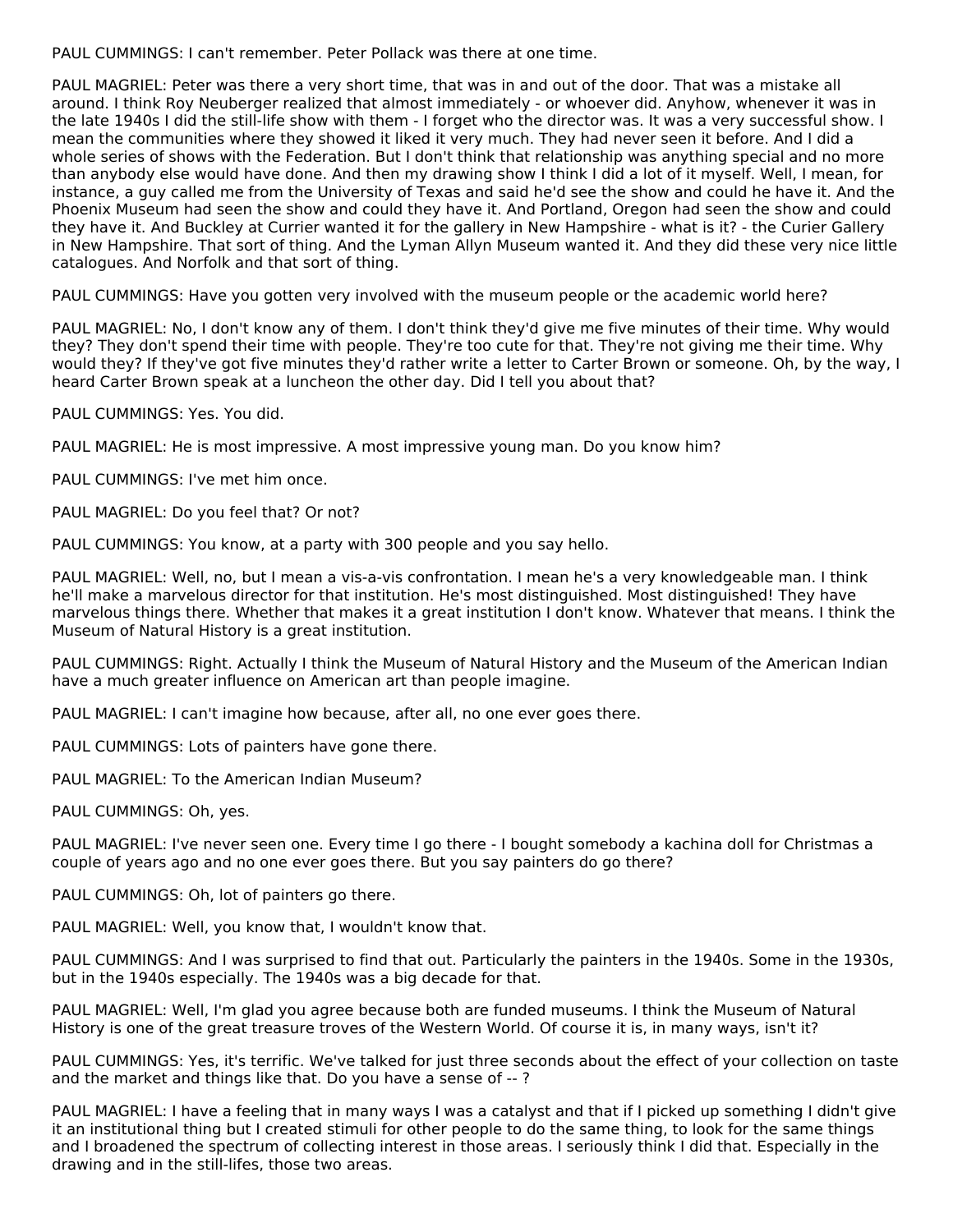PAUL CUMMINGS: I can't remember. Peter Pollack was there at one time.

PAUL MAGRIEL: Peter was there a very short time, that was in and out of the door. That was a mistake all around. I think Roy Neuberger realized that almost immediately - or whoever did. Anyhow, whenever it was in the late 1940s I did the still-life show with them - I forget who the director was. It was a very successful show. I mean the communities where they showed it liked it very much. They had never seen it before. And I did a whole series of shows with the Federation. But I don't think that relationship was anything special and no more than anybody else would have done. And then my drawing show I think I did a lot of it myself. Well, I mean, for instance, a guy called me from the University of Texas and said he'd see the show and could he have it. And the Phoenix Museum had seen the show and could they have it. And Portland, Oregon had seen the show and could they have it. And Buckley at Currier wanted it for the gallery in New Hampshire - what is it? - the Curier Gallery in New Hampshire. That sort of thing. And the Lyman Allyn Museum wanted it. And they did these very nice little catalogues. And Norfolk and that sort of thing.

PAUL CUMMINGS: Have you gotten very involved with the museum people or the academic world here?

PAUL MAGRIEL: No, I don't know any of them. I don't think they'd give me five minutes of their time. Why would they? They don't spend their time with people. They're too cute for that. They're not giving me their time. Why would they? If they've got five minutes they'd rather write a letter to Carter Brown or someone. Oh, by the way, I heard Carter Brown speak at a luncheon the other day. Did I tell you about that?

PAUL CUMMINGS: Yes. You did.

PAUL MAGRIEL: He is most impressive. A most impressive young man. Do you know him?

PAUL CUMMINGS: I've met him once.

PAUL MAGRIEL: Do you feel that? Or not?

PAUL CUMMINGS: You know, at a party with 300 people and you say hello.

PAUL MAGRIEL: Well, no, but I mean a vis-a-vis confrontation. I mean he's a very knowledgeable man. I think he'll make a marvelous director for that institution. He's most distinguished. Most distinguished! They have marvelous things there. Whether that makes it a great institution I don't know. Whatever that means. I think the Museum of Natural History is a great institution.

PAUL CUMMINGS: Right. Actually I think the Museum of Natural History and the Museum of the American Indian have a much greater influence on American art than people imagine.

PAUL MAGRIEL: I can't imagine how because, after all, no one ever goes there.

PAUL CUMMINGS: Lots of painters have gone there.

PAUL MAGRIEL: To the American Indian Museum?

PAUL CUMMINGS: Oh, yes.

PAUL MAGRIEL: I've never seen one. Every time I go there - I bought somebody a kachina doll for Christmas a couple of years ago and no one ever goes there. But you say painters do go there?

PAUL CUMMINGS: Oh, lot of painters go there.

PAUL MAGRIEL: Well, you know that, I wouldn't know that.

PAUL CUMMINGS: And I was surprised to find that out. Particularly the painters in the 1940s. Some in the 1930s, but in the 1940s especially. The 1940s was a big decade for that.

PAUL MAGRIEL: Well, I'm glad you agree because both are funded museums. I think the Museum of Natural History is one of the great treasure troves of the Western World. Of course it is, in many ways, isn't it?

PAUL CUMMINGS: Yes, it's terrific. We've talked for just three seconds about the effect of your collection on taste and the market and things like that. Do you have a sense of -- ?

PAUL MAGRIEL: I have a feeling that in many ways I was a catalyst and that if I picked up something I didn't give it an institutional thing but I created stimuli for other people to do the same thing, to look for the same things and I broadened the spectrum of collecting interest in those areas. I seriously think I did that. Especially in the drawing and in the still-lifes, those two areas.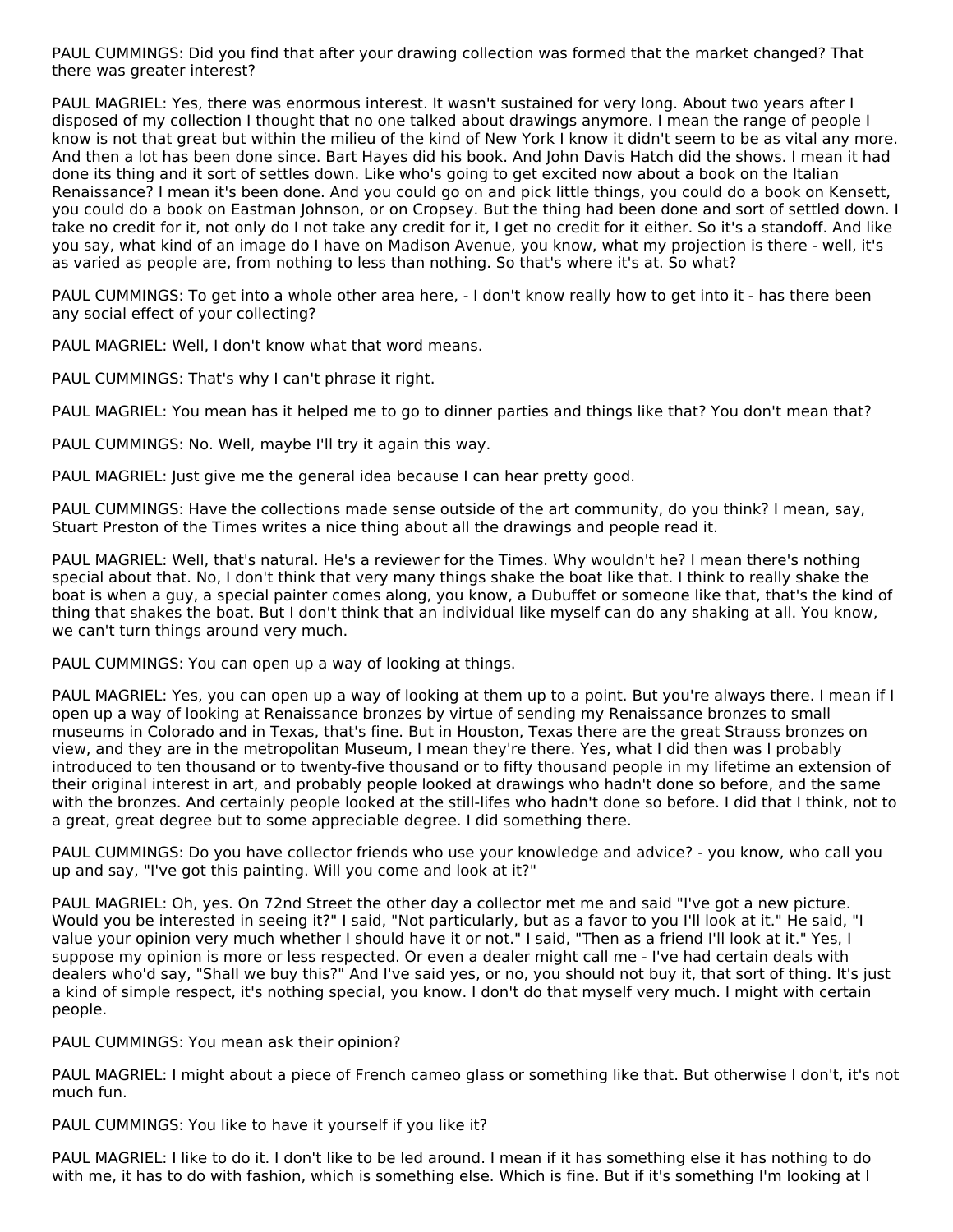PAUL CUMMINGS: Did you find that after your drawing collection was formed that the market changed? That there was greater interest?

PAUL MAGRIEL: Yes, there was enormous interest. It wasn't sustained for very long. About two years after I disposed of my collection I thought that no one talked about drawings anymore. I mean the range of people I know is not that great but within the milieu of the kind of New York I know it didn't seem to be as vital any more. And then a lot has been done since. Bart Hayes did his book. And John Davis Hatch did the shows. I mean it had done its thing and it sort of settles down. Like who's going to get excited now about a book on the Italian Renaissance? I mean it's been done. And you could go on and pick little things, you could do a book on Kensett, you could do a book on Eastman Johnson, or on Cropsey. But the thing had been done and sort of settled down. I take no credit for it, not only do I not take any credit for it, I get no credit for it either. So it's a standoff. And like you say, what kind of an image do I have on Madison Avenue, you know, what my projection is there - well, it's as varied as people are, from nothing to less than nothing. So that's where it's at. So what?

PAUL CUMMINGS: To get into a whole other area here, - I don't know really how to get into it - has there been any social effect of your collecting?

PAUL MAGRIEL: Well, I don't know what that word means.

PAUL CUMMINGS: That's why I can't phrase it right.

PAUL MAGRIEL: You mean has it helped me to go to dinner parties and things like that? You don't mean that?

PAUL CUMMINGS: No. Well, maybe I'll try it again this way.

PAUL MAGRIEL: Just give me the general idea because I can hear pretty good.

PAUL CUMMINGS: Have the collections made sense outside of the art community, do you think? I mean, say, Stuart Preston of the Times writes a nice thing about all the drawings and people read it.

PAUL MAGRIEL: Well, that's natural. He's a reviewer for the Times. Why wouldn't he? I mean there's nothing special about that. No, I don't think that very many things shake the boat like that. I think to really shake the boat is when a guy, a special painter comes along, you know, a Dubuffet or someone like that, that's the kind of thing that shakes the boat. But I don't think that an individual like myself can do any shaking at all. You know, we can't turn things around very much.

PAUL CUMMINGS: You can open up a way of looking at things.

PAUL MAGRIEL: Yes, you can open up a way of looking at them up to a point. But you're always there. I mean if I open up a way of looking at Renaissance bronzes by virtue of sending my Renaissance bronzes to small museums in Colorado and in Texas, that's fine. But in Houston, Texas there are the great Strauss bronzes on view, and they are in the metropolitan Museum, I mean they're there. Yes, what I did then was I probably introduced to ten thousand or to twenty-five thousand or to fifty thousand people in my lifetime an extension of their original interest in art, and probably people looked at drawings who hadn't done so before, and the same with the bronzes. And certainly people looked at the still-lifes who hadn't done so before. I did that I think, not to a great, great degree but to some appreciable degree. I did something there.

PAUL CUMMINGS: Do you have collector friends who use your knowledge and advice? - you know, who call you up and say, "I've got this painting. Will you come and look at it?"

PAUL MAGRIEL: Oh, yes. On 72nd Street the other day a collector met me and said "I've got a new picture. Would you be interested in seeing it?" I said, "Not particularly, but as a favor to you I'll look at it." He said, "I value your opinion very much whether I should have it or not." I said, "Then as a friend I'll look at it." Yes, I suppose my opinion is more or less respected. Or even a dealer might call me - I've had certain deals with dealers who'd say, "Shall we buy this?" And I've said yes, or no, you should not buy it, that sort of thing. It's just a kind of simple respect, it's nothing special, you know. I don't do that myself very much. I might with certain people.

PAUL CUMMINGS: You mean ask their opinion?

PAUL MAGRIEL: I might about a piece of French cameo glass or something like that. But otherwise I don't, it's not much fun.

PAUL CUMMINGS: You like to have it yourself if you like it?

PAUL MAGRIEL: I like to do it. I don't like to be led around. I mean if it has something else it has nothing to do with me, it has to do with fashion, which is something else. Which is fine. But if it's something I'm looking at I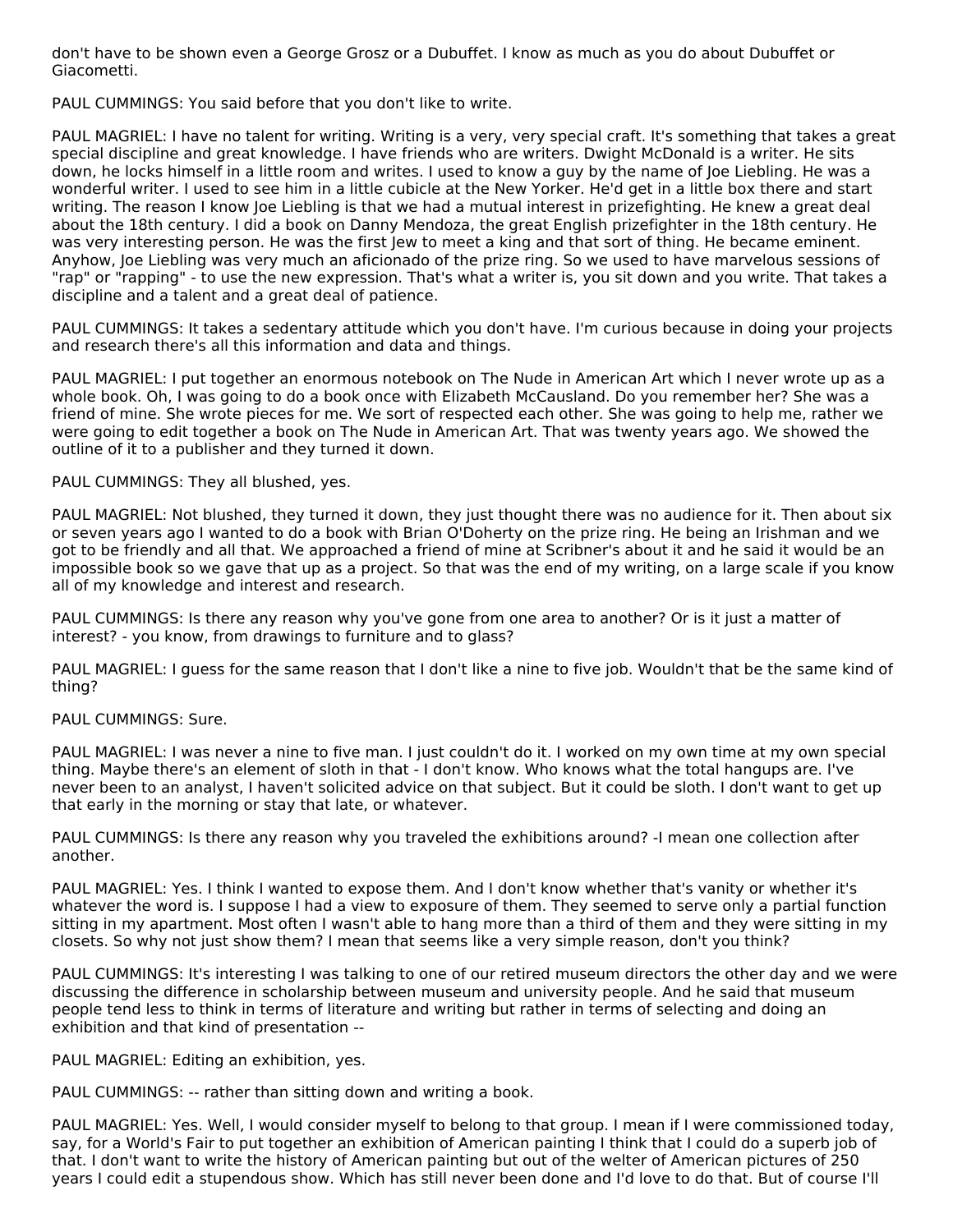don't have to be shown even a George Grosz or a Dubuffet. I know as much as you do about Dubuffet or Giacometti.

PAUL CUMMINGS: You said before that you don't like to write.

PAUL MAGRIEL: I have no talent for writing. Writing is a very, very special craft. It's something that takes a great special discipline and great knowledge. I have friends who are writers. Dwight McDonald is a writer. He sits down, he locks himself in a little room and writes. I used to know a guy by the name of Joe Liebling. He was a wonderful writer. I used to see him in a little cubicle at the New Yorker. He'd get in a little box there and start writing. The reason I know Joe Liebling is that we had a mutual interest in prizefighting. He knew a great deal about the 18th century. I did a book on Danny Mendoza, the great English prizefighter in the 18th century. He was very interesting person. He was the first lew to meet a king and that sort of thing. He became eminent. Anyhow, Joe Liebling was very much an aficionado of the prize ring. So we used to have marvelous sessions of "rap" or "rapping" - to use the new expression. That's what a writer is, you sit down and you write. That takes a discipline and a talent and a great deal of patience.

PAUL CUMMINGS: It takes a sedentary attitude which you don't have. I'm curious because in doing your projects and research there's all this information and data and things.

PAUL MAGRIEL: I put together an enormous notebook on The Nude in American Art which I never wrote up as a whole book. Oh, I was going to do a book once with Elizabeth McCausland. Do you remember her? She was a friend of mine. She wrote pieces for me. We sort of respected each other. She was going to help me, rather we were going to edit together a book on The Nude in American Art. That was twenty years ago. We showed the outline of it to a publisher and they turned it down.

PAUL CUMMINGS: They all blushed, yes.

PAUL MAGRIEL: Not blushed, they turned it down, they just thought there was no audience for it. Then about six or seven years ago I wanted to do a book with Brian O'Doherty on the prize ring. He being an Irishman and we got to be friendly and all that. We approached a friend of mine at Scribner's about it and he said it would be an impossible book so we gave that up as a project. So that was the end of my writing, on a large scale if you know all of my knowledge and interest and research.

PAUL CUMMINGS: Is there any reason why you've gone from one area to another? Or is it just a matter of interest? - you know, from drawings to furniture and to glass?

PAUL MAGRIEL: I guess for the same reason that I don't like a nine to five job. Wouldn't that be the same kind of thing?

PAUL CUMMINGS: Sure.

PAUL MAGRIEL: I was never a nine to five man. I just couldn't do it. I worked on my own time at my own special thing. Maybe there's an element of sloth in that - I don't know. Who knows what the total hangups are. I've never been to an analyst, I haven't solicited advice on that subject. But it could be sloth. I don't want to get up that early in the morning or stay that late, or whatever.

PAUL CUMMINGS: Is there any reason why you traveled the exhibitions around? -I mean one collection after another.

PAUL MAGRIEL: Yes. I think I wanted to expose them. And I don't know whether that's vanity or whether it's whatever the word is. I suppose I had a view to exposure of them. They seemed to serve only a partial function sitting in my apartment. Most often I wasn't able to hang more than a third of them and they were sitting in my closets. So why not just show them? I mean that seems like a very simple reason, don't you think?

PAUL CUMMINGS: It's interesting I was talking to one of our retired museum directors the other day and we were discussing the difference in scholarship between museum and university people. And he said that museum people tend less to think in terms of literature and writing but rather in terms of selecting and doing an exhibition and that kind of presentation --

PAUL MAGRIEL: Editing an exhibition, yes.

PAUL CUMMINGS: -- rather than sitting down and writing a book.

PAUL MAGRIEL: Yes. Well, I would consider myself to belong to that group. I mean if I were commissioned today, say, for a World's Fair to put together an exhibition of American painting I think that I could do a superb job of that. I don't want to write the history of American painting but out of the welter of American pictures of 250 years I could edit a stupendous show. Which has still never been done and I'd love to do that. But of course I'll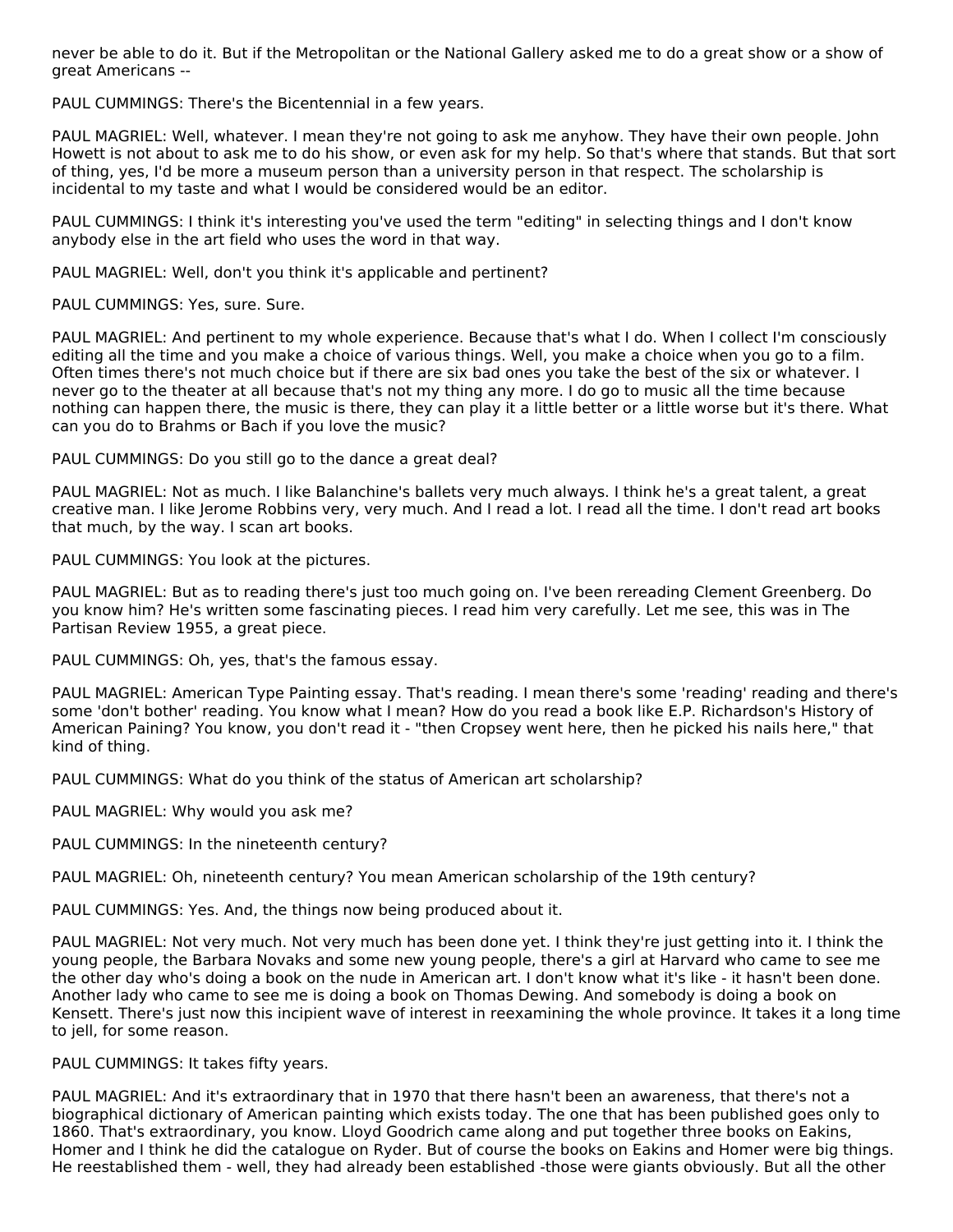never be able to do it. But if the Metropolitan or the National Gallery asked me to do a great show or a show of great Americans --

PAUL CUMMINGS: There's the Bicentennial in a few years.

PAUL MAGRIEL: Well, whatever. I mean they're not going to ask me anyhow. They have their own people. John Howett is not about to ask me to do his show, or even ask for my help. So that's where that stands. But that sort of thing, yes, I'd be more a museum person than a university person in that respect. The scholarship is incidental to my taste and what I would be considered would be an editor.

PAUL CUMMINGS: I think it's interesting you've used the term "editing" in selecting things and I don't know anybody else in the art field who uses the word in that way.

PAUL MAGRIEL: Well, don't you think it's applicable and pertinent?

PAUL CUMMINGS: Yes, sure. Sure.

PAUL MAGRIEL: And pertinent to my whole experience. Because that's what I do. When I collect I'm consciously editing all the time and you make a choice of various things. Well, you make a choice when you go to a film. Often times there's not much choice but if there are six bad ones you take the best of the six or whatever. I never go to the theater at all because that's not my thing any more. I do go to music all the time because nothing can happen there, the music is there, they can play it a little better or a little worse but it's there. What can you do to Brahms or Bach if you love the music?

PAUL CUMMINGS: Do you still go to the dance a great deal?

PAUL MAGRIEL: Not as much. I like Balanchine's ballets very much always. I think he's a great talent, a great creative man. I like Jerome Robbins very, very much. And I read a lot. I read all the time. I don't read art books that much, by the way. I scan art books.

PAUL CUMMINGS: You look at the pictures.

PAUL MAGRIEL: But as to reading there's just too much going on. I've been rereading Clement Greenberg. Do you know him? He's written some fascinating pieces. I read him very carefully. Let me see, this was in The Partisan Review 1955, a great piece.

PAUL CUMMINGS: Oh, yes, that's the famous essay.

PAUL MAGRIEL: American Type Painting essay. That's reading. I mean there's some 'reading' reading and there's some 'don't bother' reading. You know what I mean? How do you read a book like E.P. Richardson's History of American Paining? You know, you don't read it - "then Cropsey went here, then he picked his nails here," that kind of thing.

PAUL CUMMINGS: What do you think of the status of American art scholarship?

PAUL MAGRIEL: Why would you ask me?

PAUL CUMMINGS: In the nineteenth century?

PAUL MAGRIEL: Oh, nineteenth century? You mean American scholarship of the 19th century?

PAUL CUMMINGS: Yes. And, the things now being produced about it.

PAUL MAGRIEL: Not very much. Not very much has been done yet. I think they're just getting into it. I think the young people, the Barbara Novaks and some new young people, there's a girl at Harvard who came to see me the other day who's doing a book on the nude in American art. I don't know what it's like - it hasn't been done. Another lady who came to see me is doing a book on Thomas Dewing. And somebody is doing a book on Kensett. There's just now this incipient wave of interest in reexamining the whole province. It takes it a long time to jell, for some reason.

PAUL CUMMINGS: It takes fifty years.

PAUL MAGRIEL: And it's extraordinary that in 1970 that there hasn't been an awareness, that there's not a biographical dictionary of American painting which exists today. The one that has been published goes only to 1860. That's extraordinary, you know. Lloyd Goodrich came along and put together three books on Eakins, Homer and I think he did the catalogue on Ryder. But of course the books on Eakins and Homer were big things. He reestablished them - well, they had already been established -those were giants obviously. But all the other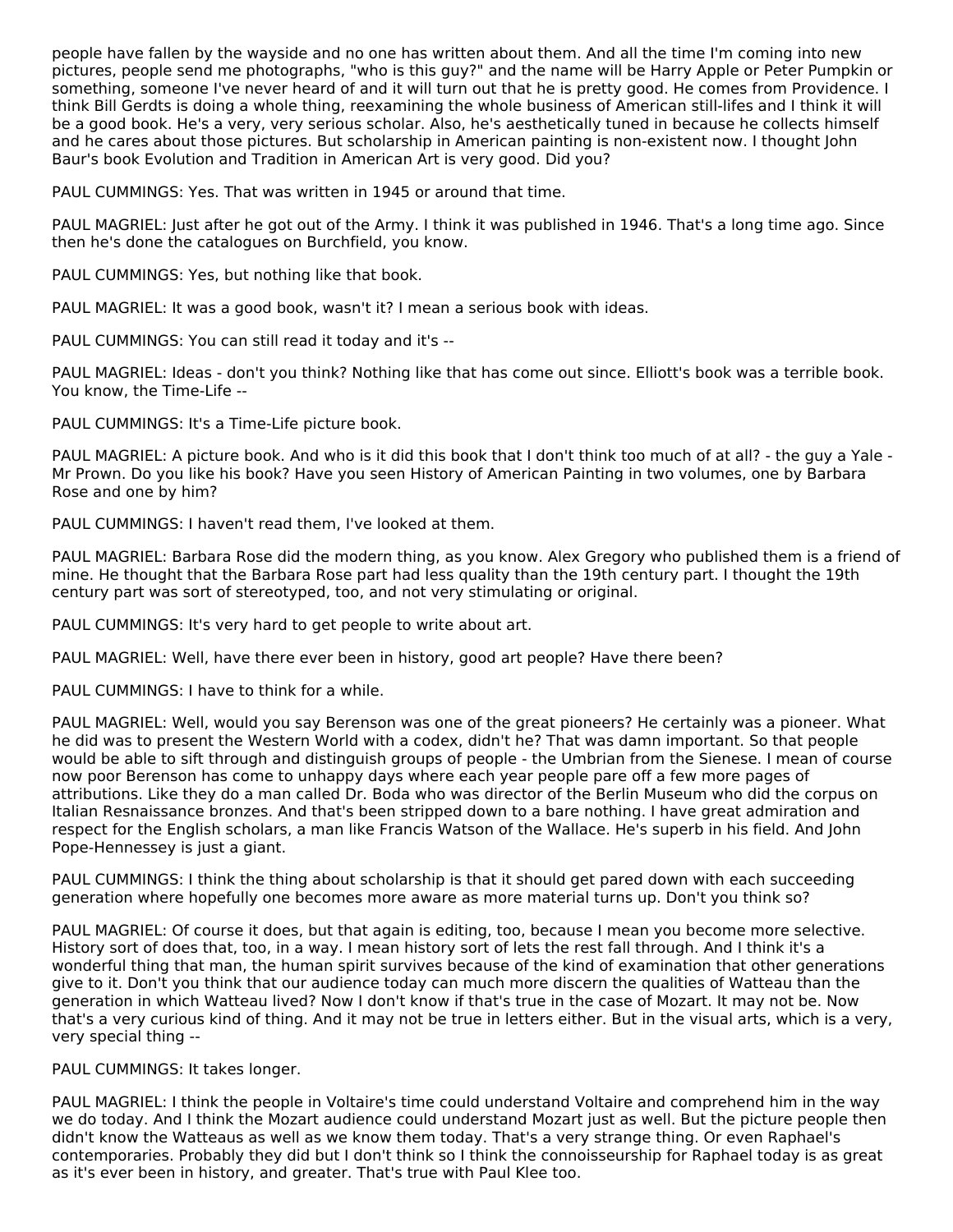people have fallen by the wayside and no one has written about them. And all the time I'm coming into new pictures, people send me photographs, "who is this guy?" and the name will be Harry Apple or Peter Pumpkin or something, someone I've never heard of and it will turn out that he is pretty good. He comes from Providence. I think Bill Gerdts is doing a whole thing, reexamining the whole business of American still-lifes and I think it will be a good book. He's a very, very serious scholar. Also, he's aesthetically tuned in because he collects himself and he cares about those pictures. But scholarship in American painting is non-existent now. I thought John Baur's book Evolution and Tradition in American Art is very good. Did you?

PAUL CUMMINGS: Yes. That was written in 1945 or around that time.

PAUL MAGRIEL: Just after he got out of the Army. I think it was published in 1946. That's a long time ago. Since then he's done the catalogues on Burchfield, you know.

PAUL CUMMINGS: Yes, but nothing like that book.

PAUL MAGRIEL: It was a good book, wasn't it? I mean a serious book with ideas.

PAUL CUMMINGS: You can still read it today and it's --

PAUL MAGRIEL: Ideas - don't you think? Nothing like that has come out since. Elliott's book was a terrible book. You know, the Time-Life --

PAUL CUMMINGS: It's a Time-Life picture book.

PAUL MAGRIEL: A picture book. And who is it did this book that I don't think too much of at all? - the guy a Yale - Mr Prown. Do you like his book? Have you seen History of American Painting in two volumes, one by Barbara Rose and one by him?

PAUL CUMMINGS: I haven't read them, I've looked at them.

PAUL MAGRIEL: Barbara Rose did the modern thing, as you know. Alex Gregory who published them is a friend of mine. He thought that the Barbara Rose part had less quality than the 19th century part. I thought the 19th century part was sort of stereotyped, too, and not very stimulating or original.

PAUL CUMMINGS: It's very hard to get people to write about art.

PAUL MAGRIEL: Well, have there ever been in history, good art people? Have there been?

PAUL CUMMINGS: I have to think for a while.

PAUL MAGRIEL: Well, would you say Berenson was one of the great pioneers? He certainly was a pioneer. What he did was to present the Western World with a codex, didn't he? That was damn important. So that people would be able to sift through and distinguish groups of people - the Umbrian from the Sienese. I mean of course now poor Berenson has come to unhappy days where each year people pare off a few more pages of attributions. Like they do a man called Dr. Boda who was director of the Berlin Museum who did the corpus on Italian Resnaissance bronzes. And that's been stripped down to a bare nothing. I have great admiration and respect for the English scholars, a man like Francis Watson of the Wallace. He's superb in his field. And John Pope-Hennessey is just a giant.

PAUL CUMMINGS: I think the thing about scholarship is that it should get pared down with each succeeding generation where hopefully one becomes more aware as more material turns up. Don't you think so?

PAUL MAGRIEL: Of course it does, but that again is editing, too, because I mean you become more selective. History sort of does that, too, in a way. I mean history sort of lets the rest fall through. And I think it's a wonderful thing that man, the human spirit survives because of the kind of examination that other generations give to it. Don't you think that our audience today can much more discern the qualities of Watteau than the generation in which Watteau lived? Now I don't know if that's true in the case of Mozart. It may not be. Now that's a very curious kind of thing. And it may not be true in letters either. But in the visual arts, which is a very, very special thing --

PAUL CUMMINGS: It takes longer.

PAUL MAGRIEL: I think the people in Voltaire's time could understand Voltaire and comprehend him in the way we do today. And I think the Mozart audience could understand Mozart just as well. But the picture people then didn't know the Watteaus as well as we know them today. That's a very strange thing. Or even Raphael's contemporaries. Probably they did but I don't think so I think the connoisseurship for Raphael today is as great as it's ever been in history, and greater. That's true with Paul Klee too.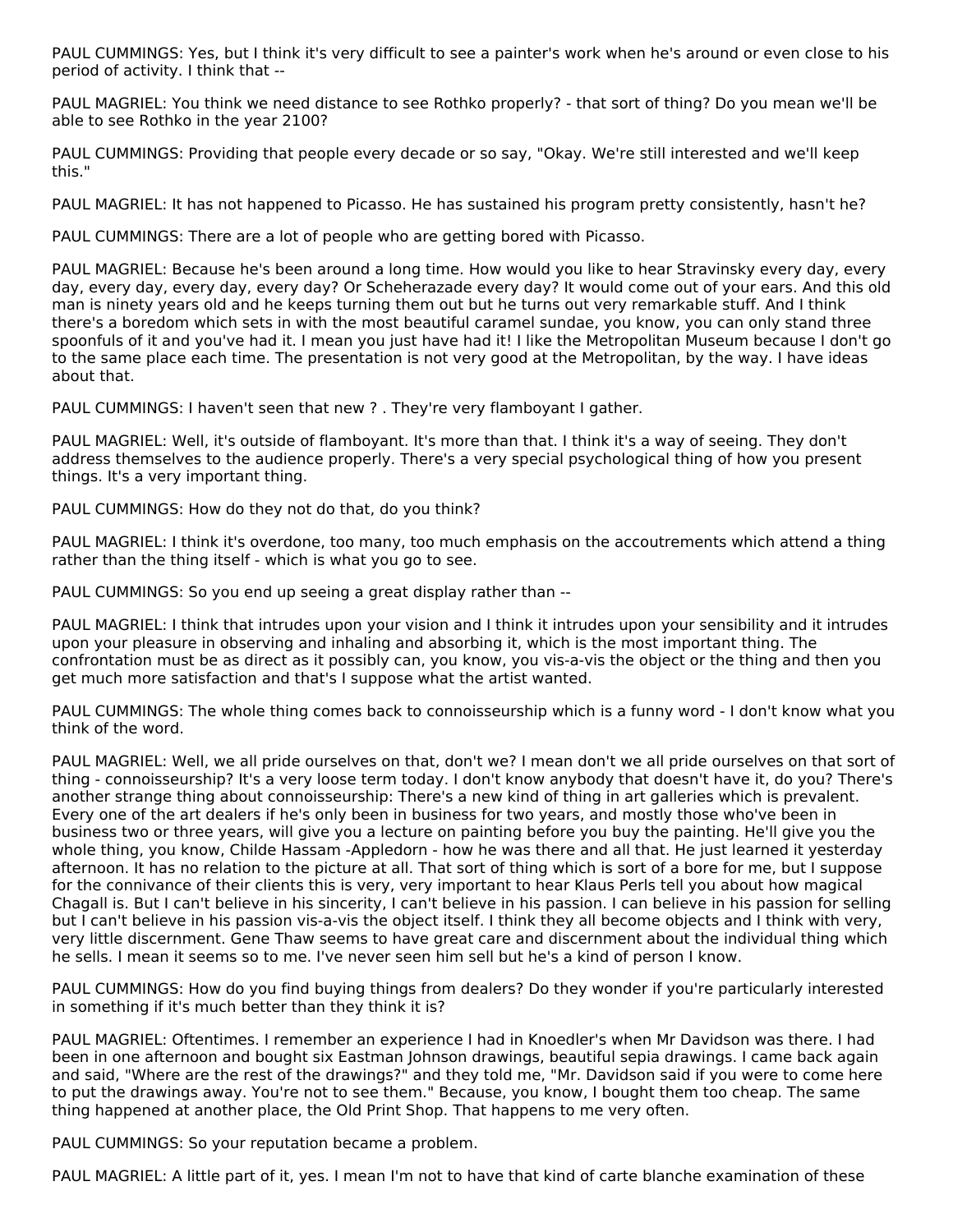PAUL CUMMINGS: Yes, but I think it's very difficult to see a painter's work when he's around or even close to his period of activity. I think that --

PAUL MAGRIEL: You think we need distance to see Rothko properly? - that sort of thing? Do you mean we'll be able to see Rothko in the year 2100?

PAUL CUMMINGS: Providing that people every decade or so say, "Okay. We're still interested and we'll keep this."

PAUL MAGRIEL: It has not happened to Picasso. He has sustained his program pretty consistently, hasn't he?

PAUL CUMMINGS: There are a lot of people who are getting bored with Picasso.

PAUL MAGRIEL: Because he's been around a long time. How would you like to hear Stravinsky every day, every day, every day, every day, every day? Or Scheherazade every day? It would come out of your ears. And this old man is ninety years old and he keeps turning them out but he turns out very remarkable stuff. And I think there's a boredom which sets in with the most beautiful caramel sundae, you know, you can only stand three spoonfuls of it and you've had it. I mean you just have had it! I like the Metropolitan Museum because I don't go to the same place each time. The presentation is not very good at the Metropolitan, by the way. I have ideas about that.

PAUL CUMMINGS: I haven't seen that new ? . They're very flamboyant I gather.

PAUL MAGRIEL: Well, it's outside of flamboyant. It's more than that. I think it's a way of seeing. They don't address themselves to the audience properly. There's a very special psychological thing of how you present things. It's a very important thing.

PAUL CUMMINGS: How do they not do that, do you think?

PAUL MAGRIEL: I think it's overdone, too many, too much emphasis on the accoutrements which attend a thing rather than the thing itself - which is what you go to see.

PAUL CUMMINGS: So you end up seeing a great display rather than --

PAUL MAGRIEL: I think that intrudes upon your vision and I think it intrudes upon your sensibility and it intrudes upon your pleasure in observing and inhaling and absorbing it, which is the most important thing. The confrontation must be as direct as it possibly can, you know, you vis-a-vis the object or the thing and then you get much more satisfaction and that's I suppose what the artist wanted.

PAUL CUMMINGS: The whole thing comes back to connoisseurship which is a funny word - I don't know what you think of the word.

PAUL MAGRIEL: Well, we all pride ourselves on that, don't we? I mean don't we all pride ourselves on that sort of thing - connoisseurship? It's a very loose term today. I don't know anybody that doesn't have it, do you? There's another strange thing about connoisseurship: There's a new kind of thing in art galleries which is prevalent. Every one of the art dealers if he's only been in business for two years, and mostly those who've been in business two or three years, will give you a lecture on painting before you buy the painting. He'll give you the whole thing, you know, Childe Hassam -Appledorn - how he was there and all that. He just learned it yesterday afternoon. It has no relation to the picture at all. That sort of thing which is sort of a bore for me, but I suppose for the connivance of their clients this is very, very important to hear Klaus Perls tell you about how magical Chagall is. But I can't believe in his sincerity, I can't believe in his passion. I can believe in his passion for selling but I can't believe in his passion vis-a-vis the object itself. I think they all become objects and I think with very, very little discernment. Gene Thaw seems to have great care and discernment about the individual thing which he sells. I mean it seems so to me. I've never seen him sell but he's a kind of person I know.

PAUL CUMMINGS: How do you find buying things from dealers? Do they wonder if you're particularly interested in something if it's much better than they think it is?

PAUL MAGRIEL: Oftentimes. I remember an experience I had in Knoedler's when Mr Davidson was there. I had been in one afternoon and bought six Eastman Johnson drawings, beautiful sepia drawings. I came back again and said, "Where are the rest of the drawings?" and they told me, "Mr. Davidson said if you were to come here to put the drawings away. You're not to see them." Because, you know, I bought them too cheap. The same thing happened at another place, the Old Print Shop. That happens to me very often.

PAUL CUMMINGS: So your reputation became a problem.

PAUL MAGRIEL: A little part of it, yes. I mean I'm not to have that kind of carte blanche examination of these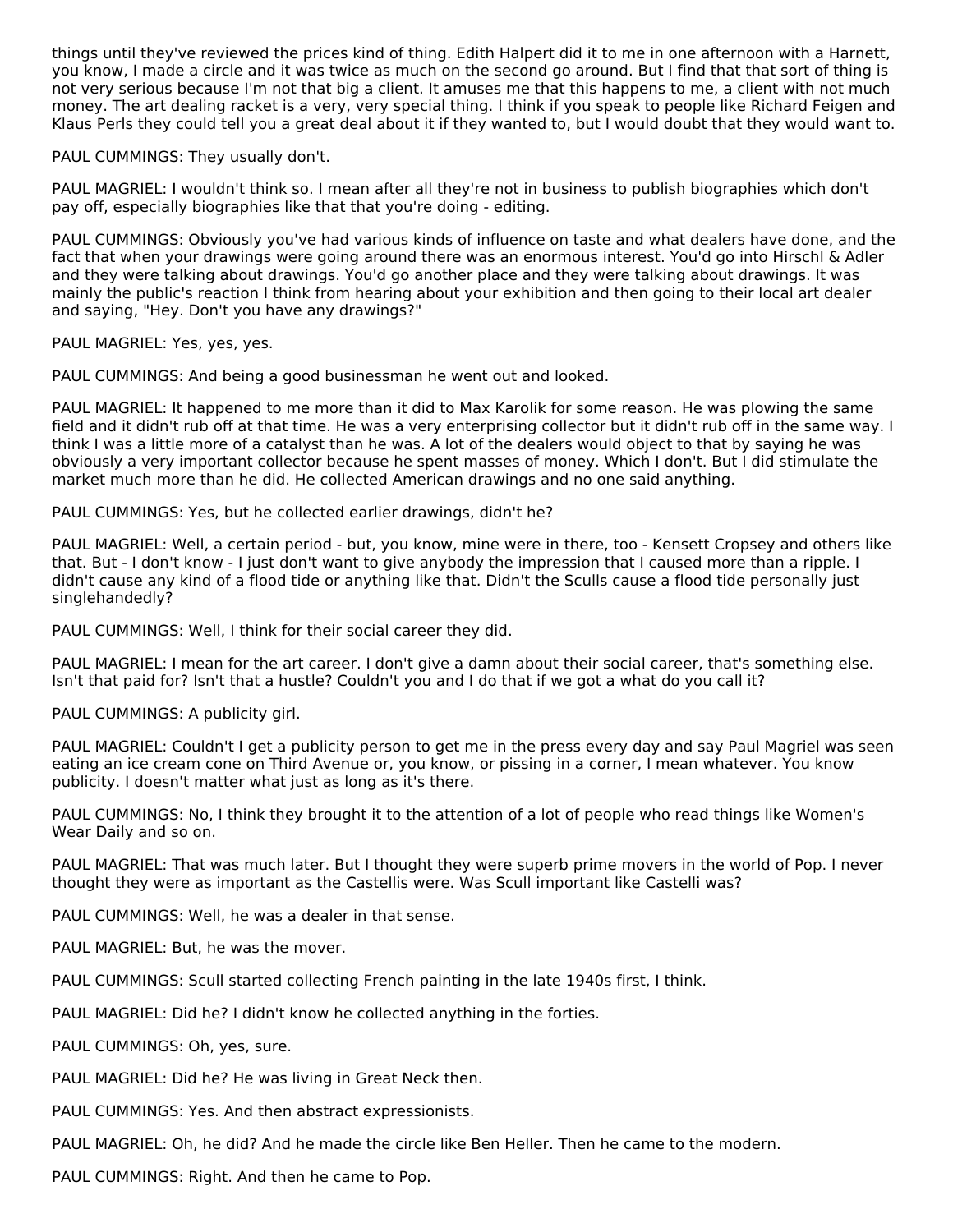things until they've reviewed the prices kind of thing. Edith Halpert did it to me in one afternoon with a Harnett, you know, I made a circle and it was twice as much on the second go around. But I find that that sort of thing is not very serious because I'm not that big a client. It amuses me that this happens to me, a client with not much money. The art dealing racket is a very, very special thing. I think if you speak to people like Richard Feigen and Klaus Perls they could tell you a great deal about it if they wanted to, but I would doubt that they would want to.

PAUL CUMMINGS: They usually don't.

PAUL MAGRIEL: I wouldn't think so. I mean after all they're not in business to publish biographies which don't pay off, especially biographies like that that you're doing - editing.

PAUL CUMMINGS: Obviously you've had various kinds of influence on taste and what dealers have done, and the fact that when your drawings were going around there was an enormous interest. You'd go into Hirschl & Adler and they were talking about drawings. You'd go another place and they were talking about drawings. It was mainly the public's reaction I think from hearing about your exhibition and then going to their local art dealer and saying, "Hey. Don't you have any drawings?"

PAUL MAGRIEL: Yes, yes, yes.

PAUL CUMMINGS: And being a good businessman he went out and looked.

PAUL MAGRIEL: It happened to me more than it did to Max Karolik for some reason. He was plowing the same field and it didn't rub off at that time. He was a very enterprising collector but it didn't rub off in the same way. I think I was a little more of a catalyst than he was. A lot of the dealers would object to that by saying he was obviously a very important collector because he spent masses of money. Which I don't. But I did stimulate the market much more than he did. He collected American drawings and no one said anything.

PAUL CUMMINGS: Yes, but he collected earlier drawings, didn't he?

PAUL MAGRIEL: Well, a certain period - but, you know, mine were in there, too - Kensett Cropsey and others like that. But - I don't know - I just don't want to give anybody the impression that I caused more than a ripple. I didn't cause any kind of a flood tide or anything like that. Didn't the Sculls cause a flood tide personally just singlehandedly?

PAUL CUMMINGS: Well, I think for their social career they did.

PAUL MAGRIEL: I mean for the art career. I don't give a damn about their social career, that's something else. Isn't that paid for? Isn't that a hustle? Couldn't you and I do that if we got a what do you call it?

PAUL CUMMINGS: A publicity girl.

PAUL MAGRIEL: Couldn't I get a publicity person to get me in the press every day and say Paul Magriel was seen eating an ice cream cone on Third Avenue or, you know, or pissing in a corner, I mean whatever. You know publicity. I doesn't matter what just as long as it's there.

PAUL CUMMINGS: No, I think they brought it to the attention of a lot of people who read things like Women's Wear Daily and so on.

PAUL MAGRIEL: That was much later. But I thought they were superb prime movers in the world of Pop. I never thought they were as important as the Castellis were. Was Scull important like Castelli was?

PAUL CUMMINGS: Well, he was a dealer in that sense.

PAUL MAGRIEL: But, he was the mover.

PAUL CUMMINGS: Scull started collecting French painting in the late 1940s first, I think.

PAUL MAGRIEL: Did he? I didn't know he collected anything in the forties.

PAUL CUMMINGS: Oh, yes, sure.

PAUL MAGRIEL: Did he? He was living in Great Neck then.

PAUL CUMMINGS: Yes. And then abstract expressionists.

PAUL MAGRIEL: Oh, he did? And he made the circle like Ben Heller. Then he came to the modern.

PAUL CUMMINGS: Right. And then he came to Pop.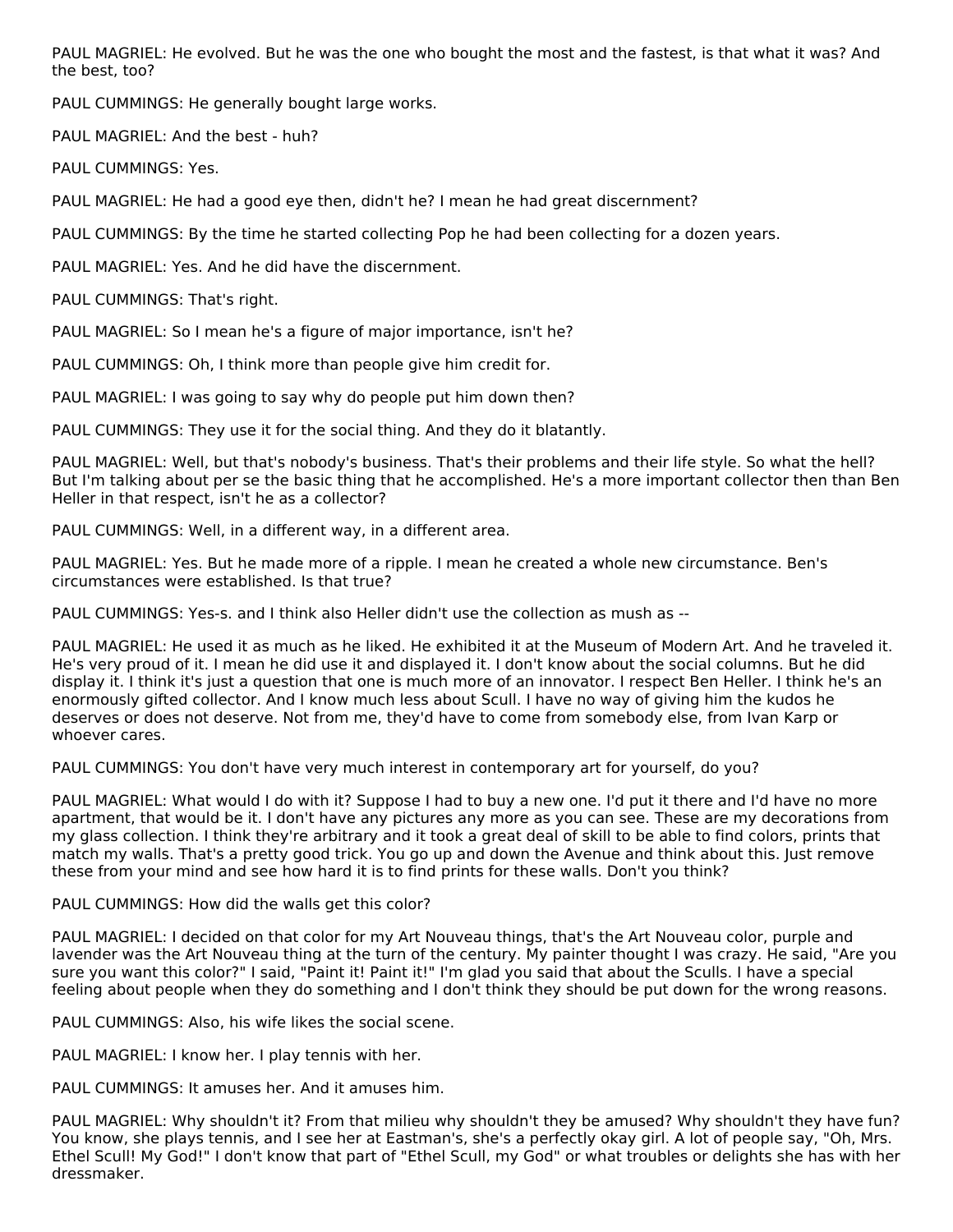PAUL MAGRIEL: He evolved. But he was the one who bought the most and the fastest, is that what it was? And the best, too?

PAUL CUMMINGS: He generally bought large works.

PAUL MAGRIEL: And the best - huh?

PAUL CUMMINGS: Yes.

PAUL MAGRIEL: He had a good eye then, didn't he? I mean he had great discernment?

PAUL CUMMINGS: By the time he started collecting Pop he had been collecting for a dozen years.

PAUL MAGRIEL: Yes. And he did have the discernment.

PAUL CUMMINGS: That's right.

PAUL MAGRIEL: So I mean he's a figure of major importance, isn't he?

PAUL CUMMINGS: Oh, I think more than people give him credit for.

PAUL MAGRIEL: I was going to say why do people put him down then?

PAUL CUMMINGS: They use it for the social thing. And they do it blatantly.

PAUL MAGRIEL: Well, but that's nobody's business. That's their problems and their life style. So what the hell? But I'm talking about per se the basic thing that he accomplished. He's a more important collector then than Ben Heller in that respect, isn't he as a collector?

PAUL CUMMINGS: Well, in a different way, in a different area.

PAUL MAGRIEL: Yes. But he made more of a ripple. I mean he created a whole new circumstance. Ben's circumstances were established. Is that true?

PAUL CUMMINGS: Yes-s. and I think also Heller didn't use the collection as mush as --

PAUL MAGRIEL: He used it as much as he liked. He exhibited it at the Museum of Modern Art. And he traveled it. He's very proud of it. I mean he did use it and displayed it. I don't know about the social columns. But he did display it. I think it's just a question that one is much more of an innovator. I respect Ben Heller. I think he's an enormously gifted collector. And I know much less about Scull. I have no way of giving him the kudos he deserves or does not deserve. Not from me, they'd have to come from somebody else, from Ivan Karp or whoever cares.

PAUL CUMMINGS: You don't have very much interest in contemporary art for yourself, do you?

PAUL MAGRIEL: What would I do with it? Suppose I had to buy a new one. I'd put it there and I'd have no more apartment, that would be it. I don't have any pictures any more as you can see. These are my decorations from my glass collection. I think they're arbitrary and it took a great deal of skill to be able to find colors, prints that match my walls. That's a pretty good trick. You go up and down the Avenue and think about this. Just remove these from your mind and see how hard it is to find prints for these walls. Don't you think?

PAUL CUMMINGS: How did the walls get this color?

PAUL MAGRIEL: I decided on that color for my Art Nouveau things, that's the Art Nouveau color, purple and lavender was the Art Nouveau thing at the turn of the century. My painter thought I was crazy. He said, "Are you sure you want this color?" I said, "Paint it! Paint it!" I'm glad you said that about the Sculls. I have a special feeling about people when they do something and I don't think they should be put down for the wrong reasons.

PAUL CUMMINGS: Also, his wife likes the social scene.

PAUL MAGRIEL: I know her. I play tennis with her.

PAUL CUMMINGS: It amuses her. And it amuses him.

PAUL MAGRIEL: Why shouldn't it? From that milieu why shouldn't they be amused? Why shouldn't they have fun? You know, she plays tennis, and I see her at Eastman's, she's a perfectly okay girl. A lot of people say, "Oh, Mrs. Ethel Scull! My God!" I don't know that part of "Ethel Scull, my God" or what troubles or delights she has with her dressmaker.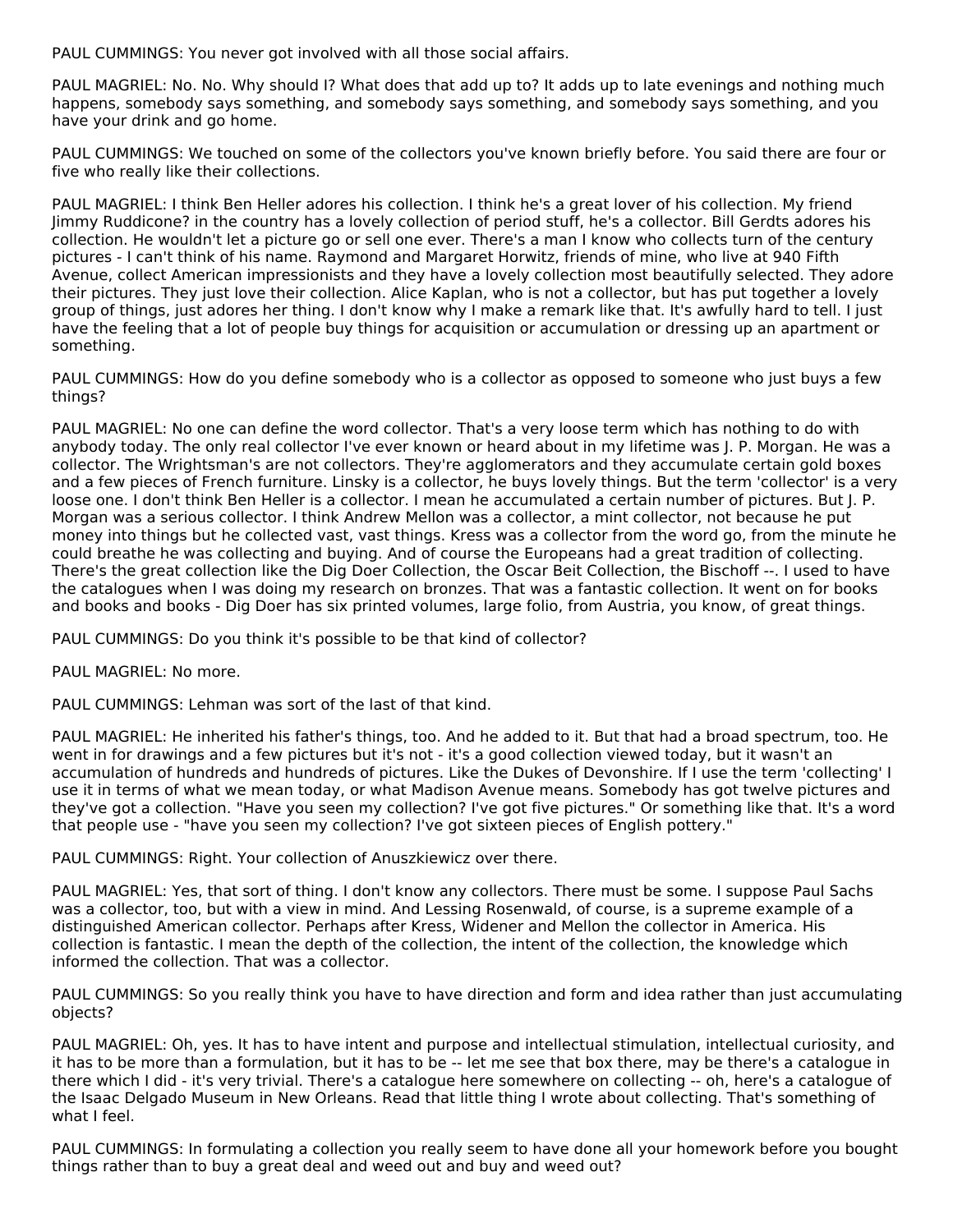PAUL CUMMINGS: You never got involved with all those social affairs.

PAUL MAGRIEL: No. No. Why should I? What does that add up to? It adds up to late evenings and nothing much happens, somebody says something, and somebody says something, and somebody says something, and you have your drink and go home.

PAUL CUMMINGS: We touched on some of the collectors you've known briefly before. You said there are four or five who really like their collections.

PAUL MAGRIEL: I think Ben Heller adores his collection. I think he's a great lover of his collection. My friend Jimmy Ruddicone? in the country has a lovely collection of period stuff, he's a collector. Bill Gerdts adores his collection. He wouldn't let a picture go or sell one ever. There's a man I know who collects turn of the century pictures - I can't think of his name. Raymond and Margaret Horwitz, friends of mine, who live at 940 Fifth Avenue, collect American impressionists and they have a lovely collection most beautifully selected. They adore their pictures. They just love their collection. Alice Kaplan, who is not a collector, but has put together a lovely group of things, just adores her thing. I don't know why I make a remark like that. It's awfully hard to tell. I just have the feeling that a lot of people buy things for acquisition or accumulation or dressing up an apartment or something.

PAUL CUMMINGS: How do you define somebody who is a collector as opposed to someone who just buys a few things?

PAUL MAGRIEL: No one can define the word collector. That's a very loose term which has nothing to do with anybody today. The only real collector I've ever known or heard about in my lifetime was J. P. Morgan. He was a collector. The Wrightsman's are not collectors. They're agglomerators and they accumulate certain gold boxes and a few pieces of French furniture. Linsky is a collector, he buys lovely things. But the term 'collector' is a very loose one. I don't think Ben Heller is a collector. I mean he accumulated a certain number of pictures. But J. P. Morgan was a serious collector. I think Andrew Mellon was a collector, a mint collector, not because he put money into things but he collected vast, vast things. Kress was a collector from the word go, from the minute he could breathe he was collecting and buying. And of course the Europeans had a great tradition of collecting. There's the great collection like the Dig Doer Collection, the Oscar Beit Collection, the Bischoff --. I used to have the catalogues when I was doing my research on bronzes. That was a fantastic collection. It went on for books and books and books - Dig Doer has six printed volumes, large folio, from Austria, you know, of great things.

PAUL CUMMINGS: Do you think it's possible to be that kind of collector?

PAUL MAGRIEL: No more.

PAUL CUMMINGS: Lehman was sort of the last of that kind.

PAUL MAGRIEL: He inherited his father's things, too. And he added to it. But that had a broad spectrum, too. He went in for drawings and a few pictures but it's not - it's a good collection viewed today, but it wasn't an accumulation of hundreds and hundreds of pictures. Like the Dukes of Devonshire. If I use the term 'collecting' I use it in terms of what we mean today, or what Madison Avenue means. Somebody has got twelve pictures and they've got a collection. "Have you seen my collection? I've got five pictures." Or something like that. It's a word that people use - "have you seen my collection? I've got sixteen pieces of English pottery."

PAUL CUMMINGS: Right. Your collection of Anuszkiewicz over there.

PAUL MAGRIEL: Yes, that sort of thing. I don't know any collectors. There must be some. I suppose Paul Sachs was a collector, too, but with a view in mind. And Lessing Rosenwald, of course, is a supreme example of a distinguished American collector. Perhaps after Kress, Widener and Mellon the collector in America. His collection is fantastic. I mean the depth of the collection, the intent of the collection, the knowledge which informed the collection. That was a collector.

PAUL CUMMINGS: So you really think you have to have direction and form and idea rather than just accumulating objects?

PAUL MAGRIEL: Oh, yes. It has to have intent and purpose and intellectual stimulation, intellectual curiosity, and it has to be more than a formulation, but it has to be -- let me see that box there, may be there's a catalogue in there which I did - it's very trivial. There's a catalogue here somewhere on collecting -- oh, here's a catalogue of the Isaac Delgado Museum in New Orleans. Read that little thing I wrote about collecting. That's something of what I feel.

PAUL CUMMINGS: In formulating a collection you really seem to have done all your homework before you bought things rather than to buy a great deal and weed out and buy and weed out?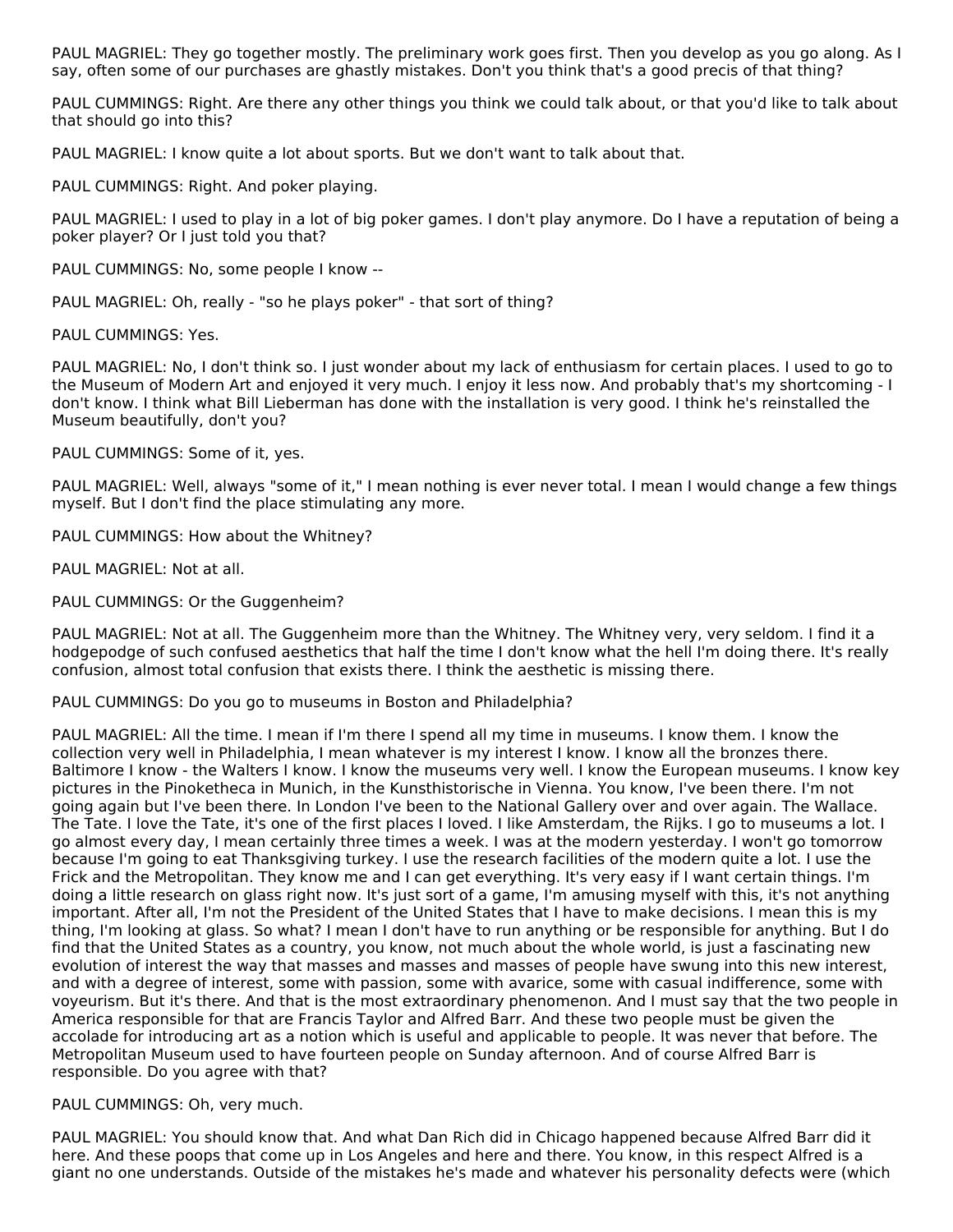PAUL MAGRIEL: They go together mostly. The preliminary work goes first. Then you develop as you go along. As I say, often some of our purchases are ghastly mistakes. Don't you think that's a good precis of that thing?

PAUL CUMMINGS: Right. Are there any other things you think we could talk about, or that you'd like to talk about that should go into this?

PAUL MAGRIEL: I know quite a lot about sports. But we don't want to talk about that.

PAUL CUMMINGS: Right. And poker playing.

PAUL MAGRIEL: I used to play in a lot of big poker games. I don't play anymore. Do I have a reputation of being a poker player? Or I just told you that?

PAUL CUMMINGS: No, some people I know --

PAUL MAGRIEL: Oh, really - "so he plays poker" - that sort of thing?

PAUL CUMMINGS: Yes.

PAUL MAGRIEL: No, I don't think so. I just wonder about my lack of enthusiasm for certain places. I used to go to the Museum of Modern Art and enjoyed it very much. I enjoy it less now. And probably that's my shortcoming - I don't know. I think what Bill Lieberman has done with the installation is very good. I think he's reinstalled the Museum beautifully, don't you?

PAUL CUMMINGS: Some of it, yes.

PAUL MAGRIEL: Well, always "some of it," I mean nothing is ever never total. I mean I would change a few things myself. But I don't find the place stimulating any more.

PAUL CUMMINGS: How about the Whitney?

PAUL MAGRIEL: Not at all.

PAUL CUMMINGS: Or the Guggenheim?

PAUL MAGRIEL: Not at all. The Guggenheim more than the Whitney. The Whitney very, very seldom. I find it a hodgepodge of such confused aesthetics that half the time I don't know what the hell I'm doing there. It's really confusion, almost total confusion that exists there. I think the aesthetic is missing there.

PAUL CUMMINGS: Do you go to museums in Boston and Philadelphia?

PAUL MAGRIEL: All the time. I mean if I'm there I spend all my time in museums. I know them. I know the collection very well in Philadelphia, I mean whatever is my interest I know. I know all the bronzes there. Baltimore I know - the Walters I know. I know the museums very well. I know the European museums. I know key pictures in the Pinoketheca in Munich, in the Kunsthistorische in Vienna. You know, I've been there. I'm not going again but I've been there. In London I've been to the National Gallery over and over again. The Wallace. The Tate. I love the Tate, it's one of the first places I loved. I like Amsterdam, the Rijks. I go to museums a lot. I go almost every day, I mean certainly three times a week. I was at the modern yesterday. I won't go tomorrow because I'm going to eat Thanksgiving turkey. I use the research facilities of the modern quite a lot. I use the Frick and the Metropolitan. They know me and I can get everything. It's very easy if I want certain things. I'm doing a little research on glass right now. It's just sort of a game, I'm amusing myself with this, it's not anything important. After all, I'm not the President of the United States that I have to make decisions. I mean this is my thing, I'm looking at glass. So what? I mean I don't have to run anything or be responsible for anything. But I do find that the United States as a country, you know, not much about the whole world, is just a fascinating new evolution of interest the way that masses and masses and masses of people have swung into this new interest, and with a degree of interest, some with passion, some with avarice, some with casual indifference, some with voyeurism. But it's there. And that is the most extraordinary phenomenon. And I must say that the two people in America responsible for that are Francis Taylor and Alfred Barr. And these two people must be given the accolade for introducing art as a notion which is useful and applicable to people. It was never that before. The Metropolitan Museum used to have fourteen people on Sunday afternoon. And of course Alfred Barr is responsible. Do you agree with that?

PAUL CUMMINGS: Oh, very much.

PAUL MAGRIEL: You should know that. And what Dan Rich did in Chicago happened because Alfred Barr did it here. And these poops that come up in Los Angeles and here and there. You know, in this respect Alfred is a giant no one understands. Outside of the mistakes he's made and whatever his personality defects were (which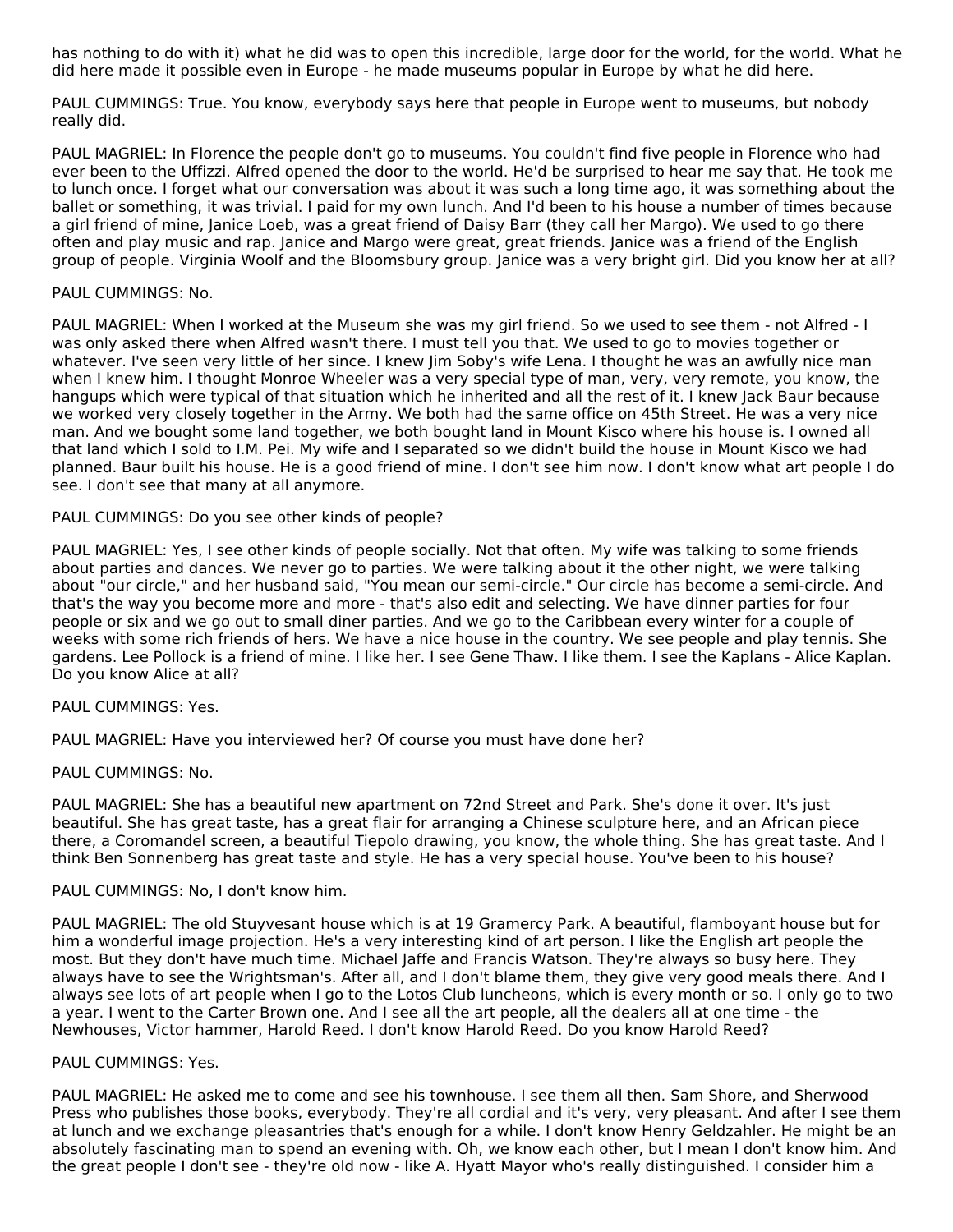has nothing to do with it) what he did was to open this incredible, large door for the world, for the world. What he did here made it possible even in Europe - he made museums popular in Europe by what he did here.

PAUL CUMMINGS: True. You know, everybody says here that people in Europe went to museums, but nobody really did.

PAUL MAGRIEL: In Florence the people don't go to museums. You couldn't find five people in Florence who had ever been to the Uffizzi. Alfred opened the door to the world. He'd be surprised to hear me say that. He took me to lunch once. I forget what our conversation was about it was such a long time ago, it was something about the ballet or something, it was trivial. I paid for my own lunch. And I'd been to his house a number of times because a girl friend of mine, Janice Loeb, was a great friend of Daisy Barr (they call her Margo). We used to go there often and play music and rap. Janice and Margo were great, great friends. Janice was a friend of the English group of people. Virginia Woolf and the Bloomsbury group. Janice was a very bright girl. Did you know her at all?

#### PAUL CUMMINGS: No.

PAUL MAGRIEL: When I worked at the Museum she was my girl friend. So we used to see them - not Alfred - I was only asked there when Alfred wasn't there. I must tell you that. We used to go to movies together or whatever. I've seen very little of her since. I knew Jim Soby's wife Lena. I thought he was an awfully nice man when I knew him. I thought Monroe Wheeler was a very special type of man, very, very remote, you know, the hangups which were typical of that situation which he inherited and all the rest of it. I knew Jack Baur because we worked very closely together in the Army. We both had the same office on 45th Street. He was a very nice man. And we bought some land together, we both bought land in Mount Kisco where his house is. I owned all that land which I sold to I.M. Pei. My wife and I separated so we didn't build the house in Mount Kisco we had planned. Baur built his house. He is a good friend of mine. I don't see him now. I don't know what art people I do see. I don't see that many at all anymore.

#### PAUL CUMMINGS: Do you see other kinds of people?

PAUL MAGRIEL: Yes, I see other kinds of people socially. Not that often. My wife was talking to some friends about parties and dances. We never go to parties. We were talking about it the other night, we were talking about "our circle," and her husband said, "You mean our semi-circle." Our circle has become a semi-circle. And that's the way you become more and more - that's also edit and selecting. We have dinner parties for four people or six and we go out to small diner parties. And we go to the Caribbean every winter for a couple of weeks with some rich friends of hers. We have a nice house in the country. We see people and play tennis. She gardens. Lee Pollock is a friend of mine. I like her. I see Gene Thaw. I like them. I see the Kaplans - Alice Kaplan. Do you know Alice at all?

#### PAUL CUMMINGS: Yes.

PAUL MAGRIEL: Have you interviewed her? Of course you must have done her?

PAUL CUMMINGS: No.

PAUL MAGRIEL: She has a beautiful new apartment on 72nd Street and Park. She's done it over. It's just beautiful. She has great taste, has a great flair for arranging a Chinese sculpture here, and an African piece there, a Coromandel screen, a beautiful Tiepolo drawing, you know, the whole thing. She has great taste. And I think Ben Sonnenberg has great taste and style. He has a very special house. You've been to his house?

#### PAUL CUMMINGS: No, I don't know him.

PAUL MAGRIEL: The old Stuyvesant house which is at 19 Gramercy Park. A beautiful, flamboyant house but for him a wonderful image projection. He's a very interesting kind of art person. I like the English art people the most. But they don't have much time. Michael Jaffe and Francis Watson. They're always so busy here. They always have to see the Wrightsman's. After all, and I don't blame them, they give very good meals there. And I always see lots of art people when I go to the Lotos Club luncheons, which is every month or so. I only go to two a year. I went to the Carter Brown one. And I see all the art people, all the dealers all at one time - the Newhouses, Victor hammer, Harold Reed. I don't know Harold Reed. Do you know Harold Reed?

# PAUL CUMMINGS: Yes.

PAUL MAGRIEL: He asked me to come and see his townhouse. I see them all then. Sam Shore, and Sherwood Press who publishes those books, everybody. They're all cordial and it's very, very pleasant. And after I see them at lunch and we exchange pleasantries that's enough for a while. I don't know Henry Geldzahler. He might be an absolutely fascinating man to spend an evening with. Oh, we know each other, but I mean I don't know him. And the great people I don't see - they're old now - like A. Hyatt Mayor who's really distinguished. I consider him a